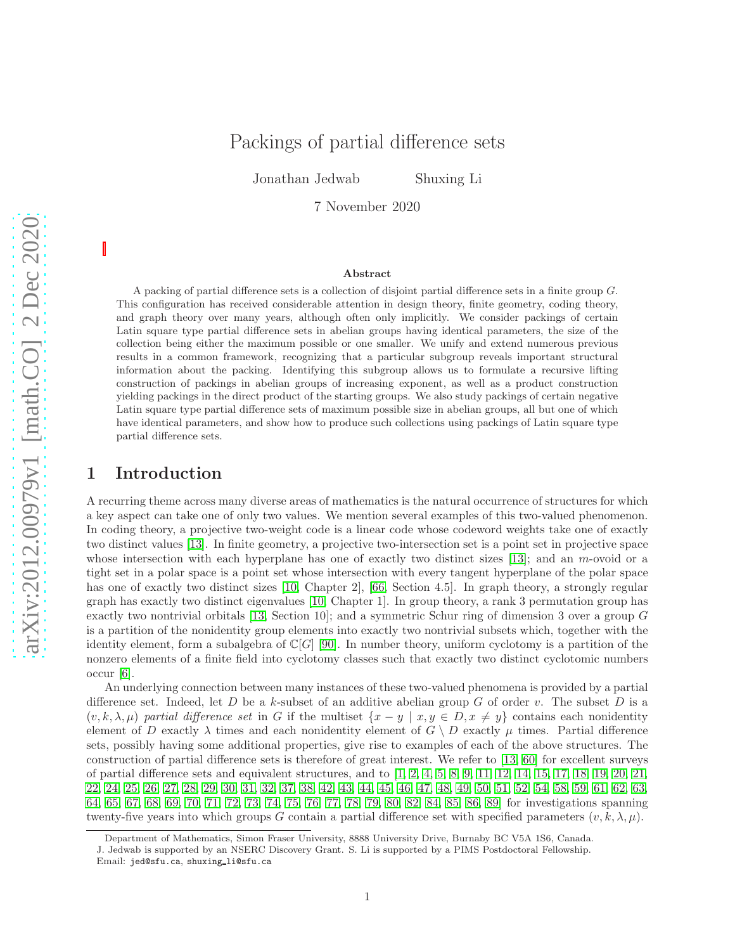# Packings of partial difference sets

Jonathan Jedwab Shuxing Li

7 November 2020

#### Abstract

A packing of partial difference sets is a collection of disjoint partial difference sets in a finite group G. This configuration has received considerable attention in design theory, finite geometry, coding theory, and graph theory over many years, although often only implicitly. We consider packings of certain Latin square type partial difference sets in abelian groups having identical parameters, the size of the collection being either the maximum possible or one smaller. We unify and extend numerous previous results in a common framework, recognizing that a particular subgroup reveals important structural information about the packing. Identifying this subgroup allows us to formulate a recursive lifting construction of packings in abelian groups of increasing exponent, as well as a product construction yielding packings in the direct product of the starting groups. We also study packings of certain negative Latin square type partial difference sets of maximum possible size in abelian groups, all but one of which have identical parameters, and show how to produce such collections using packings of Latin square type partial difference sets.

### 1 Introduction

A recurring theme across many diverse areas of mathematics is the natural occurrence of structures for which a key aspect can take one of only two values. We mention several examples of this two-valued phenomenon. In coding theory, a projective two-weight code is a linear code whose codeword weights take one of exactly two distinct values [\[13\]](#page-27-0). In finite geometry, a projective two-intersection set is a point set in projective space whose intersection with each hyperplane has one of exactly two distinct sizes [\[13\]](#page-27-0); and an m-ovoid or a tight set in a polar space is a point set whose intersection with every tangent hyperplane of the polar space has one of exactly two distinct sizes [\[10,](#page-27-1) Chapter 2], [\[66,](#page-29-0) Section 4.5]. In graph theory, a strongly regular graph has exactly two distinct eigenvalues [\[10,](#page-27-1) Chapter 1]. In group theory, a rank 3 permutation group has exactly two nontrivial orbitals [\[13,](#page-27-0) Section 10]; and a symmetric Schur ring of dimension 3 over a group G is a partition of the nonidentity group elements into exactly two nontrivial subsets which, together with the identity element, form a subalgebra of  $\mathbb{C}[G]$  [\[90\]](#page-30-0). In number theory, uniform cyclotomy is a partition of the nonzero elements of a finite field into cyclotomy classes such that exactly two distinct cyclotomic numbers occur [\[6\]](#page-26-0).

An underlying connection between many instances of these two-valued phenomena is provided by a partial difference set. Indeed, let D be a k-subset of an additive abelian group G of order v. The subset D is a  $(v, k, \lambda, \mu)$  partial difference set in G if the multiset  $\{x - y \mid x, y \in D, x \neq y\}$  contains each nonidentity element of D exactly  $\lambda$  times and each nonidentity element of  $G \setminus D$  exactly  $\mu$  times. Partial difference sets, possibly having some additional properties, give rise to examples of each of the above structures. The construction of partial difference sets is therefore of great interest. We refer to [\[13,](#page-27-0) [60\]](#page-29-1) for excellent surveys of partial difference sets and equivalent structures, and to [\[1,](#page-26-1) [2,](#page-26-2) [4,](#page-26-3) [5,](#page-26-4) [8,](#page-26-5) [9,](#page-27-2) [11,](#page-27-3) [12,](#page-27-4) [14,](#page-27-5) [15,](#page-27-6) [17,](#page-27-7) [18,](#page-27-8) [19,](#page-27-9) [20,](#page-27-10) [21,](#page-27-11) [22,](#page-27-12) [24,](#page-27-13) [25,](#page-27-14) [26,](#page-27-15) [27,](#page-27-16) [28,](#page-27-17) [29,](#page-27-18) [30,](#page-28-0) [31,](#page-28-1) [32,](#page-28-2) [37,](#page-28-3) [38,](#page-28-4) [42,](#page-28-5) [43,](#page-28-6) [44,](#page-28-7) [45,](#page-28-8) [46,](#page-28-9) [47,](#page-28-10) [48,](#page-28-11) [49,](#page-28-12) [50,](#page-28-13) [51,](#page-29-2) [52,](#page-29-3) [54,](#page-29-4) [58,](#page-29-5) [59,](#page-29-6) [61,](#page-29-7) [62,](#page-29-8) [63,](#page-29-9) [64,](#page-29-10) [65,](#page-29-11) [67,](#page-29-12) [68,](#page-29-13) [69,](#page-29-14) [70,](#page-29-15) [71,](#page-29-16) [72,](#page-30-1) [73,](#page-30-2) [74,](#page-30-3) [75,](#page-30-4) [76,](#page-30-5) [77,](#page-30-6) [78,](#page-30-7) [79,](#page-30-8) [80,](#page-30-9) [82,](#page-30-10) [84,](#page-30-11) [85,](#page-30-12) [86,](#page-30-13) [89\]](#page-30-14) for investigations spanning twenty-five years into which groups G contain a partial difference set with specified parameters  $(v, k, \lambda, \mu)$ .

Department of Mathematics, Simon Fraser University, 8888 University Drive, Burnaby BC V5A 1S6, Canada.

J. Jedwab is supported by an NSERC Discovery Grant. S. Li is supported by a PIMS Postdoctoral Fellowship.

Email: jed@sfu.ca, shuxing li@sfu.ca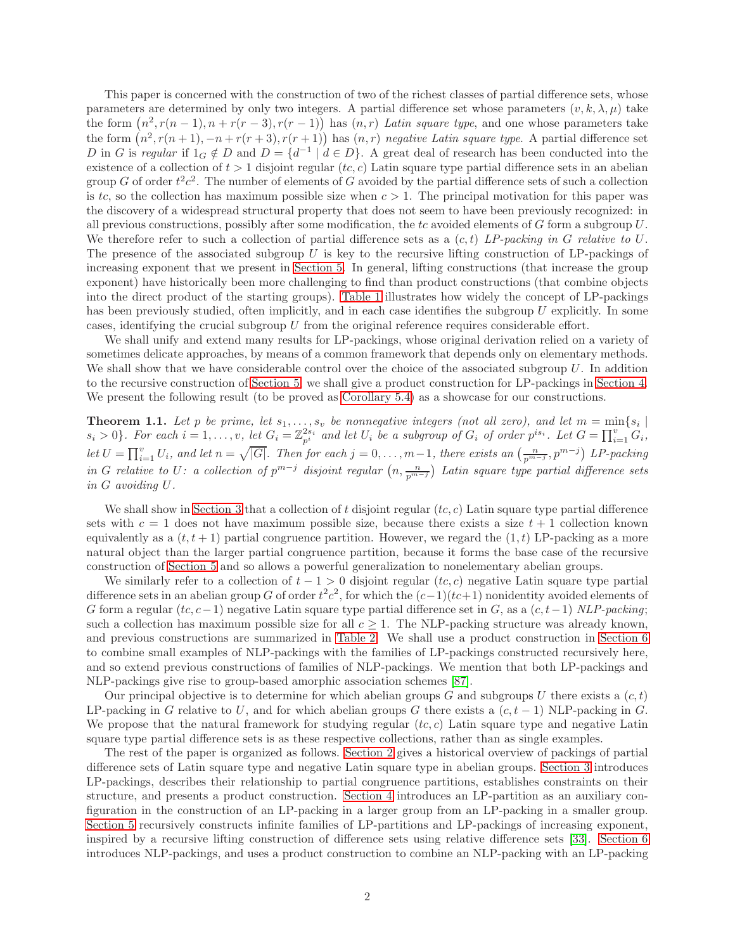This paper is concerned with the construction of two of the richest classes of partial difference sets, whose parameters are determined by only two integers. A partial difference set whose parameters  $(v, k, \lambda, \mu)$  take the form  $(n^2, r(n-1), n + r(r-3), r(r-1))$  has  $(n, r)$  Latin square type, and one whose parameters take the form  $(n^2, r(n+1), -n+r(r+3), r(r+1))$  has  $(n, r)$  negative Latin square type. A partial difference set D in G is regular if  $1_G \notin D$  and  $D = \{d^{-1} \mid d \in D\}$ . A great deal of research has been conducted into the existence of a collection of  $t > 1$  disjoint regular  $(t, c)$  Latin square type partial difference sets in an abelian group G of order  $t^2c^2$ . The number of elements of G avoided by the partial difference sets of such a collection is tc, so the collection has maximum possible size when  $c > 1$ . The principal motivation for this paper was the discovery of a widespread structural property that does not seem to have been previously recognized: in all previous constructions, possibly after some modification, the tc avoided elements of  $G$  form a subgroup  $U$ . We therefore refer to such a collection of partial difference sets as a  $(c, t)$  LP-packing in G relative to U. The presence of the associated subgroup  $U$  is key to the recursive lifting construction of LP-packings of increasing exponent that we present in [Section 5.](#page-15-0) In general, lifting constructions (that increase the group exponent) have historically been more challenging to find than product constructions (that combine objects into the direct product of the starting groups). [Table 1](#page-2-0) illustrates how widely the concept of LP-packings has been previously studied, often implicitly, and in each case identifies the subgroup U explicitly. In some cases, identifying the crucial subgroup  $U$  from the original reference requires considerable effort.

We shall unify and extend many results for LP-packings, whose original derivation relied on a variety of sometimes delicate approaches, by means of a common framework that depends only on elementary methods. We shall show that we have considerable control over the choice of the associated subgroup  $U$ . In addition to the recursive construction of [Section 5,](#page-15-0) we shall give a product construction for LP-packings in [Section 4.](#page-11-0) We present the following result (to be proved as [Corollary 5.4\)](#page-17-0) as a showcase for our constructions.

<span id="page-1-0"></span>**Theorem 1.1.** Let p be prime, let  $s_1, ..., s_v$  be nonnegative integers (not all zero), and let  $m = \min\{s_i \mid s_i > 0\}$ . For each  $i = 1, ..., v$ , let  $G_i = \mathbb{Z}_{p^i}^{2s_i}$  and let  $U_i$  be a subgroup of  $G_i$  of order  $p^{is_i}$ . Let  $G = \prod$ let  $U = \prod_{i=1}^{v} U_i$ , and let  $n = \sqrt{|G|}$ . Then for each  $j = 0, \ldots, m-1$ , there exists an  $\left(\frac{n}{p^{m-j}}, p^{m-j}\right)$  LP-packing in G relative to U: a collection of  $p^{m-j}$  disjoint regular  $(n, \frac{n}{p^{m-j}})$  Latin square type partial difference sets in G avoiding U.

We shall show in [Section 3](#page-6-0) that a collection of t disjoint regular  $(te, c)$  Latin square type partial difference sets with  $c = 1$  does not have maximum possible size, because there exists a size  $t + 1$  collection known equivalently as a  $(t, t + 1)$  partial congruence partition. However, we regard the  $(1, t)$  LP-packing as a more natural object than the larger partial congruence partition, because it forms the base case of the recursive construction of [Section 5](#page-15-0) and so allows a powerful generalization to nonelementary abelian groups.

We similarly refer to a collection of  $t - 1 > 0$  disjoint regular  $(te, c)$  negative Latin square type partial difference sets in an abelian group G of order  $t^2c^2$ , for which the  $(c-1)(tc+1)$  nonidentity avoided elements of G form a regular  $(t, c-1)$  negative Latin square type partial difference set in G, as a  $(c, t-1)$  NLP-packing; such a collection has maximum possible size for all  $c > 1$ . The NLP-packing structure was already known, and previous constructions are summarized in [Table 2.](#page-3-0) We shall use a product construction in [Section 6](#page-18-0) to combine small examples of NLP-packings with the families of LP-packings constructed recursively here, and so extend previous constructions of families of NLP-packings. We mention that both LP-packings and NLP-packings give rise to group-based amorphic association schemes [\[87\]](#page-30-15).

Our principal objective is to determine for which abelian groups G and subgroups U there exists a  $(c, t)$ LP-packing in G relative to U, and for which abelian groups G there exists a  $(c, t - 1)$  NLP-packing in G. We propose that the natural framework for studying regular  $(t, c)$  Latin square type and negative Latin square type partial difference sets is as these respective collections, rather than as single examples.

The rest of the paper is organized as follows. [Section 2](#page-2-1) gives a historical overview of packings of partial difference sets of Latin square type and negative Latin square type in abelian groups. [Section 3](#page-6-0) introduces LP-packings, describes their relationship to partial congruence partitions, establishes constraints on their structure, and presents a product construction. [Section 4](#page-11-0) introduces an LP-partition as an auxiliary configuration in the construction of an LP-packing in a larger group from an LP-packing in a smaller group. [Section 5](#page-15-0) recursively constructs infinite families of LP-partitions and LP-packings of increasing exponent, inspired by a recursive lifting construction of difference sets using relative difference sets [\[33\]](#page-28-14). [Section 6](#page-18-0) introduces NLP-packings, and uses a product construction to combine an NLP-packing with an LP-packing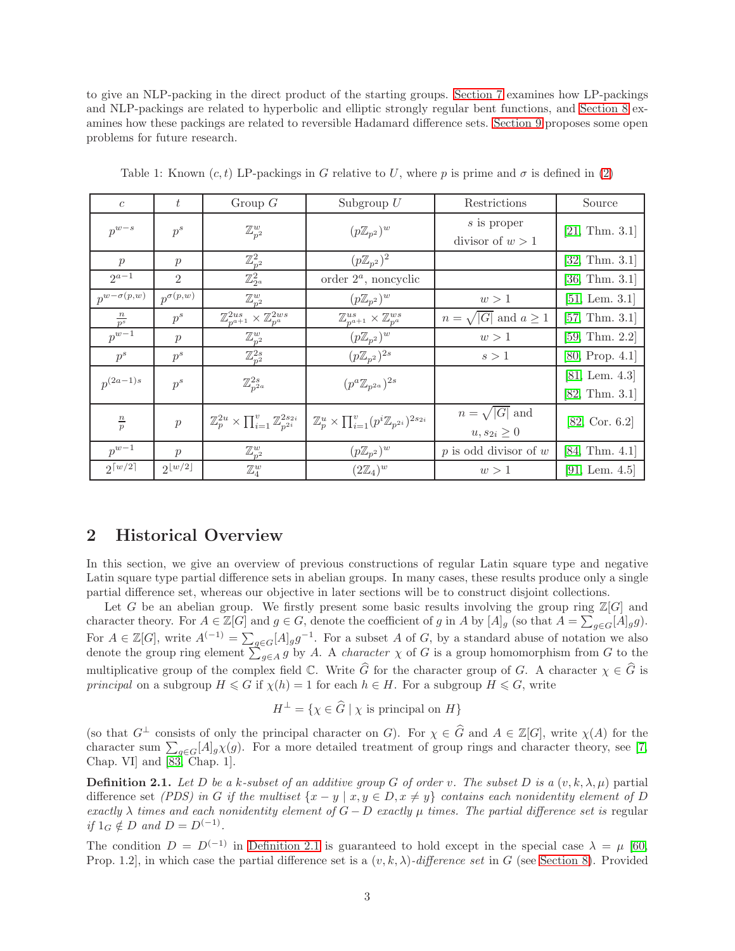to give an NLP-packing in the direct product of the starting groups. [Section 7](#page-22-0) examines how LP-packings and NLP-packings are related to hyperbolic and elliptic strongly regular bent functions, and [Section 8](#page-24-0) examines how these packings are related to reversible Hadamard difference sets. [Section 9](#page-26-6) proposes some open problems for future research.

| $\overline{c}$       | t                      | Group $G$                                                              | Subgroup $U$                                                              | Restrictions                               | Source                                      |
|----------------------|------------------------|------------------------------------------------------------------------|---------------------------------------------------------------------------|--------------------------------------------|---------------------------------------------|
| $p^{w-s}$            | $p^s$                  | $\mathbb{Z}_{p^2}^w$                                                   | $(p\mathbb{Z}_{p^2})^w$                                                   | s is proper<br>divisor of $w > 1$          | [21, Thm. 3.1]                              |
| $\mathcal{p}$        | $\mathcal{p}$          | $\mathbb{Z}_{p^2}^2$                                                   | $(p\mathbb{Z}_{p^2})^2$                                                   |                                            | [32, Thm. 3.1]                              |
| $2a-1$               | $\overline{2}$         | $\mathbb{Z}_{2^a}^2$                                                   | order $2^a$ , noncyclic                                                   |                                            | [36, Thm. 3.1]                              |
| $p^{w-\sigma(p,w)}$  | $p^{\sigma(p,w)}$      | $\mathbb{Z}_{p^2}^w$                                                   | $(p\mathbb{Z}_{p^2})^w$                                                   | w>1                                        | $[51, \text{ Lem. } 3.1]$                   |
| $\frac{n}{p^s}$      | $p^s$                  | $\mathbb{Z}_{p^{a+1}}^{2us} \times \mathbb{Z}_{p^{a}}^{2ws}$           | $\mathbb{Z}_{p^{a+1}}^{us} \times \mathbb{Z}_{p^{a}}^{ws}$                | $n = \sqrt{ G }$ and $a \ge 1$             | [57, Thm. 3.1]                              |
| $p^{w-1}$            | $\mathcal{p}$          | $\mathbb{Z}_{p^2}^w$                                                   | $(p\mathbb{Z}_{p^2})^w$                                                   | w>1                                        | [59, Thm. 2.2]                              |
| $p^s$                | $p^s$                  | $\mathbb{Z}_{p^2}^{2s}$                                                | $(p\mathbb{Z}_{p^2})^{2s}$                                                | s>1                                        | [80, Prop. 4.1]                             |
| $p^{(2a-1)s}$        | $p^s$                  | $\mathbb{Z}_{p^{2a}}^{2s}$                                             | $(p^a \mathbb{Z}_{p^{2a}})^{2s}$                                          |                                            | $[81, \text{ Lem. } 4.3]$<br>[82, Thm. 3.1] |
| $\frac{n}{p}$        | $\boldsymbol{p}$       | $\mathbb{Z}_p^{2u} \times \prod_{i=1}^v \mathbb{Z}_{n^{2i}}^{2s_{2i}}$ | $\mathbb{Z}_p^u \times \prod_{i=1}^v (p^i \mathbb{Z}_{p^{2i}})^{2s_{2i}}$ | $n = \sqrt{ G }$ and<br>$u, s_{2i} \geq 0$ | [82, Cor. 6.2]                              |
| $p^{w-1}$            | $\mathcal{p}$          | $\mathbb{Z}_{p^2}^w$                                                   | $(p\mathbb{Z}_{p^2})^w$                                                   | $p$ is odd divisor of $w$                  | [84, Thm. 4.1]                              |
| $2\lceil w/2 \rceil$ | $2\lfloor w/2 \rfloor$ | $\mathbb{Z}_4^w$                                                       | $(2\mathbb{Z}_4)^w$                                                       | w>1                                        | [91, Lem. $4.5$ ]                           |

<span id="page-2-0"></span>Table 1: Known  $(c, t)$  LP-packings in G relative to U, where p is prime and  $\sigma$  is defined in [\(2\)](#page-5-0)

### <span id="page-2-1"></span>2 Historical Overview

In this section, we give an overview of previous constructions of regular Latin square type and negative Latin square type partial difference sets in abelian groups. In many cases, these results produce only a single partial difference set, whereas our objective in later sections will be to construct disjoint collections.

Let G be an abelian group. We firstly present some basic results involving the group ring  $\mathbb{Z}[G]$  and character theory. For  $A \in \mathbb{Z}[G]$  and  $g \in G$ , denote the coefficient of g in A by  $[A]_g$  (so that  $A = \sum_{g \in G} [A]_g g$ ). For  $A \in \mathbb{Z}[G]$ , write  $A^{(-1)} = \sum_{g \in G} [A]_g g^{-1}$ . For a subset A of G, by a standard abuse of notation we also denote the group ring element  $\sum_{g\in A}^{\infty} g$  by A. A *character*  $\chi$  of G is a group homomorphism from G to the multiplicative group of the complex field  $\mathbb C$ . Write  $\widehat{G}$  for the character group of G. A character  $\chi \in \widehat{G}$  is principal on a subgroup  $H \le G$  if  $\chi(h) = 1$  for each  $h \in H$ . For a subgroup  $H \le G$ , write

$$
H^{\perp} = \{ \chi \in \widehat{G} \mid \chi \text{ is principal on } H \}
$$

(so that  $G^{\perp}$  consists of only the principal character on G). For  $\chi \in \widehat{G}$  and  $A \in \mathbb{Z}[G]$ , write  $\chi(A)$  for the character sum  $\sum_{g\in G}[A]_g\chi(g)$ . For a more detailed treatment of group rings and character theory, see [\[7,](#page-26-7) Chap. VI] and [\[83,](#page-30-18) Chap. 1].

<span id="page-2-2"></span>**Definition 2.1.** Let D be a k-subset of an additive group G of order v. The subset D is a  $(v, k, \lambda, \mu)$  partial difference set (PDS) in G if the multiset  $\{x - y \mid x, y \in D, x \neq y\}$  contains each nonidentity element of D exactly  $\lambda$  times and each nonidentity element of  $G - D$  exactly  $\mu$  times. The partial difference set is regular if  $1_G \notin D$  and  $D = D^{(-1)}$ .

The condition  $D = D^{(-1)}$  in [Definition 2.1](#page-2-2) is guaranteed to hold except in the special case  $\lambda = \mu$  [\[60,](#page-29-1) Prop. 1.2], in which case the partial difference set is a  $(v, k, \lambda)$ -difference set in G (see [Section 8\)](#page-24-0). Provided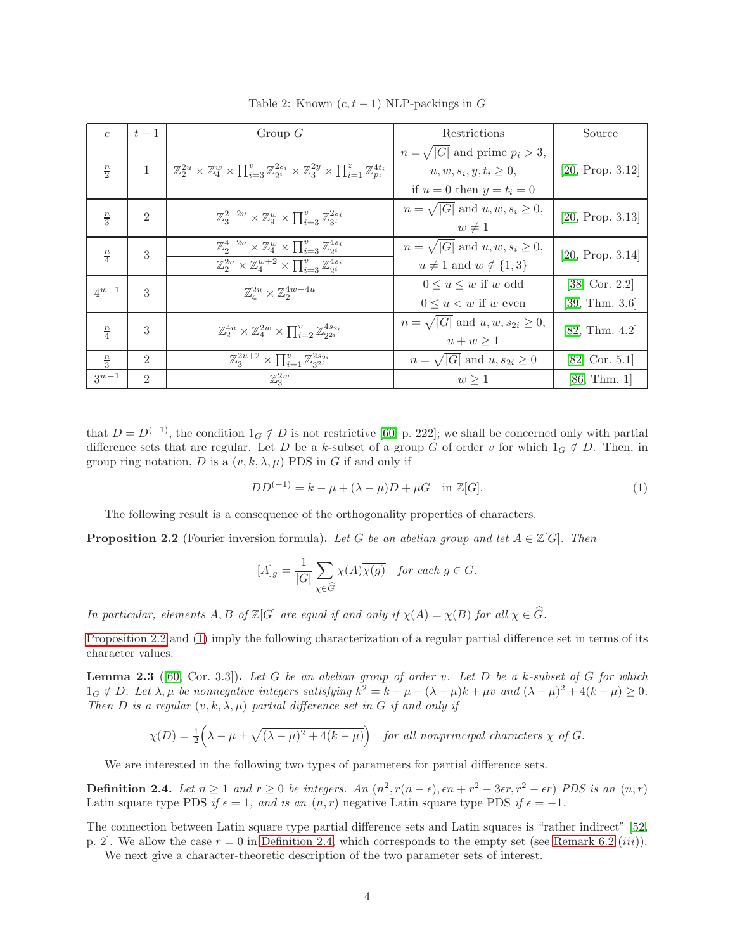| $\epsilon$    | $t-1$            | Group $G$                                                                                                                                                                            | Restrictions                                                                                          | Source                           |
|---------------|------------------|--------------------------------------------------------------------------------------------------------------------------------------------------------------------------------------|-------------------------------------------------------------------------------------------------------|----------------------------------|
| $\frac{n}{2}$ | $\mathbf{1}$     | $\left[ \mathbb{Z}_2^{2u} \times \mathbb{Z}_4^w \times \prod_{i=3}^v \mathbb{Z}_{2i}^{2s_i} \times \mathbb{Z}_3^{2y} \times \prod_{i=1}^z \mathbb{Z}_{n_i}^{4t_i} \right]$           | $n = \sqrt{ G }$ and prime $p_i > 3$ ,<br>$u, w, s_i, y, t_i \geq 0$<br>if $u = 0$ then $y = t_i = 0$ | [20, Prop. 3.12]                 |
| $\frac{n}{3}$ | $\overline{2}$   | $\mathbb{Z}_3^{2+2u} \times \mathbb{Z}_9^w \times \prod_{i=3}^v \mathbb{Z}_{3i}^{2s_i}$                                                                                              | $n = \sqrt{ G }$ and $u, w, s_i \geq 0$ ,<br>$w \neq 1$                                               | [20, Prop. 3.13]                 |
| $\frac{n}{4}$ | $\boldsymbol{3}$ | $\mathbb{Z}_2^{4+2u} \times \mathbb{Z}_4^w \times \prod_{i=3}^v \mathbb{Z}_{2i}^{4s_i}$<br>$\mathbb{Z}_2^{2u} \times \mathbb{Z}_4^{w+2} \times \prod_{i=3}^v \mathbb{Z}_{2i}^{4s_i}$ | $n = \sqrt{ G }$ and $u, w, s_i \geq 0$ ,<br>$u \neq 1$ and $w \notin \{1,3\}$                        | [20, Prop. 3.14]                 |
| $4^{w-1}$     | 3                | $\mathbb{Z}_4^{2u} \times \mathbb{Z}_2^{4w-4u}$                                                                                                                                      | $0 \leq u \leq w$ if w odd<br>$0 \leq u \lt w$ if w even                                              | [38, Cor. 2.2]<br>[39, Thm. 3.6] |
| $\frac{n}{4}$ | 3                | $\mathbb{Z}_2^{4u} \times \mathbb{Z}_4^{2w} \times \prod_{i=2}^v \mathbb{Z}_{2i}^{4s_{2i}}$                                                                                          | $n = \sqrt{ G }$ and $u, w, s_{2i} \geq 0$ ,<br>$u + w \geq 1$                                        | [82, Thm. 4.2]                   |
| $\frac{n}{3}$ | $\mathfrak{D}$   | $\mathbb{Z}_3^{2u+2} \times \prod_{i=1}^{v} \mathbb{Z}_{32i}^{2s_{2i}}$                                                                                                              | $n = \sqrt{ G }$ and $u, s_{2i} \geq 0$                                                               | [82, Cor. 5.1]                   |
| $3^{w-1}$     | $\mathfrak{D}$   | $\mathbb{Z}_3^{2w}$                                                                                                                                                                  | w > 1                                                                                                 | [86, Thm. 1]                     |

<span id="page-3-0"></span>Table 2: Known  $(c, t - 1)$  NLP-packings in G

that  $D = D^{(-1)}$ , the condition  $1_G \notin D$  is not restrictive [\[60,](#page-29-1) p. 222]; we shall be concerned only with partial difference sets that are regular. Let D be a k-subset of a group G of order v for which  $1_G \notin D$ . Then, in group ring notation, D is a  $(v, k, \lambda, \mu)$  PDS in G if and only if

<span id="page-3-2"></span>
$$
DD^{(-1)} = k - \mu + (\lambda - \mu)D + \mu G \quad \text{in } \mathbb{Z}[G].
$$
 (1)

<span id="page-3-1"></span>The following result is a consequence of the orthogonality properties of characters.

**Proposition 2.2** (Fourier inversion formula). Let G be an abelian group and let  $A \in \mathbb{Z}[G]$ . Then

$$
[A]_g = \frac{1}{|G|} \sum_{\chi \in \widehat{G}} \chi(A) \overline{\chi(g)} \quad \text{for each } g \in G.
$$

In particular, elements A, B of  $\mathbb{Z}[G]$  are equal if and only if  $\chi(A) = \chi(B)$  for all  $\chi \in \widehat{G}$ .

<span id="page-3-4"></span>[Proposition 2.2](#page-3-1) and [\(1\)](#page-3-2) imply the following characterization of a regular partial difference set in terms of its character values.

**Lemma 2.3** ([\[60,](#page-29-1) Cor. 3.3]). Let G be an abelian group of order v. Let D be a k-subset of G for which  $1_G \notin D$ . Let  $\lambda, \mu$  be nonnegative integers satisfying  $k^2 = k - \mu + (\lambda - \mu)k + \mu v$  and  $(\lambda - \mu)^2 + 4(k - \mu) \ge 0$ . Then D is a regular  $(v, k, \lambda, \mu)$  partial difference set in G if and only if

$$
\chi(D) = \frac{1}{2} \left( \lambda - \mu \pm \sqrt{(\lambda - \mu)^2 + 4(k - \mu)} \right)
$$
 for all nonprincipal characters  $\chi$  of G.

<span id="page-3-3"></span>We are interested in the following two types of parameters for partial difference sets.

**Definition 2.4.** Let  $n \ge 1$  and  $r \ge 0$  be integers. An  $(n^2, r(n - \epsilon), \epsilon n + r^2 - 3\epsilon r, r^2 - \epsilon r)$  PDS is an  $(n, r)$ Latin square type PDS if  $\epsilon = 1$ , and is an  $(n, r)$  negative Latin square type PDS if  $\epsilon = -1$ .

The connection between Latin square type partial difference sets and Latin squares is "rather indirect" [\[52,](#page-29-3) p. 2. We allow the case  $r = 0$  in [Definition 2.4,](#page-3-3) which corresponds to the empty set (see [Remark](#page-18-1) 6.2 *(iii)*).

<span id="page-3-5"></span>We next give a character-theoretic description of the two parameter sets of interest.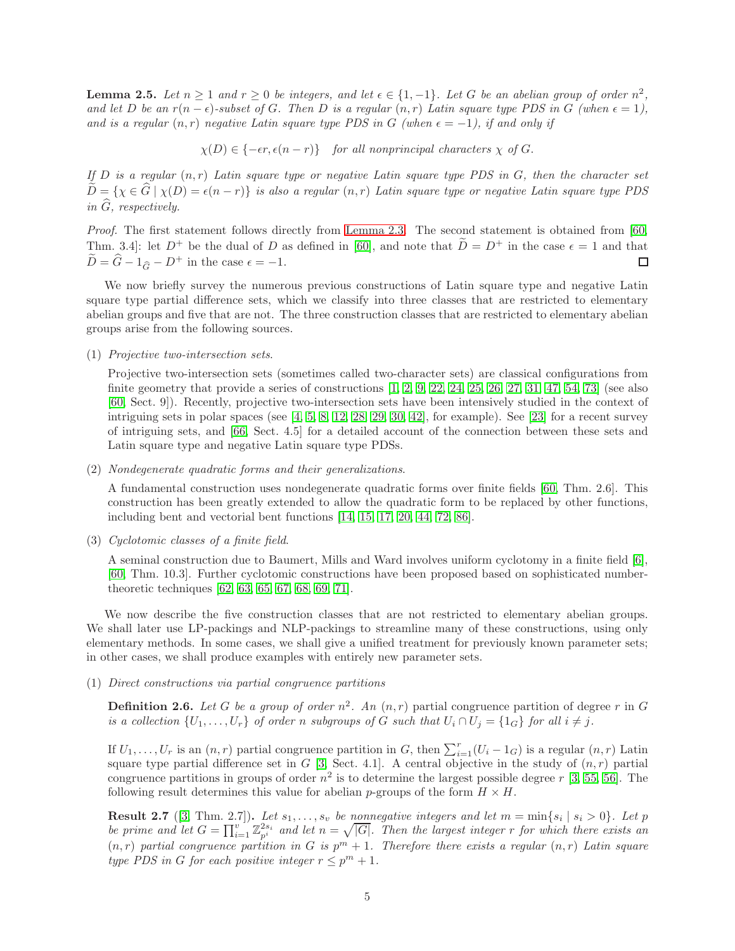**Lemma 2.5.** Let  $n \geq 1$  and  $r \geq 0$  be integers, and let  $\epsilon \in \{1, -1\}$ . Let G be an abelian group of order  $n^2$ , and let D be an  $r(n - \epsilon)$ -subset of G. Then D is a regular  $(n, r)$  Latin square type PDS in G (when  $\epsilon = 1$ ), and is a regular  $(n, r)$  negative Latin square type PDS in G (when  $\epsilon = -1$ ), if and only if

 $\chi(D) \in \{-\epsilon r, \epsilon (n-r)\}$  for all nonprincipal characters  $\chi$  of G.

If  $D$  is a regular  $(n, r)$  Latin square type or negative Latin square type PDS in  $G$ , then the character set  $\tilde{D} = \{\chi \in \hat{G} \mid \chi(D) = \epsilon(n-r)\}\$ is also a regular  $(n,r)$  Latin square type or negative Latin square type PDS in  $\widehat{G}$ , respectively.

Proof. The first statement follows directly from [Lemma 2.3.](#page-3-4) The second statement is obtained from [\[60,](#page-29-1) Thm. 3.4]: let  $D^+$  be the dual of D as defined in [\[60\]](#page-29-1), and note that  $D = D^+$  in the case  $\epsilon = 1$  and that  $\widetilde{D} = \widehat{G} - 1_{\widehat{G}} - D^+$  in the case  $\epsilon = -1$ .  $\Box$ 

We now briefly survey the numerous previous constructions of Latin square type and negative Latin square type partial difference sets, which we classify into three classes that are restricted to elementary abelian groups and five that are not. The three construction classes that are restricted to elementary abelian groups arise from the following sources.

#### (1) Projective two-intersection sets.

Projective two-intersection sets (sometimes called two-character sets) are classical configurations from finite geometry that provide a series of constructions  $[1, 2, 9, 22, 24, 25, 26, 27, 31, 47, 54, 73]$  $[1, 2, 9, 22, 24, 25, 26, 27, 31, 47, 54, 73]$  $[1, 2, 9, 22, 24, 25, 26, 27, 31, 47, 54, 73]$  $[1, 2, 9, 22, 24, 25, 26, 27, 31, 47, 54, 73]$  $[1, 2, 9, 22, 24, 25, 26, 27, 31, 47, 54, 73]$  $[1, 2, 9, 22, 24, 25, 26, 27, 31, 47, 54, 73]$  $[1, 2, 9, 22, 24, 25, 26, 27, 31, 47, 54, 73]$  $[1, 2, 9, 22, 24, 25, 26, 27, 31, 47, 54, 73]$  $[1, 2, 9, 22, 24, 25, 26, 27, 31, 47, 54, 73]$  $[1, 2, 9, 22, 24, 25, 26, 27, 31, 47, 54, 73]$  $[1, 2, 9, 22, 24, 25, 26, 27, 31, 47, 54, 73]$  $[1, 2, 9, 22, 24, 25, 26, 27, 31, 47, 54, 73]$  $[1, 2, 9, 22, 24, 25, 26, 27, 31, 47, 54, 73]$  (see also [\[60,](#page-29-1) Sect. 9]). Recently, projective two-intersection sets have been intensively studied in the context of intriguing sets in polar spaces (see [\[4,](#page-26-3) [5,](#page-26-4) [8,](#page-26-5) [12,](#page-27-4) [28,](#page-27-17) [29,](#page-27-18) [30,](#page-28-0) [42\]](#page-28-5), for example). See [\[23\]](#page-27-19) for a recent survey of intriguing sets, and [\[66,](#page-29-0) Sect. 4.5] for a detailed account of the connection between these sets and Latin square type and negative Latin square type PDSs.

(2) Nondegenerate quadratic forms and their generalizations.

A fundamental construction uses nondegenerate quadratic forms over finite fields [\[60,](#page-29-1) Thm. 2.6]. This construction has been greatly extended to allow the quadratic form to be replaced by other functions, including bent and vectorial bent functions [\[14,](#page-27-5) [15,](#page-27-6) [17,](#page-27-7) [20,](#page-27-10) [44,](#page-28-7) [72,](#page-30-1) [86\]](#page-30-13).

(3) Cyclotomic classes of a finite field.

A seminal construction due to Baumert, Mills and Ward involves uniform cyclotomy in a finite field [\[6\]](#page-26-0), [\[60,](#page-29-1) Thm. 10.3]. Further cyclotomic constructions have been proposed based on sophisticated numbertheoretic techniques [\[62,](#page-29-8) [63,](#page-29-9) [65,](#page-29-11) [67,](#page-29-12) [68,](#page-29-13) [69,](#page-29-14) [71\]](#page-29-16).

We now describe the five construction classes that are not restricted to elementary abelian groups. We shall later use LP-packings and NLP-packings to streamline many of these constructions, using only elementary methods. In some cases, we shall give a unified treatment for previously known parameter sets; in other cases, we shall produce examples with entirely new parameter sets.

#### <span id="page-4-1"></span>(1) Direct constructions via partial congruence partitions

**Definition 2.6.** Let G be a group of order  $n^2$ . An  $(n, r)$  partial congruence partition of degree r in G is a collection  $\{U_1, \ldots, U_r\}$  of order n subgroups of G such that  $U_i \cap U_j = \{1_G\}$  for all  $i \neq j$ .

If  $U_1, \ldots, U_r$  is an  $(n, r)$  partial congruence partition in G, then  $\sum_{i=1}^r (U_i - 1_G)$  is a regular  $(n, r)$  Latin square type partial difference set in G [\[3,](#page-26-8) Sect. 4.1]. A central objective in the study of  $(n,r)$  partial congruence partitions in groups of order  $n^2$  is to determine the largest possible degree  $r$  [\[3,](#page-26-8) [55,](#page-29-18) [56\]](#page-29-19). The following result determines this value for abelian p-groups of the form  $H \times H$ .

<span id="page-4-0"></span>**Result 2.7** ([\[3,](#page-26-8) Thm. 2.7]). Let  $s_1, \ldots, s_v$  be nonnegative integers and let  $m = \min\{s_i \mid s_i > 0\}$ . Let p be prime and let  $G = \prod_{i=1}^{v} \mathbb{Z}_{p^i}^{2s_i}$  and let  $n = \sqrt{|G|}$ . Then the largest integer r for which there exists an  $(n, r)$  partial congruence partition in G is  $p<sup>m</sup> + 1$ . Therefore there exists a regular  $(n, r)$  Latin square type PDS in G for each positive integer  $r \leq p^{m} + 1$ .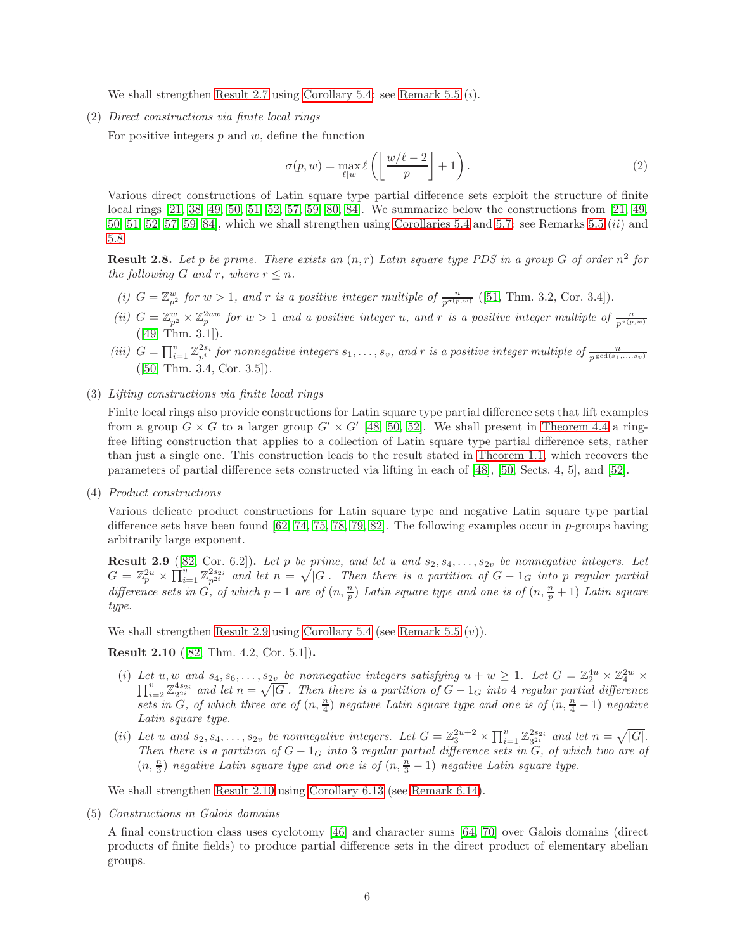We shall strengthen [Result 2.7](#page-4-0) using [Corollary 5.4:](#page-17-0) see [Remark 5.5](#page-17-1)  $(i)$ .

(2) Direct constructions via finite local rings

For positive integers  $p$  and  $w$ , define the function

<span id="page-5-0"></span>
$$
\sigma(p, w) = \max_{\ell \mid w} \ell\left(\left\lfloor \frac{w/\ell - 2}{p} \right\rfloor + 1\right). \tag{2}
$$

Various direct constructions of Latin square type partial difference sets exploit the structure of finite local rings [\[21,](#page-27-11) [38,](#page-28-4) [49,](#page-28-12) [50,](#page-28-13) [51,](#page-29-2) [52,](#page-29-3) [57,](#page-29-17) [59,](#page-29-6) [80,](#page-30-9) [84\]](#page-30-11). We summarize below the constructions from [\[21,](#page-27-11) [49,](#page-28-12) [50,](#page-28-13) [51,](#page-29-2) [52,](#page-29-3) [57,](#page-29-17) [59,](#page-29-6) [84\]](#page-30-11), which we shall strengthen using [Corollaries 5.4](#page-17-0) and [5.7:](#page-17-2) see Remarks [5.5](#page-17-1)  $(ii)$  and [5.8.](#page-18-2)

<span id="page-5-3"></span>**Result 2.8.** Let p be prime. There exists an  $(n,r)$  Latin square type PDS in a group G of order  $n^2$  for the following G and r, where  $r \leq n$ .

- (i)  $G = \mathbb{Z}_{p^2}^w$  for  $w > 1$ , and r is a positive integer multiple of  $\frac{n}{p^{\sigma(p,w)}}$  ([\[51,](#page-29-2) Thm. 3.2, Cor. 3.4]).
- (ii)  $G = \mathbb{Z}_{p^2}^w \times \mathbb{Z}_p^{2uw}$  for  $w > 1$  and a positive integer u, and r is a positive integer multiple of  $\frac{n}{p^{\sigma(p,w)}}$  $([49, Thm. 3.1]).$  $([49, Thm. 3.1]).$  $([49, Thm. 3.1]).$
- (iii)  $G = \prod_{i=1}^{v} \mathbb{Z}_{p^i}^{2s_i}$  for nonnegative integers  $s_1, \ldots, s_v$ , and r is a positive integer multiple of  $\frac{n}{p^{\gcd(s_1,\ldots,s_v)}}$  $([50, Thm. 3.4, Cor. 3.5]).$  $([50, Thm. 3.4, Cor. 3.5]).$  $([50, Thm. 3.4, Cor. 3.5]).$
- (3) Lifting constructions via finite local rings

Finite local rings also provide constructions for Latin square type partial difference sets that lift examples from a group  $G \times G$  to a larger group  $G' \times G'$  [\[48,](#page-28-11) [50,](#page-28-13) [52\]](#page-29-3). We shall present in [Theorem 4.4](#page-11-1) a ringfree lifting construction that applies to a collection of Latin square type partial difference sets, rather than just a single one. This construction leads to the result stated in [Theorem 1.1,](#page-1-0) which recovers the parameters of partial difference sets constructed via lifting in each of [\[48\]](#page-28-11), [\[50,](#page-28-13) Sects. 4, 5], and [\[52\]](#page-29-3).

(4) Product constructions

Various delicate product constructions for Latin square type and negative Latin square type partial difference sets have been found  $[62, 74, 75, 78, 79, 82]$  $[62, 74, 75, 78, 79, 82]$  $[62, 74, 75, 78, 79, 82]$  $[62, 74, 75, 78, 79, 82]$  $[62, 74, 75, 78, 79, 82]$  $[62, 74, 75, 78, 79, 82]$ . The following examples occur in p-groups having arbitrarily large exponent.

<span id="page-5-1"></span>**Result 2.9** ([\[82,](#page-30-10) Cor. 6.2]). Let p be prime, and let u and  $s_2, s_4, \ldots, s_{2v}$  be nonnegative integers. Let  $G = \mathbb{Z}_p^{2u} \times \prod_{i=1}^v \mathbb{Z}_{p^{2i}}^{2s_{2i}}$  and let  $n = \sqrt{|G|}$ . Then there is a partition of  $G - 1_G$  into p regular partial difference sets in  $\tilde{G}$ , of which  $p-1$  are of  $(n, \frac{n}{p})$  Latin square type and one is of  $(n, \frac{n}{p}+1)$  Latin square type.

<span id="page-5-2"></span>We shall strengthen [Result 2.9](#page-5-1) using [Corollary 5.4](#page-17-0) (see [Remark 5.5](#page-17-1)  $(v)$ ).

Result 2.10 ([\[82,](#page-30-10) Thm. 4.2, Cor. 5.1]).

- (i) Let  $u, w$  and  $s_4, s_6, \ldots, s_{2v}$  be nonnegative integers satisfying  $u + w \ge 1$ . Let  $G = \mathbb{Z}_2^{4u} \times \mathbb{Z}_4^{2w}$ Let u, w and  $s_4, s_6, \ldots, s_{2v}$  be nonnegative integers satisfying  $u + w \geq 1$ . Let  $G = \mathbb{Z}_2^{\infty} \times \mathbb{Z}_4^{\infty} \times \prod_{i=2}^{v} \mathbb{Z}_2^{4s_{2i}}$  and let  $n = \sqrt{|G|}$ . Then there is a partition of  $G - 1_G$  into 4 regular partial sets in G, of which three are of  $(n, \frac{n}{4})$  negative Latin square type and one is of  $(n, \frac{n}{4}-1)$  negative Latin square type.
- (ii) Let u and  $s_2, s_4, \ldots, s_{2v}$  be nonnegative integers. Let  $G = \mathbb{Z}_3^{2u+2} \times \prod_{i=1}^{v} \mathbb{Z}_{32i}^{2s_{2i}}$  and let  $n = \sqrt{|G|}$ . Then there is a partition of  $G - 1_G$  into 3 regular partial difference sets in  $G$ , of which two are of  $(n, \frac{n}{3})$  negative Latin square type and one is of  $(n, \frac{n}{3}-1)$  negative Latin square type.

We shall strengthen [Result 2.10](#page-5-2) using [Corollary 6.13](#page-22-1) (see [Remark 6.14\)](#page-22-2).

(5) Constructions in Galois domains

A final construction class uses cyclotomy [\[46\]](#page-28-9) and character sums [\[64,](#page-29-10) [70\]](#page-29-15) over Galois domains (direct products of finite fields) to produce partial difference sets in the direct product of elementary abelian groups.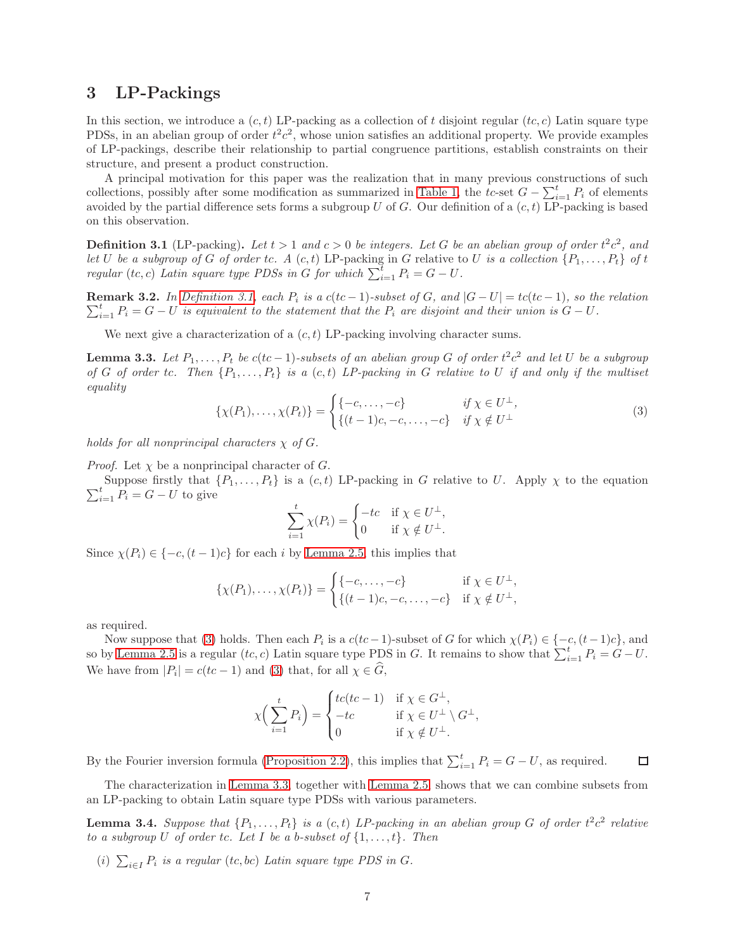### <span id="page-6-0"></span>3 LP-Packings

In this section, we introduce a  $(c, t)$  LP-packing as a collection of t disjoint regular  $(t, c)$  Latin square type PDSs, in an abelian group of order  $t^2c^2$ , whose union satisfies an additional property. We provide examples of LP-packings, describe their relationship to partial congruence partitions, establish constraints on their structure, and present a product construction.

A principal motivation for this paper was the realization that in many previous constructions of such collections, possibly after some modification as summarized in [Table 1,](#page-2-0) the tc-set  $G - \sum_{i=1}^{t} P_i$  of elements avoided by the partial difference sets forms a subgroup  $U$  of  $G$ . Our definition of a  $(c, t)$  LP-packing is based on this observation.

<span id="page-6-1"></span>**Definition 3.1** (LP-packing). Let  $t > 1$  and  $c > 0$  be integers. Let G be an abelian group of order  $t^2c^2$ , and let U be a subgroup of G of order tc. A  $(c, t)$  LP-packing in G relative to U is a collection  $\{P_1, \ldots, P_t\}$  of t regular (tc, c) Latin square type PDSs in G for which  $\sum_{i=1}^{t} P_i = G - U$ .

 $\sum_{i=1}^t P_i = G - U$  is equivalent to the statement that the  $P_i$  are disjoint and their union is  $G - U$ . Remark 3.2. In [Definition 3.1,](#page-6-1) each  $P_i$  is a  $c(bc-1)$ -subset of G, and  $|G-U|=tc(bc-1)$ , so the relation

<span id="page-6-3"></span>We next give a characterization of a  $(c, t)$  LP-packing involving character sums.

**Lemma 3.3.** Let  $P_1, \ldots, P_t$  be  $c(tc-1)$ -subsets of an abelian group G of order  $t^2c^2$  and let U be a subgroup of G of order tc. Then  $\{P_1, \ldots, P_t\}$  is a  $(c, t)$  LP-packing in G relative to U if and only if the multiset equality

<span id="page-6-2"></span>
$$
\{\chi(P_1),\ldots,\chi(P_t)\} = \begin{cases} \{-c,\ldots,-c\} & \text{if } \chi \in U^{\perp}, \\ \{(t-1)c,-c,\ldots,-c\} & \text{if } \chi \notin U^{\perp} \end{cases}
$$
 (3)

holds for all nonprincipal characters  $\chi$  of G.

*Proof.* Let  $\chi$  be a nonprincipal character of G.

Suppose firstly that  $\{P_1, \ldots, P_t\}$  is a  $(c, t)$  LP-packing in G relative to U. Apply  $\chi$  to the equation  $\sum_{i=1}^t P_i = G - U$  to give

$$
\sum_{i=1}^{t} \chi(P_i) = \begin{cases} -tc & \text{if } \chi \in U^{\perp}, \\ 0 & \text{if } \chi \notin U^{\perp}. \end{cases}
$$

Since  $\chi(P_i) \in \{-c, (t-1)c\}$  for each i by [Lemma 2.5,](#page-3-5) this implies that

$$
\{\chi(P_1), \ldots, \chi(P_t)\} = \begin{cases} \{-c, \ldots, -c\} & \text{if } \chi \in U^{\perp}, \\ \{(t-1)c, -c, \ldots, -c\} & \text{if } \chi \notin U^{\perp}, \end{cases}
$$

as required.

Now suppose that [\(3\)](#page-6-2) holds. Then each  $P_i$  is a  $c(tc-1)$ -subset of G for which  $\chi(P_i) \in \{-c, (t-1)c\}$ , and so by [Lemma 2.5](#page-3-5) is a regular  $(tc, c)$  Latin square type PDS in G. It remains to show that  $\sum_{i=1}^{t} P_i = G - U$ . We have from  $|P_i| = c(tc - 1)$  and [\(3\)](#page-6-2) that, for all  $\chi \in G$ ,

$$
\chi\Big(\sum_{i=1}^t P_i\Big) = \begin{cases} tc(tc-1) & \text{if } \chi \in G^\perp, \\ -tc & \text{if } \chi \in U^\perp \setminus G^\perp, \\ 0 & \text{if } \chi \notin U^\perp. \end{cases}
$$

By the Fourier inversion formula [\(Proposition 2.2\)](#page-3-1), this implies that  $\sum_{i=1}^{t} P_i = G - U$ , as required.  $\Box$ 

<span id="page-6-4"></span>The characterization in [Lemma 3.3,](#page-6-3) together with [Lemma 2.5,](#page-3-5) shows that we can combine subsets from an LP-packing to obtain Latin square type PDSs with various parameters.

**Lemma 3.4.** Suppose that  $\{P_1, \ldots, P_t\}$  is a  $(c, t)$  LP-packing in an abelian group G of order  $t^2c^2$  relative to a subgroup U of order tc. Let I be a b-subset of  $\{1, \ldots, t\}$ . Then

(i)  $\sum_{i\in I} P_i$  is a regular (tc, bc) Latin square type PDS in G.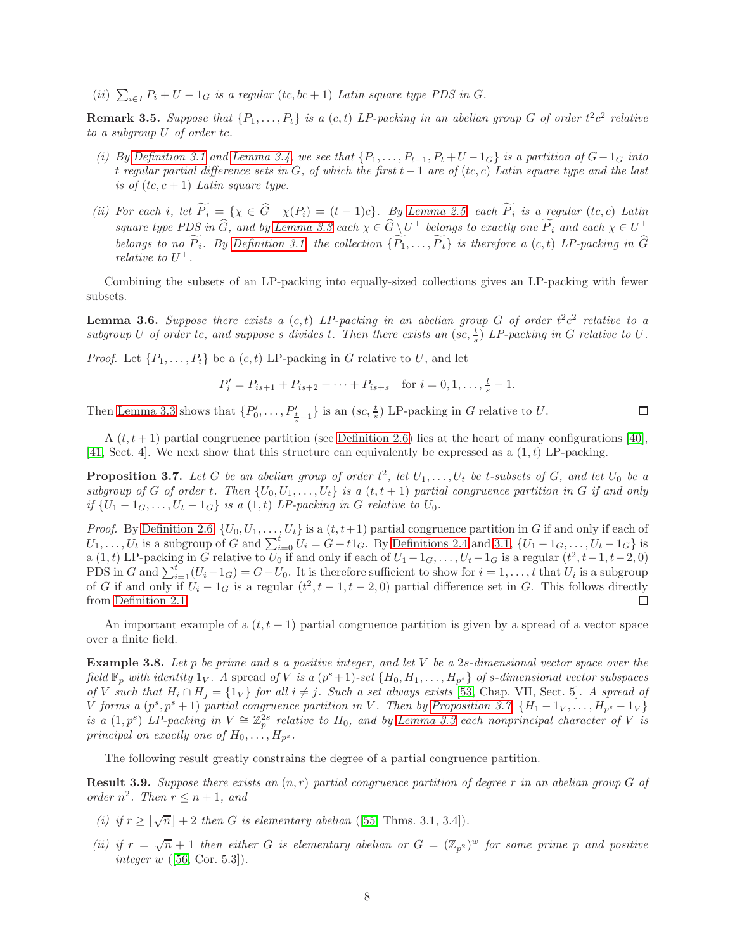(ii)  $\sum_{i\in I} P_i + U - 1_G$  is a regular  $(tc, bc + 1)$  Latin square type PDS in G.

<span id="page-7-3"></span>**Remark 3.5.** Suppose that  $\{P_1, \ldots, P_t\}$  is a  $(c, t)$  LP-packing in an abelian group G of order  $t^2c^2$  relative to a subgroup U of order tc.

- (i) By [Definition 3.1](#page-6-1) and [Lemma 3.4,](#page-6-4) we see that  $\{P_1, \ldots, P_{t-1}, P_t + U 1_G\}$  is a partition of  $G 1_G$  into t regular partial difference sets in G, of which the first  $t - 1$  are of  $(t, c)$  Latin square type and the last is of  $(tc, c + 1)$  Latin square type.
- (ii) For each i, let  $P_i = \{ \chi \in G \mid \chi(P_i) = (t-1)c \}.$  By [Lemma 2.5,](#page-3-5) each  $P_i$  is a regular (tc, c) Latin square type PDS in  $\widehat{G}$ , and by [Lemma 3.3](#page-6-3) each  $\chi \in \widehat{G} \setminus U^{\perp}$  belongs to exactly one  $\widehat{P}_i$  and each  $\chi \in U^{\perp}$ belongs to no  $\widetilde{P}_i$ . By [Definition 3.1,](#page-6-1) the collection  $\{\widetilde{P}_1,\ldots,\widetilde{P}_t\}$  is therefore a  $(c, t)$  LP-packing in  $\widehat{G}$ relative to  $U^{\perp}$ .

<span id="page-7-4"></span>Combining the subsets of an LP-packing into equally-sized collections gives an LP-packing with fewer subsets.

**Lemma 3.6.** Suppose there exists a  $(c, t)$  LP-packing in an abelian group G of order  $t^2c^2$  relative to a subgroup U of order tc, and suppose s divides t. Then there exists an  $បc, \frac{t}{s}$  DP-packing in G relative to U.

*Proof.* Let  $\{P_1, \ldots, P_t\}$  be a  $(c, t)$  LP-packing in G relative to U, and let

$$
P'_{i} = P_{is+1} + P_{is+2} + \dots + P_{is+s} \quad \text{for } i = 0, 1, \dots, \frac{t}{s} - 1.
$$

Then [Lemma 3.3](#page-6-3) shows that  $\{P'_0, \ldots, P'_{\frac{t}{s}-1}\}\$  is an  $បc, \frac{t}{s})$  LP-packing in G relative to U.

 $\Box$ 

<span id="page-7-0"></span>A  $(t, t + 1)$  partial congruence partition (see [Definition 2.6\)](#page-4-1) lies at the heart of many configurations [\[40\]](#page-28-17), [\[41,](#page-28-18) Sect. 4]. We next show that this structure can equivalently be expressed as a  $(1,t)$  LP-packing.

**Proposition 3.7.** Let G be an abelian group of order  $t^2$ , let  $U_1, \ldots, U_t$  be t-subsets of G, and let  $U_0$  be a subgroup of G of order t. Then  $\{U_0, U_1, \ldots, U_t\}$  is a  $(t, t + 1)$  partial congruence partition in G if and only if  $\{U_1 - 1_G, \ldots, U_t - 1_G\}$  is a  $(1, t)$  LP-packing in G relative to  $U_0$ .

*Proof.* By [Definition 2.6,](#page-4-1)  $\{U_0, U_1, \ldots, U_t\}$  is a  $(t, t+1)$  partial congruence partition in G if and only if each of  $U_1, \ldots, U_t$  is a subgroup of G and  $\sum_{i=0}^t U_i = G + t1_G$ . By [Definitions 2.4](#page-3-3) and [3.1,](#page-6-1)  $\{U_1 - 1_G, \ldots, U_t - 1_G\}$  is a  $(1, t)$  LP-packing in G relative to  $U_0$  if and only if each of  $U_1 - 1_G, \ldots, U_t - 1_G$  is a regular  $(t^2, t-1, t-2, 0)$ PDS in G and  $\sum_{i=1}^{t} (U_i - 1_G) = G - U_0$ . It is therefore sufficient to show for  $i = 1, \ldots, t$  that  $U_i$  is a subgroup of G if and only if  $U_i - 1_G$  is a regular  $(t^2, t - 1, t - 2, 0)$  partial difference set in G. This follows directly from [Definition 2.1.](#page-2-2)

<span id="page-7-1"></span>An important example of a  $(t, t + 1)$  partial congruence partition is given by a spread of a vector space over a finite field.

**Example 3.8.** Let  $p$  be prime and  $s$  a positive integer, and let  $V$  be a 2s-dimensional vector space over the field  $\mathbb{F}_p$  with identity  $1_V$ . A spread of V is a  $(p^s+1)$ -set  $\{H_0, H_1, \ldots, H_{p^s}\}$  of s-dimensional vector subspaces of V such that  $H_i \cap H_j = \{1_V\}$  for all  $i \neq j$ . Such a set always exists [\[53,](#page-29-20) Chap. VII, Sect. 5]. A spread of V forms a  $(p^s, p^s + 1)$  partial congruence partition in V. Then by [Proposition 3.7,](#page-7-0)  $\{H_1 - 1_V, \ldots, H_{p^s} - 1_V\}$ is a  $(1,p^s)$  LP-packing in  $V \cong \mathbb{Z}_p^{2s}$  relative to  $H_0$ , and by [Lemma 3.3](#page-6-3) each nonprincipal character of V is principal on exactly one of  $H_0, \ldots, H_{p^s}$ .

<span id="page-7-2"></span>The following result greatly constrains the degree of a partial congruence partition.

**Result 3.9.** Suppose there exists an  $(n, r)$  partial congruence partition of degree r in an abelian group G of order  $n^2$ . Then  $r \leq n+1$ , and

- (i) if  $r \geq \lfloor \sqrt{n} \rfloor + 2$  then G is elementary abelian ([\[55,](#page-29-18) Thms. 3.1, 3.4]).
- (ii) if  $r = \sqrt{n} + 1$  then either G is elementary abelian or  $G = (\mathbb{Z}_{p^2})^w$  for some prime p and positive *integer w* ([\[56,](#page-29-19) Cor. 5.3]).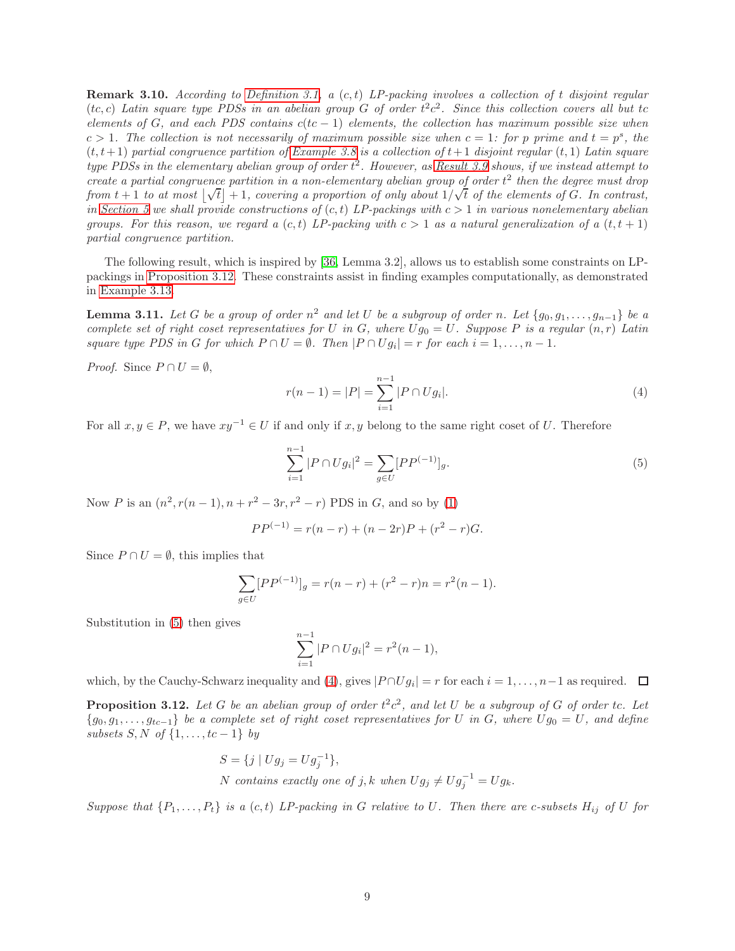**Remark 3.10.** According to [Definition 3.1,](#page-6-1) a  $(c, t)$  LP-packing involves a collection of t disjoint regular (tc, c) Latin square type PDSs in an abelian group G of order  $t^2c^2$ . Since this collection covers all but to elements of G, and each PDS contains  $c(tc - 1)$  elements, the collection has maximum possible size when  $c > 1$ . The collection is not necessarily of maximum possible size when  $c = 1$ : for p prime and  $t = p<sup>s</sup>$ , the  $(t, t+1)$  partial congruence partition of [Example 3.8](#page-7-1) is a collection of  $t+1$  disjoint regular  $(t, 1)$  Latin square type PDSs in the elementary abelian group of order  $t^2$ . However, as [Result 3.9](#page-7-2) shows, if we instead attempt to create a partial congruence partition in a non-elementary abelian group of order  $t^2$  then the degree must drop from  $t + 1$  to at most  $|\sqrt{t}| + 1$ , covering a proportion of only about  $1/\sqrt{t}$  of the elements of G. In contrast, in [Section 5](#page-15-0) we shall provide constructions of  $(c, t)$  LP-packings with  $c > 1$  in various nonelementary abelian groups. For this reason, we regard a  $(c, t)$  LP-packing with  $c > 1$  as a natural generalization of a  $(t, t + 1)$ partial congruence partition.

The following result, which is inspired by [\[36,](#page-28-15) Lemma 3.2], allows us to establish some constraints on LPpackings in [Proposition 3.12.](#page-8-0) These constraints assist in finding examples computationally, as demonstrated in [Example 3.13.](#page-9-0)

<span id="page-8-3"></span>**Lemma 3.11.** Let G be a group of order  $n^2$  and let U be a subgroup of order n. Let  $\{g_0, g_1, \ldots, g_{n-1}\}$  be a complete set of right coset representatives for U in G, where  $Ug_0 = U$ . Suppose P is a regular  $(n, r)$  Latin square type PDS in G for which  $P \cap U = \emptyset$ . Then  $|P \cap Ug_i| = r$  for each  $i = 1, ..., n - 1$ .

*Proof.* Since  $P \cap U = \emptyset$ ,

<span id="page-8-2"></span>
$$
r(n-1) = |P| = \sum_{i=1}^{n-1} |P \cap Ug_i|.
$$
 (4)

For all  $x, y \in P$ , we have  $xy^{-1} \in U$  if and only if  $x, y$  belong to the same right coset of U. Therefore

<span id="page-8-1"></span>
$$
\sum_{i=1}^{n-1} |P \cap Ug_i|^2 = \sum_{g \in U} [PP^{(-1)}]_g.
$$
\n(5)

Now P is an  $(n^2, r(n-1), n + r^2 - 3r, r^2 - r)$  PDS in G, and so by [\(1\)](#page-3-2)

$$
PP^{(-1)} = r(n - r) + (n - 2r)P + (r^{2} - r)G.
$$

Since  $P \cap U = \emptyset$ , this implies that

$$
\sum_{g \in U} [PP^{(-1)}]_g = r(n-r) + (r^2 - r)n = r^2(n-1).
$$

Substitution in [\(5\)](#page-8-1) then gives

$$
\sum_{i=1}^{n-1} |P \cap Ug_i|^2 = r^2(n-1),
$$

which, by the Cauchy-Schwarz inequality and [\(4\)](#page-8-2), gives  $|P \cap Ug_i| = r$  for each  $i = 1, ..., n-1$  as required.

<span id="page-8-0"></span>**Proposition 3.12.** Let G be an abelian group of order  $t^2c^2$ , and let U be a subgroup of G of order tc. Let  ${g_0, g_1, \ldots, g_{tc-1}}$  be a complete set of right coset representatives for U in G, where  $Ug_0 = U$ , and define subsets  $S, N$  of  $\{1, \ldots, tc-1\}$  by

$$
S = \{j \mid Ug_j = Ug_j^{-1}\},\
$$
  
N contains exactly one of j, k when  $Ug_j \neq Ug_j^{-1} = Ug_k$ .

Suppose that  $\{P_1,\ldots,P_t\}$  is a  $(c, t)$  LP-packing in G relative to U. Then there are c-subsets  $H_{ij}$  of U for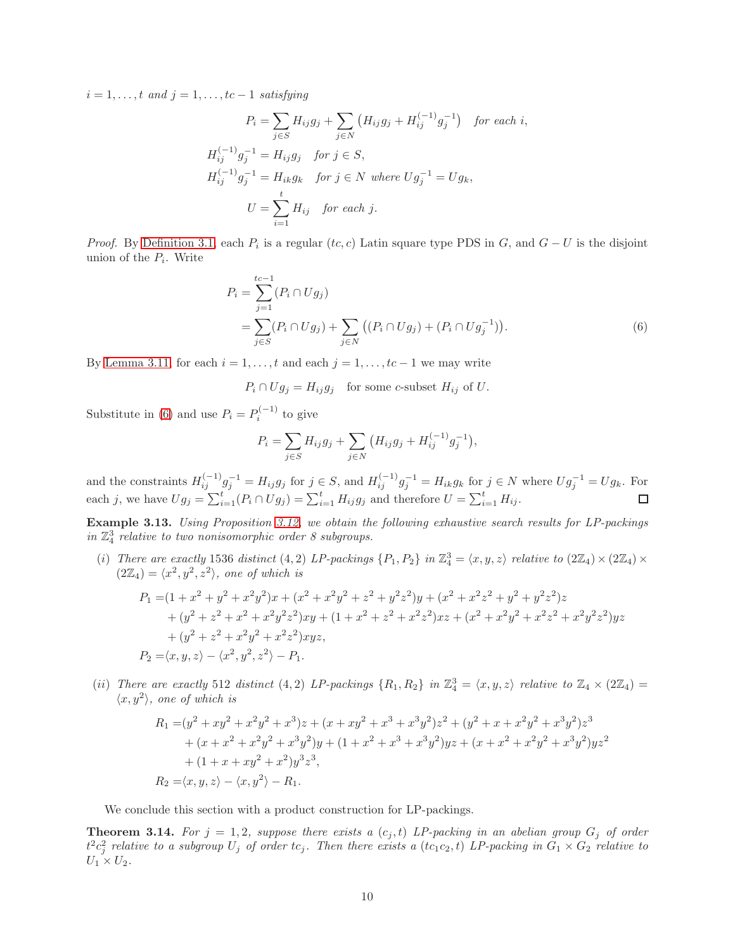$i = 1, \ldots, t$  and  $j = 1, \ldots, tc-1$  satisfying

$$
P_i = \sum_{j \in S} H_{ij} g_j + \sum_{j \in N} (H_{ij} g_j + H_{ij}^{(-1)} g_j^{-1}) \quad \text{for each } i,
$$
  
\n
$$
H_{ij}^{(-1)} g_j^{-1} = H_{ij} g_j \quad \text{for } j \in S,
$$
  
\n
$$
H_{ij}^{(-1)} g_j^{-1} = H_{ik} g_k \quad \text{for } j \in N \text{ where } U g_j^{-1} = U g_k,
$$
  
\n
$$
U = \sum_{i=1}^t H_{ij} \quad \text{for each } j.
$$

*Proof.* By [Definition 3.1,](#page-6-1) each  $P_i$  is a regular  $(t, c)$  Latin square type PDS in  $G$ , and  $G - U$  is the disjoint union of the  $P_i$ . Write

$$
P_i = \sum_{j=1}^{tc-1} (P_i \cap Ug_j)
$$
  
= 
$$
\sum_{j \in S} (P_i \cap Ug_j) + \sum_{j \in N} ((P_i \cap Ug_j) + (P_i \cap Ug_j^{-1})).
$$
 (6)

By [Lemma 3.11,](#page-8-3) for each  $i = 1, \ldots, t$  and each  $j = 1, \ldots, tc - 1$  we may write

 $P_i \cap Ug_j = H_{ij}g_j$  for some c-subset  $H_{ij}$  of U.

Substitute in [\(6\)](#page-9-1) and use  $P_i = P_i^{(-1)}$  $\sum_{i=1}^{(n-1)}$  to give

<span id="page-9-1"></span>
$$
P_i = \sum_{j \in S} H_{ij} g_j + \sum_{j \in N} (H_{ij} g_j + H_{ij}^{(-1)} g_j^{-1}),
$$

and the constraints  $H_{ij}^{(-1)}g_j^{-1} = H_{ij}g_j$  for  $j \in S$ , and  $H_{ij}^{(-1)}g_j^{-1} = H_{ik}g_k$  for  $j \in N$  where  $Ug_j^{-1} = Ug_k$ . For each j, we have  $Ug_j = \sum_{i=1}^t (P_i \cap Ug_j) = \sum_{i=1}^t H_{ij}g_j$  and therefore  $U = \sum_{i=1}^t H_{ij}$ .

<span id="page-9-0"></span>Example 3.13. Using Proposition [3.12,](#page-8-0) we obtain the following exhaustive search results for LP-packings in  $\mathbb{Z}_4^3$  relative to two nonisomorphic order 8 subgroups.

(i) There are exactly 1536 distinct (4, 2) LP-packings  $\{P_1, P_2\}$  in  $\mathbb{Z}_4^3 = \langle x, y, z \rangle$  relative to  $(2\mathbb{Z}_4) \times (2\mathbb{Z}_4) \times$  $(2\mathbb{Z}_4) = \langle x^2, y^2, z^2 \rangle$ , one of which is

$$
P_1 = (1 + x^2 + y^2 + x^2y^2)x + (x^2 + x^2y^2 + z^2 + y^2z^2)y + (x^2 + x^2z^2 + y^2 + y^2z^2)z
$$
  
+ 
$$
(y^2 + z^2 + x^2 + x^2y^2z^2)xy + (1 + x^2 + z^2 + x^2z^2)xz + (x^2 + x^2y^2 + x^2z^2 + x^2y^2z^2)yz
$$
  
+ 
$$
(y^2 + z^2 + x^2y^2 + x^2z^2)xyz,
$$
  

$$
P_2 = \langle x, y, z \rangle - \langle x^2, y^2, z^2 \rangle - P_1.
$$

(ii) There are exactly 512 distinct (4,2) LP-packings  $\{R_1, R_2\}$  in  $\mathbb{Z}_4^3 = \langle x, y, z \rangle$  relative to  $\mathbb{Z}_4 \times (2\mathbb{Z}_4) =$  $\langle x, y^2 \rangle$ , one of which is

$$
R_1 = (y^2 + xy^2 + x^2y^2 + x^3)z + (x + xy^2 + x^3 + x^3y^2)z^2 + (y^2 + x + x^2y^2 + x^3y^2)z^3
$$
  
+ 
$$
(x + x^2 + x^2y^2 + x^3y^2)y + (1 + x^2 + x^3 + x^3y^2)yz + (x + x^2 + x^2y^2 + x^3y^2)yz^2
$$
  
+ 
$$
(1 + x + xy^2 + x^2)y^3z^3,
$$
  

$$
R_2 = \langle x, y, z \rangle - \langle x, y^2 \rangle - R_1.
$$

<span id="page-9-2"></span>We conclude this section with a product construction for LP-packings.

**Theorem 3.14.** For  $j = 1, 2$ , suppose there exists a  $(c_j, t)$  LP-packing in an abelian group  $G_j$  of order  $t^2c_j^2$  relative to a subgroup  $U_j$  of order  $tc_j$ . Then there exists a  $(tc_1c_2,t)$  LP-packing in  $G_1\times G_2$  relative to  $U_1 \times U_2$ .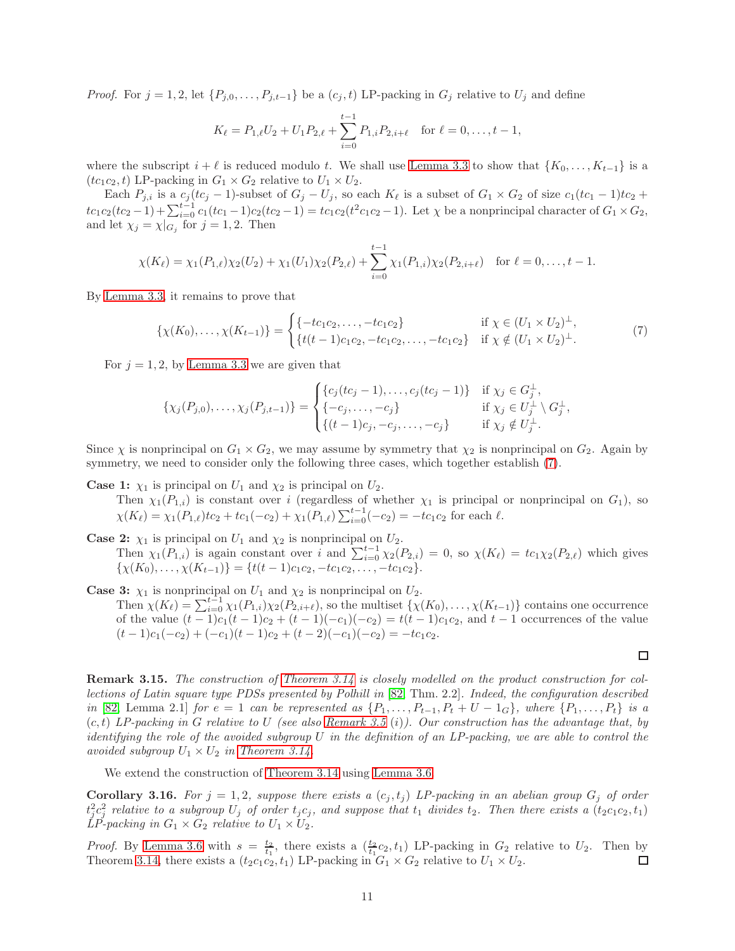*Proof.* For  $j = 1, 2$ , let  $\{P_{j,0}, \ldots, P_{j,t-1}\}$  be a  $(c_j, t)$  LP-packing in  $G_j$  relative to  $U_j$  and define

$$
K_{\ell} = P_{1,\ell}U_2 + U_1 P_{2,\ell} + \sum_{i=0}^{t-1} P_{1,i} P_{2,i+\ell} \quad \text{for } \ell = 0,\ldots, t-1,
$$

where the subscript  $i + \ell$  is reduced modulo t. We shall use [Lemma 3.3](#page-6-3) to show that  $\{K_0, \ldots, K_{t-1}\}\$ is a  $(tc_1c_2, t)$  LP-packing in  $G_1 \times G_2$  relative to  $U_1 \times U_2$ .

Each  $P_{j,i}$  is a  $c_j (tc_j - 1)$ -subset of  $G_j - U_j$ , so each  $K_\ell$  is a subset of  $G_1 \times G_2$  of size  $c_1 (tc_1 - 1)tc_2 +$  $tc_1c_2(cc_2-1) + \sum_{i=0}^{t-1} c_1(bc_1-1)c_2(bc_2-1) = tc_1c_2(t^2c_1c_2-1)$ . Let  $\chi$  be a nonprincipal character of  $G_1 \times G_2$ , and let  $\chi_j = \chi|_{G_j}$  for  $j = 1, 2$ . Then

$$
\chi(K_{\ell}) = \chi_1(P_{1,\ell})\chi_2(U_2) + \chi_1(U_1)\chi_2(P_{2,\ell}) + \sum_{i=0}^{t-1} \chi_1(P_{1,i})\chi_2(P_{2,i+\ell}) \text{ for } \ell = 0,\ldots,t-1.
$$

By [Lemma 3.3,](#page-6-3) it remains to prove that

<span id="page-10-0"></span>
$$
\{\chi(K_0),\ldots,\chi(K_{t-1})\} = \begin{cases} \{-tc_1c_2,\ldots,-tc_1c_2\} & \text{if } \chi \in (U_1 \times U_2)^{\perp}, \\ \{t(t-1)c_1c_2,-tc_1c_2,\ldots,-tc_1c_2\} & \text{if } \chi \notin (U_1 \times U_2)^{\perp}. \end{cases}
$$
(7)

For  $j = 1, 2$ , by [Lemma 3.3](#page-6-3) we are given that

$$
\{\chi_j(P_{j,0}),\ldots,\chi_j(P_{j,t-1})\} = \begin{cases} \{c_j(tc_j-1),\ldots,c_j(tc_j-1)\} & \text{if } \chi_j \in G_j^{\perp}, \\ \{-c_j,\ldots,-c_j\} & \text{if } \chi_j \in U_j^{\perp} \setminus G_j^{\perp}, \\ \{(t-1)c_j,-c_j,\ldots,-c_j\} & \text{if } \chi_j \notin U_j^{\perp}. \end{cases}
$$

Since  $\chi$  is nonprincipal on  $G_1 \times G_2$ , we may assume by symmetry that  $\chi_2$  is nonprincipal on  $G_2$ . Again by symmetry, we need to consider only the following three cases, which together establish [\(7\)](#page-10-0).

**Case 1:**  $\chi_1$  is principal on  $U_1$  and  $\chi_2$  is principal on  $U_2$ .

Then  $\chi_1(P_{1,i})$  is constant over i (regardless of whether  $\chi_1$  is principal or nonprincipal on  $G_1$ ), so  $\chi(K_{\ell}) = \chi_1(P_{1,\ell})t_{2} + t_{1}(-c_{2}) + \chi_1(P_{1,\ell})\sum_{i=0}^{t-1}(-c_{2}) = -tc_{1}c_{2}$  for each  $\ell$ .

**Case 2:**  $\chi_1$  is principal on  $U_1$  and  $\chi_2$  is nonprincipal on  $U_2$ .

Then  $\chi_1(P_{1,i})$  is again constant over i and  $\sum_{i=0}^{t-1} \chi_2(P_{2,i}) = 0$ , so  $\chi(K_\ell) = tc_1\chi_2(P_{2,\ell})$  which gives  $\{\chi(K_0), \ldots, \chi(K_{t-1})\} = \{t(t-1)c_1c_2, -tc_1c_2, \ldots, -tc_1c_2\}.$ 

**Case 3:**  $\chi_1$  is nonprincipal on  $U_1$  and  $\chi_2$  is nonprincipal on  $U_2$ . Then  $\chi(K_{\ell}) = \sum_{i=0}^{t-1} \chi_1(P_{1,i}) \chi_2(P_{2,i+\ell}),$  so the multiset  $\{\chi(K_0), \ldots, \chi(K_{t-1})\}$  contains one occurrence of the value  $(t-1)c_1(t-1)c_2 + (t-1)(-c_1)(-c_2) = t(t-1)c_1c_2$ , and  $t-1$  occurrences of the value  $(t-1)c_1(-c_2) + (-c_1)(t-1)c_2 + (t-2)(-c_1)(-c_2) = -tc_1c_2.$ 

Remark 3.15. The construction of [Theorem 3.14](#page-9-2) is closely modelled on the product construction for collections of Latin square type PDSs presented by Polhill in [\[82,](#page-30-10) Thm. 2.2]. Indeed, the configuration described in [\[82,](#page-30-10) Lemma 2.1] for  $e = 1$  can be represented as  $\{P_1, \ldots, P_{t-1}, P_t + U - 1_G\}$ , where  $\{P_1, \ldots, P_t\}$  is a  $(c, t)$  LP-packing in G relative to U (see also [Remark 3.5](#page-7-3) (i)). Our construction has the advantage that, by identifying the role of the avoided subgroup  $U$  in the definition of an LP-packing, we are able to control the avoided subgroup  $U_1 \times U_2$  in [Theorem 3.14.](#page-9-2)

<span id="page-10-1"></span>We extend the construction of [Theorem 3.14](#page-9-2) using [Lemma 3.6.](#page-7-4)

**Corollary 3.16.** For  $j = 1, 2$ , suppose there exists a  $(c_j, t_j)$  LP-packing in an abelian group  $G_j$  of order  $t_j^2c_j^2$  relative to a subgroup  $U_j$  of order  $t_jc_j$ , and suppose that  $t_1$  divides  $t_2$ . Then there exists a  $(t_2c_1c_2,t_1)$  $LP$ -packing in  $G_1 \times G_2$  relative to  $U_1 \times U_2$ .

*Proof.* By [Lemma 3.6](#page-7-4) with  $s = \frac{t_2}{t_1}$ , there exists a  $(\frac{t_2}{t_1}c_2, t_1)$  LP-packing in  $G_2$  relative to  $U_2$ . Then by Theorem [3.14,](#page-9-2) there exists a  $(t_2c_1c_2, t_1)$  LP-packing in  $G_1 \times G_2$  relative to  $U_1 \times U_2$ .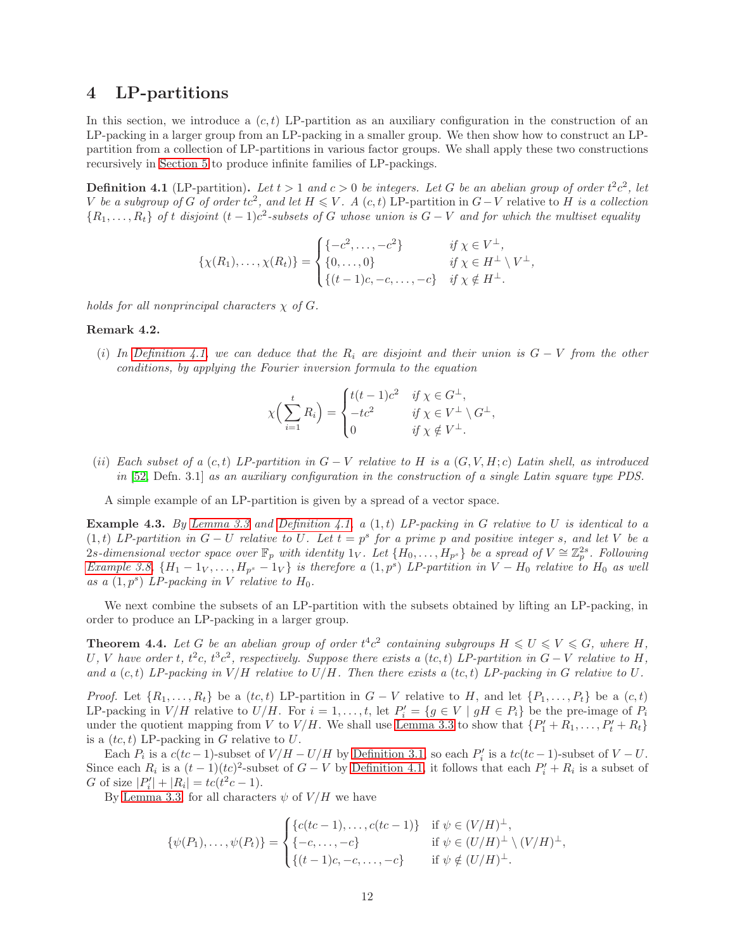### <span id="page-11-0"></span>4 LP-partitions

In this section, we introduce a  $(c, t)$  LP-partition as an auxiliary configuration in the construction of an LP-packing in a larger group from an LP-packing in a smaller group. We then show how to construct an LPpartition from a collection of LP-partitions in various factor groups. We shall apply these two constructions recursively in [Section 5](#page-15-0) to produce infinite families of LP-packings.

<span id="page-11-2"></span>**Definition 4.1** (LP-partition). Let  $t > 1$  and  $c > 0$  be integers. Let G be an abelian group of order  $t^2c^2$ , let V be a subgroup of G of order tc<sup>2</sup>, and let  $H \leqslant V$ . A (c, t) LP-partition in  $G-V$  relative to H is a collection  $\{R_1,\ldots,R_t\}$  of t disjoint  $(t-1)c^2$ -subsets of G whose union is  $G-V$  and for which the multiset equality

$$
\{\chi(R_1),\ldots,\chi(R_t)\} = \begin{cases} \{-c^2,\ldots,-c^2\} & \text{if } \chi \in V^{\perp}, \\ \{0,\ldots,0\} & \text{if } \chi \in H^{\perp} \setminus V^{\perp}, \\ \{(t-1)c,-c,\ldots,-c\} & \text{if } \chi \notin H^{\perp}. \end{cases}
$$

<span id="page-11-3"></span>holds for all nonprincipal characters  $\chi$  of G.

#### Remark 4.2.

(i) In [Definition 4.1,](#page-11-2) we can deduce that the  $R_i$  are disjoint and their union is  $G - V$  from the other conditions, by applying the Fourier inversion formula to the equation

$$
\chi\Big(\sum_{i=1}^t R_i\Big) = \begin{cases} t(t-1)c^2 & \text{if } \chi \in G^\perp, \\ -tc^2 & \text{if } \chi \in V^\perp \setminus G^\perp, \\ 0 & \text{if } \chi \notin V^\perp. \end{cases}
$$

(ii) Each subset of a  $(c, t)$  LP-partition in  $G - V$  relative to H is a  $(G, V, H; c)$  Latin shell, as introduced in [\[52,](#page-29-3) Defn. 3.1] as an auxiliary configuration in the construction of a single Latin square type PDS.

<span id="page-11-4"></span>A simple example of an LP-partition is given by a spread of a vector space.

**Example 4.3.** By [Lemma 3.3](#page-6-3) and [Definition 4.1,](#page-11-2) a  $(1,t)$  LP-packing in G relative to U is identical to a  $(1,t)$  LP-partition in  $G-U$  relative to U. Let  $t = p^s$  for a prime p and positive integer s, and let V be a 2s-dimensional vector space over  $\mathbb{F}_p$  with identity 1<sub>V</sub>. Let  $\{H_0, \ldots, H_{p^s}\}$  be a spread of  $V \cong \mathbb{Z}_p^{2s}$ . Following [Example 3.8,](#page-7-1)  $\{H_1-1_V,\ldots,H_{p^s}-1_V\}$  is therefore a  $(1,p^s)$  LP-partition in  $V-H_0$  relative to  $H_0$  as well as a  $(1, p^s)$  LP-packing in V relative to  $H_0$ .

<span id="page-11-1"></span>We next combine the subsets of an LP-partition with the subsets obtained by lifting an LP-packing, in order to produce an LP-packing in a larger group.

**Theorem 4.4.** Let G be an abelian group of order  $t^4c^2$  containing subgroups  $H \le U \le V \le G$ , where H, U, V have order t,  $t^2c$ ,  $t^3c^2$ , respectively. Suppose there exists a  $(tc, t)$  LP-partition in  $G - V$  relative to H, and a  $(c, t)$  LP-packing in  $V/H$  relative to  $U/H$ . Then there exists a  $(tc, t)$  LP-packing in G relative to U.

*Proof.* Let  $\{R_1, \ldots, R_t\}$  be a  $(tc, t)$  LP-partition in  $G - V$  relative to H, and let  $\{P_1, \ldots, P_t\}$  be a  $(c, t)$ LP-packing in  $V/H$  relative to  $U/H$ . For  $i = 1, ..., t$ , let  $P'_i = \{g \in V \mid gH \in P_i\}$  be the pre-image of  $P_i$ under the quotient mapping from V to  $V/H$ . We shall use [Lemma 3.3](#page-6-3) to show that  $\{P'_1 + R_1, \ldots, P'_t + R_t\}$ is a  $(tc, t)$  LP-packing in G relative to U.

Each  $P_i$  is a  $c(bc-1)$ -subset of  $V/H - U/H$  by [Definition 3.1,](#page-6-1) so each  $P'_i$  is a  $tc(bc-1)$ -subset of  $V-U$ . Since each  $R_i$  is a  $(t-1)(tc)^2$ -subset of  $G-V$  by [Definition 4.1,](#page-11-2) it follows that each  $P'_i+R_i$  is a subset of G of size  $|P'_i| + |R_i| = tc(t^2c - 1)$ .

By [Lemma 3.3,](#page-6-3) for all characters  $\psi$  of  $V/H$  we have

$$
\{\psi(P_1), \dots, \psi(P_t)\} = \begin{cases} \{c(tc-1), \dots, c(tc-1)\} & \text{if } \psi \in (V/H)^{\perp}, \\ \{-c, \dots, -c\} & \text{if } \psi \in (U/H)^{\perp} \setminus (V/H)^{\perp}, \\ \{(t-1)c, -c, \dots, -c\} & \text{if } \psi \notin (U/H)^{\perp}. \end{cases}
$$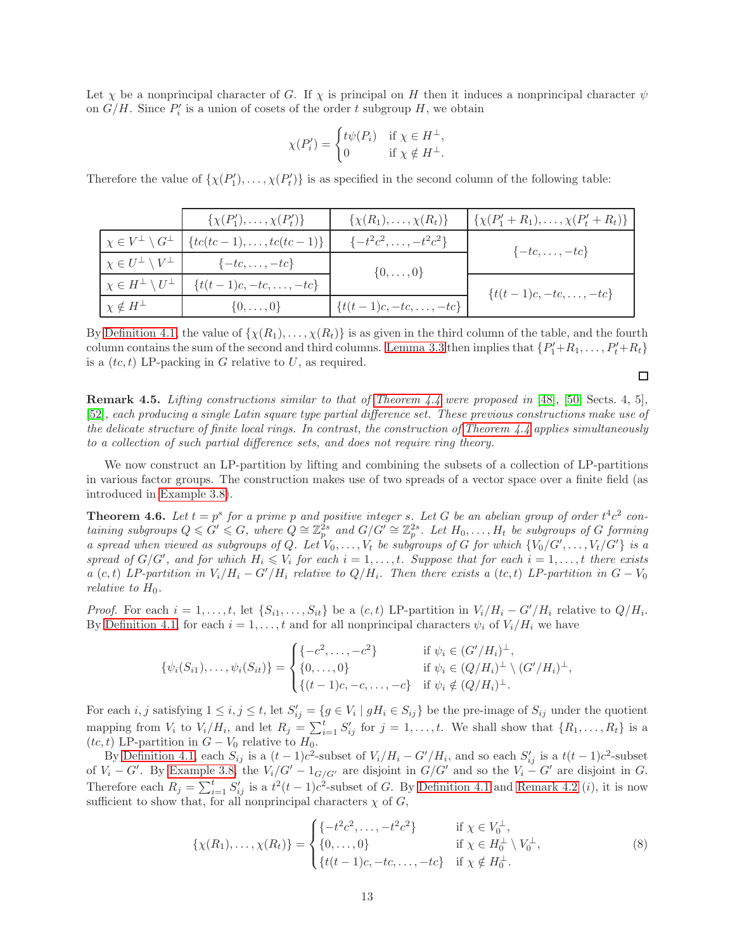Let  $\chi$  be a nonprincipal character of G. If  $\chi$  is principal on H then it induces a nonprincipal character  $\psi$ on  $G/H$ . Since  $P'_i$  is a union of cosets of the order t subgroup H, we obtain

$$
\chi(P'_i) = \begin{cases} t\psi(P_i) & \text{if } \chi \in H^\perp, \\ 0 & \text{if } \chi \notin H^\perp. \end{cases}
$$

Therefore the value of  $\{\chi(P'_1), \ldots, \chi(P'_t)\}\$ is as specified in the second column of the following table:

|                                          | $\{\chi(P'_1), \ldots, \chi(P'_t)\}\$ | $\{\chi(R_1), \ldots, \chi(R_t)\}\$ | $\{\chi(P_1'+R_1),\ldots,\chi(P_t'+R_t)\}\$ |
|------------------------------------------|---------------------------------------|-------------------------------------|---------------------------------------------|
| $\chi \in V^{\perp} \setminus G^{\perp}$ | $\{tc(tc-1), \ldots, tc(tc-1)\}\;$    | $\{-t^2c^2,\ldots,-t^2c^2\}$        | $\{-tc, \ldots, -tc\}$                      |
| $\chi \in U^{\perp} \setminus V^{\perp}$ | $\{-tc, \ldots, -tc\}$                | $\{0,\ldots,0\}$                    |                                             |
| $\chi \in H^{\perp} \setminus U^{\perp}$ | $\{t(t-1)c, -tc, \ldots, -tc\}$       |                                     | $\{t(t-1)c, -tc, \ldots, -tc\}$             |
| $\chi \notin H^{\perp}$                  | $\{0,\ldots,0\}$                      | $\{t(t-1)c, -tc, \ldots, -tc\}$     |                                             |

By [Definition 4.1,](#page-11-2) the value of  $\{\chi(R_1), \ldots, \chi(R_t)\}\$  is as given in the third column of the table, and the fourth column contains the sum of the second and third columns. [Lemma 3.3](#page-6-3) then implies that  $\{P'_1+R_1,\ldots,P'_t+R_t\}$ is a  $(tc, t)$  LP-packing in G relative to U, as required.

 $\Box$ 

**Remark 4.5.** Lifting constructions similar to that of [Theorem 4.4](#page-11-1) were proposed in [\[48\]](#page-28-11), [\[50,](#page-28-13) Sects. 4, 5], [\[52\]](#page-29-3), each producing a single Latin square type partial difference set. These previous constructions make use of the delicate structure of finite local rings. In contrast, the construction of Theorem  $4.4$  applies simultaneously to a collection of such partial difference sets, and does not require ring theory.

We now construct an LP-partition by lifting and combining the subsets of a collection of LP-partitions in various factor groups. The construction makes use of two spreads of a vector space over a finite field (as introduced in [Example 3.8\)](#page-7-1).

<span id="page-12-1"></span>**Theorem 4.6.** Let  $t = p^s$  for a prime p and positive integer s. Let G be an abelian group of order  $t^4c^2$  containing subgroups  $Q \le G' \le G$ , where  $Q \cong \mathbb{Z}_p^{2s}$  and  $G/G' \cong \mathbb{Z}_p^{2s}$ . Let  $H_0, \ldots, H_t$  be subgroups of G forming a spread when viewed as subgroups of Q. Let  $V_0, \ldots, V_t$  be subgroups of G for which  $\{V_0/G', \ldots, V_t/G'\}$  is a spread of  $G/G'$ , and for which  $H_i \leqslant V_i$  for each  $i = 1, \ldots, t$ . Suppose that for each  $i = 1, \ldots, t$  there exists a (c, t) LP-partition in  $V_i/H_i - G'/H_i$  relative to  $Q/H_i$ . Then there exists a (tc, t) LP-partition in  $G - V_0$ relative to  $H_0$ .

*Proof.* For each  $i = 1, \ldots, t$ , let  $\{S_{i1}, \ldots, S_{it}\}\$ be a  $(c, t)$  LP-partition in  $V_i/H_i - G'/H_i$  relative to  $Q/H_i$ . By [Definition 4.1,](#page-11-2) for each  $i = 1, ..., t$  and for all nonprincipal characters  $\psi_i$  of  $V_i/H_i$  we have

$$
\{\psi_i(S_{i1}),\ldots,\psi_i(S_{it})\} = \begin{cases} \{-c^2,\ldots,-c^2\} & \text{if } \psi_i \in (G'/H_i)^{\perp}, \\ \{0,\ldots,0\} & \text{if } \psi_i \in (Q/H_i)^{\perp} \setminus (G'/H_i)^{\perp}, \\ \{(t-1)c,-c,\ldots,-c\} & \text{if } \psi_i \notin (Q/H_i)^{\perp}. \end{cases}
$$

For each *i*, *j* satisfying  $1 \le i, j \le t$ , let  $S'_{ij} = \{ g \in V_i \mid gH_i \in S_{ij} \}$  be the pre-image of  $S_{ij}$  under the quotient mapping from  $V_i$  to  $V_i/H_i$ , and let  $R_j = \sum_{i=1}^t S'_{ij}$  for  $j = 1, \ldots, t$ . We shall show that  $\{R_1, \ldots, R_t\}$  is a (tc, t) LP-partition in  $G - V_0$  relative to  $H_0$ .

By [Definition 4.1,](#page-11-2) each  $S_{ij}$  is a  $(t-1)c^2$ -subset of  $V_i/H_i - G'/H_i$ , and so each  $S'_{ij}$  is a  $t(t-1)c^2$ -subset of  $V_i - G'$ . By [Example 3.8,](#page-7-1) the  $V_i/G' - 1_{G/G'}$  are disjoint in  $G/G'$  and so the  $V_i - G'$  are disjoint in G. Therefore each  $R_j = \sum_{i=1}^t S'_{ij}$  is a  $t^2(t-1)c^2$ -subset of G. By [Definition 4.1](#page-11-2) and [Remark 4.2](#page-11-3) (*i*), it is now sufficient to show that, for all nonprincipal characters  $\chi$  of  $G$ ,

<span id="page-12-0"></span>
$$
\{\chi(R_1),\ldots,\chi(R_t)\} = \begin{cases} \{-t^2c^2,\ldots,-t^2c^2\} & \text{if } \chi \in V_0^{\perp}, \\ \{0,\ldots,0\} & \text{if } \chi \in H_0^{\perp} \setminus V_0^{\perp}, \\ \{t(t-1)c,-tc,\ldots,-tc\} & \text{if } \chi \notin H_0^{\perp}. \end{cases}
$$
 (8)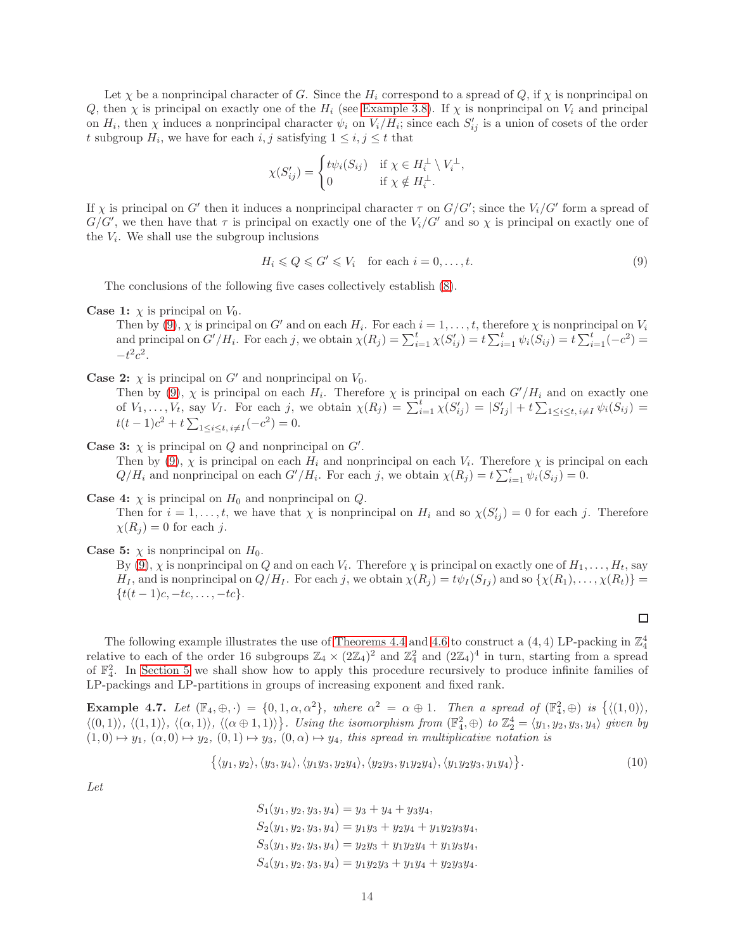Let  $\chi$  be a nonprincipal character of G. Since the  $H_i$  correspond to a spread of Q, if  $\chi$  is nonprincipal on Q, then  $\chi$  is principal on exactly one of the  $H_i$  (see [Example 3.8\)](#page-7-1). If  $\chi$  is nonprincipal on  $V_i$  and principal on  $H_i$ , then  $\chi$  induces a nonprincipal character  $\psi_i$  on  $V_i/H_i$ ; since each  $S'_{ij}$  is a union of cosets of the order t subgroup  $H_i$ , we have for each  $i, j$  satisfying  $1 \leq i, j \leq t$  that

$$
\chi(S'_{ij}) = \begin{cases} t\psi_i(S_{ij}) & \text{if } \chi \in H_i^{\perp} \setminus V_i^{\perp}, \\ 0 & \text{if } \chi \notin H_i^{\perp}. \end{cases}
$$

If  $\chi$  is principal on G' then it induces a nonprincipal character  $\tau$  on  $G/G'$ ; since the  $V_i/G'$  form a spread of  $G/G'$ , we then have that  $\tau$  is principal on exactly one of the  $V_i/G'$  and so  $\chi$  is principal on exactly one of the  $V_i$ . We shall use the subgroup inclusions

<span id="page-13-0"></span>
$$
H_i \leq Q \leq G' \leq V_i \quad \text{for each } i = 0, \dots, t. \tag{9}
$$

The conclusions of the following five cases collectively establish [\(8\)](#page-12-0).

**Case 1:**  $\chi$  is principal on  $V_0$ .

Then by [\(9\)](#page-13-0),  $\chi$  is principal on G' and on each  $H_i$ . For each  $i = 1, \ldots, t$ , therefore  $\chi$  is nonprincipal on  $V_i$ and principal on  $G'/H_i$ . For each j, we obtain  $\chi(R_j) = \sum_{i=1}^t \chi(S'_{ij}) = t \sum_{i=1}^t \psi_i(S_{ij}) = t \sum_{i=1}^t (-c^2) =$  $-t^2c^2$ .

**Case 2:**  $\chi$  is principal on G' and nonprincipal on  $V_0$ .

Then by [\(9\)](#page-13-0),  $\chi$  is principal on each  $H_i$ . Therefore  $\chi$  is principal on each  $G'/H_i$  and on exactly one of  $V_1, \ldots, V_t$ , say  $V_I$ . For each j, we obtain  $\chi(R_j) = \sum_{i=1}^t \chi(S'_{ij}) = |S'_{Ij}| + t \sum_{1 \leq i \leq t, i \neq I} \psi_i(S_{ij}) =$  $t(t-1)c^2 + t \sum_{1 \leq i \leq t, i \neq I} (-c^2) = 0.$ 

**Case 3:**  $\chi$  is principal on  $Q$  and nonprincipal on  $G'$ . Then by [\(9\)](#page-13-0),  $\chi$  is principal on each  $H_i$  and nonprincipal on each  $V_i$ . Therefore  $\chi$  is principal on each  $Q/H_i$  and nonprincipal on each  $G'/H_i$ . For each j, we obtain  $\chi(R_j) = t \sum_{i=1}^t \psi_i(S_{ij}) = 0$ .

- **Case 4:**  $\chi$  is principal on  $H_0$  and nonprincipal on  $Q$ . Then for  $i = 1, \ldots, t$ , we have that  $\chi$  is nonprincipal on  $H_i$  and so  $\chi(S'_{ij}) = 0$  for each j. Therefore  $\chi(R_j) = 0$  for each j.
- **Case 5:**  $\chi$  is nonprincipal on  $H_0$ .

By  $(9)$ ,  $\chi$  is nonprincipal on  $Q$  and on each  $V_i$ . Therefore  $\chi$  is principal on exactly one of  $H_1, \ldots, H_t$ , say  $H_I$ , and is nonprincipal on  $Q/H_I$ . For each j, we obtain  $\chi(R_j) = t\psi_I(S_{Ij})$  and so  $\{\chi(R_1), \ldots, \chi(R_t)\}$  $\{t(t-1)c, -tc, \ldots, -tc\}.$ 

The following example illustrates the use of [Theorems 4.4](#page-11-1) and [4.6](#page-12-1) to construct a  $(4, 4)$  LP-packing in  $\mathbb{Z}_4^4$ relative to each of the order 16 subgroups  $\mathbb{Z}_4 \times (2\mathbb{Z}_4)^2$  and  $\mathbb{Z}_4^2$  and  $(2\mathbb{Z}_4)^4$  in turn, starting from a spread of  $\mathbb{F}_4^2$ . In [Section 5](#page-15-0) we shall show how to apply this procedure recursively to produce infinite families of LP-packings and LP-partitions in groups of increasing exponent and fixed rank.

**Example 4.7.** Let  $(\mathbb{F}_4, \oplus, \cdot) = \{0, 1, \alpha, \alpha^2\}$ , where  $\alpha^2 = \alpha \oplus 1$ . Then a spread of  $(\mathbb{F}_4^2, \oplus)$  is  $\{ \langle (1, 0) \rangle$ ,  $\langle (0,1) \rangle$ ,  $\langle (1,1) \rangle$ ,  $\langle (\alpha, 1) \rangle$ ,  $\langle (\alpha \oplus 1, 1) \rangle$ . Using the isomorphism from  $(\mathbb{F}_4^2, \oplus)$  to  $\mathbb{Z}_2^4 = \langle y_1, y_2, y_3, y_4 \rangle$  given by  $(1,0) \mapsto y_1, (\alpha, 0) \mapsto y_2, (0,1) \mapsto y_3, (0, \alpha) \mapsto y_4$ , this spread in multiplicative notation is

<span id="page-13-1"></span>
$$
\{\langle y_1, y_2 \rangle, \langle y_3, y_4 \rangle, \langle y_1 y_3, y_2 y_4 \rangle, \langle y_2 y_3, y_1 y_2 y_4 \rangle, \langle y_1 y_2 y_3, y_1 y_4 \rangle\}.
$$
 (10)

Let

 $S_1(y_1, y_2, y_3, y_4) = y_3 + y_4 + y_3y_4,$  $S_2(y_1, y_2, y_3, y_4) = y_1y_3 + y_2y_4 + y_1y_2y_3y_4,$  $S_3(y_1, y_2, y_3, y_4) = y_2y_3 + y_1y_2y_4 + y_1y_3y_4,$  $S_4(y_1, y_2, y_3, y_4) = y_1y_2y_3 + y_1y_4 + y_2y_3y_4.$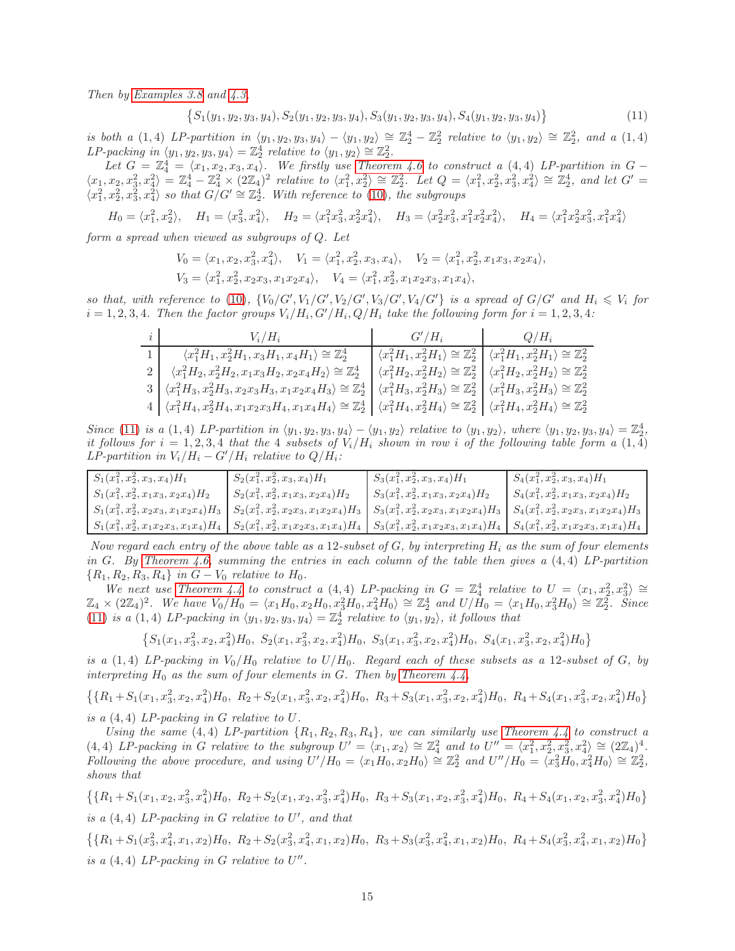Then by [Examples 3.8](#page-7-1) and [4.3,](#page-11-4)

<span id="page-14-0"></span>
$$
\{S_1(y_1, y_2, y_3, y_4), S_2(y_1, y_2, y_3, y_4), S_3(y_1, y_2, y_3, y_4), S_4(y_1, y_2, y_3, y_4)\}\
$$
(11)

is both a (1, 4) LP-partition in  $\langle y_1, y_2, y_3, y_4 \rangle - \langle y_1, y_2 \rangle \cong \mathbb{Z}_2^4 - \mathbb{Z}_2^2$  relative to  $\langle y_1, y_2 \rangle \cong \mathbb{Z}_2^2$ , and a (1, 4) LP-packing in  $\langle y_1, y_2, y_3, y_4 \rangle = \mathbb{Z}_2^4$  relative to  $\langle y_1, y_2 \rangle \cong \mathbb{Z}_2^2$ .

Let  $G = \mathbb{Z}_4^4 = \langle x_1, x_2, x_3, x_4 \rangle$ . We firstly use [Theorem 4.6](#page-12-1) to construct a (4, 4) LP-partition in  $G \langle x_1, x_2, x_3^2, x_4^2 \rangle = \mathbb{Z}_4^4 - \mathbb{Z}_4^2 \times (2\mathbb{Z}_4)^2$  relative to  $\langle x_1^2, x_2^2 \rangle \cong \mathbb{Z}_2^2$ . Let  $Q = \langle x_1^2, x_2^2, x_3^2, x_4^2 \rangle \cong \mathbb{Z}_2^4$ , and let  $G' =$  $\langle x_1^2, x_2^2, x_3^2, x_4^2 \rangle$  so that  $G/G' \cong \mathbb{Z}_2^4$ . With reference to [\(10\)](#page-13-1), the subgroups

$$
H_0 = \langle x_1^2, x_2^2 \rangle, \quad H_1 = \langle x_3^2, x_4^2 \rangle, \quad H_2 = \langle x_1^2 x_3^2, x_2^2 x_4^2 \rangle, \quad H_3 = \langle x_2^2 x_3^2, x_1^2 x_2^2 x_4^2 \rangle, \quad H_4 = \langle x_1^2 x_2^2 x_3^2, x_1^2 x_4^2 \rangle
$$

form a spread when viewed as subgroups of Q. Let

$$
V_0 = \langle x_1, x_2, x_3^2, x_4^2 \rangle, \quad V_1 = \langle x_1^2, x_2^2, x_3, x_4 \rangle, \quad V_2 = \langle x_1^2, x_2^2, x_1 x_3, x_2 x_4 \rangle,
$$
  
\n
$$
V_3 = \langle x_1^2, x_2^2, x_2 x_3, x_1 x_2 x_4 \rangle, \quad V_4 = \langle x_1^2, x_2^2, x_1 x_2 x_3, x_1 x_4 \rangle,
$$

so that, with reference to [\(10\)](#page-13-1),  $\{V_0/G', V_1/G', V_2/G', V_3/G', V_4/G'\}$  is a spread of  $G/G'$  and  $H_i \leq V_i$  for  $i = 1, 2, 3, 4$ . Then the factor groups  $V_i/H_i$ ,  $G'/H_i$ ,  $Q/H_i$  take the following form for  $i = 1, 2, 3, 4$ :

| $V_i/H_i$                                                                                                                                                                                                             | $G'/H_i$                                                                                                               | $Q/H_i$ |
|-----------------------------------------------------------------------------------------------------------------------------------------------------------------------------------------------------------------------|------------------------------------------------------------------------------------------------------------------------|---------|
| $\langle x_1^2H_1, x_2^2H_1, x_3H_1, x_4H_1 \rangle \cong \mathbb{Z}_2^4$                                                                                                                                             | $\langle x_1^2H_1, x_2^2H_1 \rangle \cong \mathbb{Z}_2^2 \mid \langle x_1^2H_1, x_2^2H_1 \rangle \cong \mathbb{Z}_2^2$ |         |
| $\langle x_1^2H_2, x_2^2H_2, x_1x_3H_2, x_2x_4H_2 \rangle \cong \mathbb{Z}_2^4$                                                                                                                                       | $\langle x_1^2H_2, x_2^2H_2 \rangle \cong \mathbb{Z}_2^2 \mid \langle x_1^2H_2, x_2^2H_2 \rangle \cong \mathbb{Z}_2^2$ |         |
| $3   \langle x_1^2 H_3, x_2^2 H_3, x_2 x_3 H_3, x_1 x_2 x_4 H_3 \rangle \cong \mathbb{Z}_2^4   \langle x_1^2 H_3, x_2^2 H_3 \rangle \cong \mathbb{Z}_2^2   \langle x_1^2 H_3, x_2^2 H_3 \rangle \cong \mathbb{Z}_2^2$ |                                                                                                                        |         |
| $4   \langle x_1^2 H_4, x_2^2 H_4, x_1 x_2 x_3 H_4, x_1 x_4 H_4 \rangle \cong \mathbb{Z}_2^4   \langle x_1^2 H_4, x_2^2 H_4 \rangle \cong \mathbb{Z}_2^2   \langle x_1^2 H_4, x_2^2 H_4 \rangle \cong \mathbb{Z}_2^2$ |                                                                                                                        |         |

Since [\(11\)](#page-14-0) is a (1, 4) LP-partition in  $\langle y_1, y_2, y_3, y_4 \rangle - \langle y_1, y_2 \rangle$  relative to  $\langle y_1, y_2 \rangle$ , where  $\langle y_1, y_2, y_3, y_4 \rangle = \mathbb{Z}_2^4$ . it follows for  $i = 1, 2, 3, 4$  that the 4 subsets of  $V_i/H_i$  shown in row i of the following table form a  $(1, 4)$ LP-partition in  $V_i/H_i - G'/H_i$  relative to  $Q/H_i$ :

| $S_1(x_1^2, x_2^2, x_3, x_4)H_1$          | $S_2(x_1^2, x_2^2, x_3, x_4)H_1$          | $S_3(x_1^2, x_2^2, x_3, x_4)H_1$                             | $S_4(x_1^2, x_2^2, x_3, x_4)H_1$                      |
|-------------------------------------------|-------------------------------------------|--------------------------------------------------------------|-------------------------------------------------------|
| $S_1(x_1^2, x_2^2, x_1x_3, x_2x_4)H_2$    | $S_2(x_1^2, x_2^2, x_1x_3, x_2x_4)H_2$    | $S_3(x_1^2, x_2^2, x_1x_3, x_2x_4)$ H <sub>2</sub>           | $S_4(x_1^2, x_2^2, x_1x_3, x_2x_4)H_2$                |
| $S_1(x_1^2, x_2^2, x_2x_3, x_1x_2x_4)H_3$ | $S_2(x_1^2, x_2^2, x_2x_3, x_1x_2x_4)H_3$ | $S_3(x_1^2, x_2^2, x_2x_3, x_1x_2x_4)$ <i>H</i> <sub>3</sub> | $S_4(x_1^2, x_2^2, x_2x_3, x_1x_2x_4)$ H <sub>3</sub> |
| $S_1(x_1^2, x_2^2, x_1x_2x_3, x_1x_4)H_4$ | $S_2(x_1^2, x_2^2, x_1x_2x_3, x_1x_4)H_4$ | $S_3(x_1^2, x_2^2, x_1x_2x_3, x_1x_4)H_4$                    | $S_4(x_1^2, x_2^2, x_1x_2x_3, x_1x_4)H_4$             |

Now regard each entry of the above table as a 12-subset of  $G$ , by interpreting  $H_i$  as the sum of four elements in G. By [Theorem 4.6,](#page-12-1) summing the entries in each column of the table then gives a  $(4, 4)$  LP-partition  ${R_1, R_2, R_3, R_4}$  in  $G - V_0$  relative to  $H_0$ .

We next use [Theorem 4.4](#page-11-1) to construct a (4, 4) LP-packing in  $G = \mathbb{Z}_4^4$  relative to  $U = \langle x_1, x_2^2, x_3^2 \rangle \cong$  $\mathbb{Z}_4 \times (2\mathbb{Z}_4)^2$ . We have  $V_0/H_0 = \langle x_1H_0, x_2H_0, x_3^2H_0, x_4^2H_0 \rangle \cong \mathbb{Z}_2^4$  and  $U/H_0 = \langle x_1H_0, x_3^2H_0 \rangle \cong \mathbb{Z}_2^2$ . Since [\(11\)](#page-14-0) is a (1, 4) LP-packing in  $\langle y_1, y_2, y_3, y_4 \rangle = \mathbb{Z}_2^4$  relative to  $\langle y_1, y_2 \rangle$ , it follows that

$$
\left\{S_{1}(x_{1},x_{3}^2,x_{2},x_{4}^2)H_{0},\ S_{2}(x_{1},x_{3}^2,x_{2},x_{4}^2)H_{0},\ S_{3}(x_{1},x_{3}^2,x_{2},x_{4}^2)H_{0},\ S_{4}(x_{1},x_{3}^2,x_{2},x_{4}^2)H_{0}\right\}
$$

is a (1, 4) LP-packing in  $V_0/H_0$  relative to  $U/H_0$ . Regard each of these subsets as a 12-subset of G, by interpreting  $H_0$  as the sum of four elements in G. Then by [Theorem 4.4,](#page-11-1)

$$
\{\{R_1 + S_1(x_1, x_3^2, x_2, x_4^2)H_0, R_2 + S_2(x_1, x_3^2, x_2, x_4^2)H_0, R_3 + S_3(x_1, x_3^2, x_2, x_4^2)H_0, R_4 + S_4(x_1, x_3^2, x_2, x_4^2)H_0\}
$$
 is a (4.4). *IP machine in G relative to U*

is a  $(4, 4)$  LP-packing in G relative to U.

Using the same (4, 4) LP-partition  $\{R_1, R_2, R_3, R_4\}$ , we can similarly use [Theorem 4.4](#page-11-1) to construct a (4, 4) LP-packing in G relative to the subgroup  $U' = \langle x_1, x_2 \rangle \cong \mathbb{Z}_4^2$  and to  $U'' = \langle x_1^2, x_2^2, x_3^2, x_4^2 \rangle \cong (2\mathbb{Z}_4)^4$ . Following the above procedure, and using  $U'/H_0 = \langle x_1 H_0, x_2 H_0 \rangle \cong \mathbb{Z}_2^2$  and  $U''/H_0 = \langle x_3^2 H_0, x_4^2 H_0 \rangle \cong \mathbb{Z}_2^2$ , shows that

 $\left\{\{R_1+S_1(x_1,x_2,x_3^2,x_4^2)H_0, \ \ R_2+S_2(x_1,x_2,x_3^2,x_4^2)H_0, \ \ R_3+S_3(x_1,x_2,x_3^2,x_4^2)H_0, \ \ R_4+S_4(x_1,x_2,x_3^2,x_4^2)H_0\right\}$ is a  $(4, 4)$  LP-packing in G relative to U', and that

$$
\{\{R_1 + S_1(x_3^2, x_4^2, x_1, x_2)H_0, R_2 + S_2(x_3^2, x_4^2, x_1, x_2)H_0, R_3 + S_3(x_3^2, x_4^2, x_1, x_2)H_0, R_4 + S_4(x_3^2, x_4^2, x_1, x_2)H_0\}
$$
  
is a (4, 4) LP-packing in G relative to U''.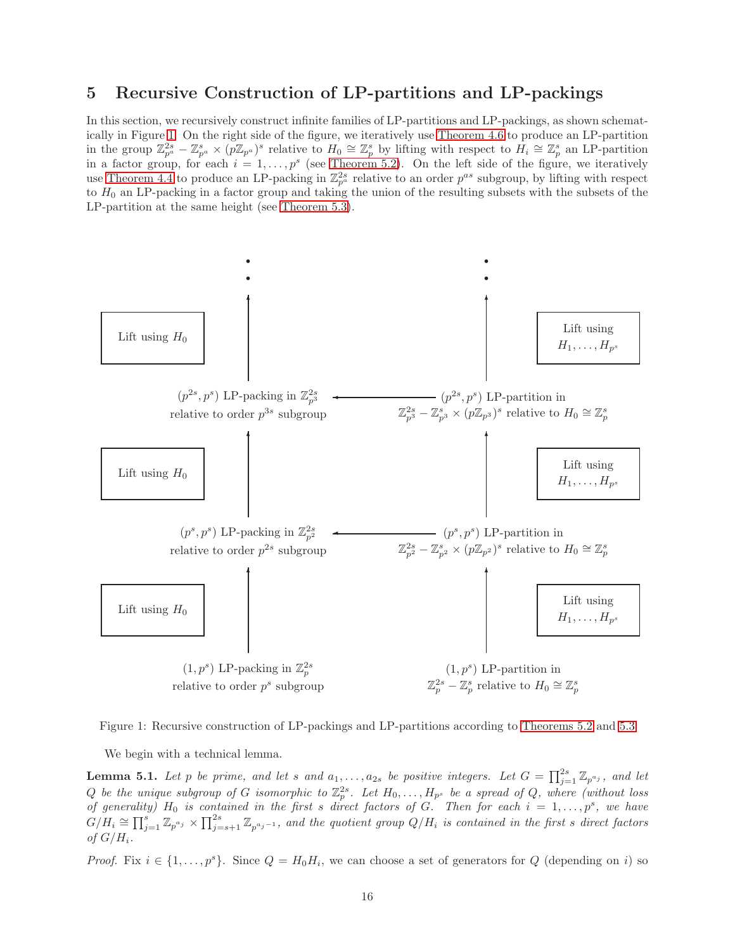### <span id="page-15-0"></span>5 Recursive Construction of LP-partitions and LP-packings

In this section, we recursively construct infinite families of LP-partitions and LP-packings, as shown schematically in Figure [1.](#page-15-1) On the right side of the figure, we iteratively use [Theorem 4.6](#page-12-1) to produce an LP-partition in the group  $\mathbb{Z}_{p^a}^{2s} - \mathbb{Z}_{p^a}^s \times (p\mathbb{Z}_{p^a})^s$  relative to  $H_0 \cong \mathbb{Z}_p^s$  by lifting with respect to  $H_i \cong \mathbb{Z}_p^s$  an LP-partition in a factor group, for each  $i = 1, \ldots, p^s$  (see [Theorem 5.2\)](#page-16-0). On the left side of the figure, we iteratively use [Theorem 4.4](#page-11-1) to produce an LP-packing in  $\mathbb{Z}_{p^a}^{2s}$  relative to an order  $p^{as}$  subgroup, by lifting with respect to  $H_0$  an LP-packing in a factor group and taking the union of the resulting subsets with the subsets of the LP-partition at the same height (see [Theorem 5.3\)](#page-16-1).



Figure 1: Recursive construction of LP-packings and LP-partitions according to [Theorems 5.2](#page-16-0) and [5.3](#page-16-1)

<span id="page-15-2"></span><span id="page-15-1"></span>We begin with a technical lemma.

**Lemma 5.1.** Let p be prime, and let s and  $a_1, \ldots, a_{2s}$  be positive integers. Let  $G = \prod_{j=1}^{2s} \mathbb{Z}_{p^{a_j}}$ , and let Q be the unique subgroup of G isomorphic to  $\mathbb{Z}_p^{2s}$ . Let  $H_0,\ldots,H_{p^s}$  be a spread of Q, where (without loss of generality)  $H_0$  is contained in the first s direct factors of G. Then for each  $i = 1, \ldots, p^s$ , we have  $G/H_i\cong \prod_{j=1}^s \mathbb{Z}_{p^{a_j}}\times \prod_{j=s+1}^{2s}\mathbb{Z}_{p^{a_j-1}}$ , and the quotient group  $Q/H_i$  is contained in the first s direct factors of  $G/H_i$ .

*Proof.* Fix  $i \in \{1, ..., p^s\}$ . Since  $Q = H_0 H_i$ , we can choose a set of generators for Q (depending on i) so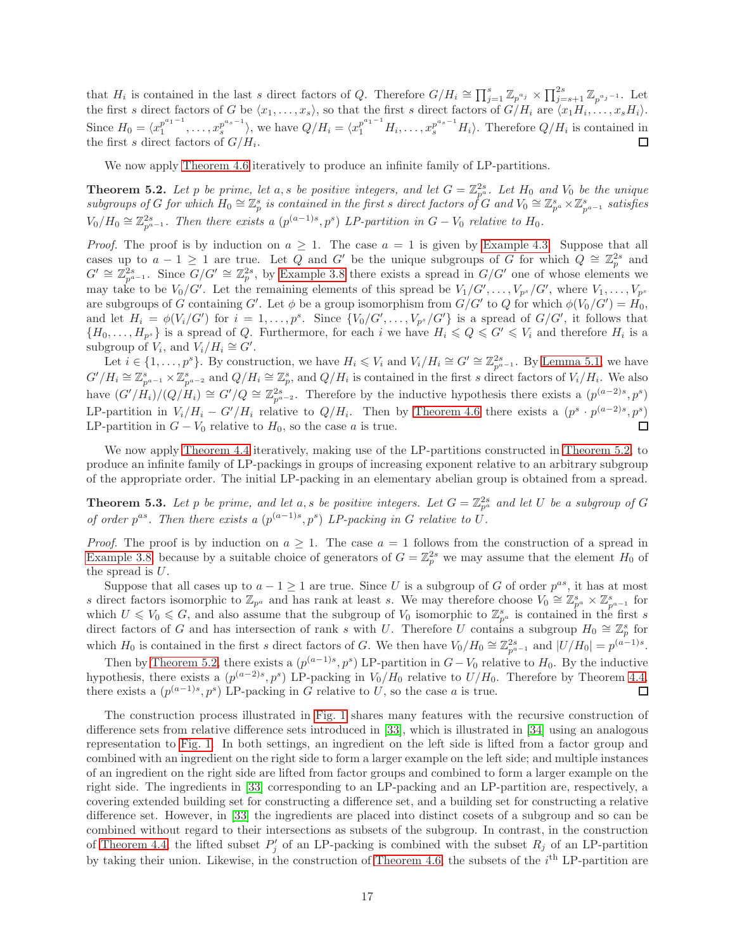that  $H_i$  is contained in the last s direct factors of Q. Therefore  $G/H_i \cong \prod_{j=1}^s \mathbb{Z}_{p^{a_j}} \times \prod_{j=s+1}^{2s} \mathbb{Z}_{p^{a_j-1}}$ . Let the first s direct factors of G be  $\langle x_1, \ldots, x_s \rangle$ , so that the first s direct factors of  $G/H_i$  are  $\langle x_1 H_i, \ldots, x_s H_i \rangle$ . Since  $H_0 = \langle x_1^{p^{a_1-1}} \rangle$  $x_1^{p^{a_1-1}}, \ldots, x_s^{p^{a_s-1}}$  $\sum_{s}^{p^{a_s-1}}\rangle$ , we have  $Q/H_i = \langle x_1^{p^{a_1-1}}H_i,\ldots,x_s^{p^{a_s-1}}H_i\rangle$ . Therefore  $Q/H_i$  is contained in the first s direct factors of  $G/H_i$ .

<span id="page-16-0"></span>We now apply [Theorem 4.6](#page-12-1) iteratively to produce an infinite family of LP-partitions.

**Theorem 5.2.** Let p be prime, let a, s be positive integers, and let  $G = \mathbb{Z}_{p^a}^{2s}$ . Let  $H_0$  and  $V_0$  be the unique subgroups of G for which  $H_0 \cong \mathbb{Z}_p^s$  is contained in the first s direct factors of G and  $V_0 \cong \mathbb{Z}_{p^a}^s \times \mathbb{Z}_{p^{a-1}}^s$  satisfies  $V_0/H_0 \cong \mathbb{Z}_{p^{a-1}}^{2s}$ . Then there exists a  $(p^{(a-1)s}, p^s)$  LP-partition in  $G-V_0$  relative to  $H_0$ .

*Proof.* The proof is by induction on  $a \geq 1$ . The case  $a = 1$  is given by [Example 4.3.](#page-11-4) Suppose that all cases up to  $a - 1 \geq 1$  are true. Let Q and G' be the unique subgroups of G for which  $Q \cong \mathbb{Z}_p^{2s}$  and  $G' \cong \mathbb{Z}_{p^{a-1}}^{2s}$ . Since  $G/G' \cong \mathbb{Z}_p^{2s}$ , by [Example 3.8](#page-7-1) there exists a spread in  $G/G'$  one of whose elements we may take to be  $V_0/G'$ . Let the remaining elements of this spread be  $V_1/G',\ldots,V_{p^s}/G'$ , where  $V_1,\ldots,V_{p^s}$ are subgroups of G containing G'. Let  $\phi$  be a group isomorphism from  $G/G'$  to Q for which  $\phi(V_0/G') = H_0$ , and let  $H_i = \phi(V_i/G')$  for  $i = 1, \ldots, p^s$ . Since  $\{V_0/G', \ldots, V_{p^s}/G'\}$  is a spread of  $G/G'$ , it follows that  ${H_0, \ldots, H_{p^s}}$  is a spread of Q. Furthermore, for each i we have  $H_i \leq Q \leq G' \leq V_i$  and therefore  $H_i$  is a subgroup of  $V_i$ , and  $V_i/H_i \cong G'$ .

Let  $i \in \{1, \ldots, p^s\}$ . By construction, we have  $H_i \leqslant V_i$  and  $V_i/H_i \cong G' \cong \mathbb{Z}_{p^{a-1}}^{2s}$ . By [Lemma 5.1,](#page-15-2) we have  $G'/H_i \cong \mathbb{Z}_{p^{a-1}}^s \times \mathbb{Z}_{p^{a-2}}^s$  and  $Q/H_i \cong \mathbb{Z}_p^s$ , and  $Q/H_i$  is contained in the first s direct factors of  $V_i/H_i$ . We also have  $(G'/H_i)/(Q/H_i) \cong G'/Q \cong \mathbb{Z}_{p^{a-2}}^{2s}$ . Therefore by the inductive hypothesis there exists a  $(p^{(a-2)s}, p^s)$ LP-partition in  $V_i/H_i - G'/H_i$  relative to  $Q/H_i$ . Then by [Theorem 4.6](#page-12-1) there exists a  $(p^s \cdot p^{(a-2)s}, p^s)$ LP-partition in  $G - V_0$  relative to  $H_0$ , so the case a is true. П

We now apply [Theorem 4.4](#page-11-1) iteratively, making use of the LP-partitions constructed in [Theorem 5.2,](#page-16-0) to produce an infinite family of LP-packings in groups of increasing exponent relative to an arbitrary subgroup of the appropriate order. The initial LP-packing in an elementary abelian group is obtained from a spread.

<span id="page-16-1"></span>**Theorem 5.3.** Let p be prime, and let a, s be positive integers. Let  $G = \mathbb{Z}_{p^a}^{2s}$  and let U be a subgroup of G of order  $p^{as}$ . Then there exists a  $(p^{(a-1)s}, p^s)$  LP-packing in G relative to U.

*Proof.* The proof is by induction on  $a \geq 1$ . The case  $a = 1$  follows from the construction of a spread in [Example 3.8,](#page-7-1) because by a suitable choice of generators of  $G = \mathbb{Z}_p^{2s}$  we may assume that the element  $H_0$  of the spread is  $U$ .

Suppose that all cases up to  $a - 1 \geq 1$  are true. Since U is a subgroup of G of order  $p^{as}$ , it has at most s direct factors isomorphic to  $\mathbb{Z}_{p^a}$  and has rank at least s. We may therefore choose  $V_0 \cong \mathbb{Z}_{p^a}^s \times \mathbb{Z}_{p^a-1}^s$  for which  $U \leq V_0 \leq G$ , and also assume that the subgroup of  $V_0$  isomorphic to  $\mathbb{Z}_{p^a}^s$  is contained in the first s direct factors of G and has intersection of rank s with U. Therefore U contains a subgroup  $H_0 \cong \mathbb{Z}_p^s$  for which  $H_0$  is contained in the first s direct factors of G. We then have  $V_0/H_0 \cong \mathbb{Z}_{p^{a-1}}^{2s}$  and  $|U/H_0| = p^{(a-1)s}$ .

Then by [Theorem 5.2,](#page-16-0) there exists a  $(p^{(a-1)s}, p^s)$  LP-partition in  $G-V_0$  relative to  $H_0$ . By the inductive hypothesis, there exists a  $(p^{(a-2)s}, p^s)$  LP-packing in  $V_0/H_0$  relative to  $U/H_0$ . Therefore by Theorem [4.4,](#page-11-1) there exists a  $(p^{(a-1)s}, p^s)$  LP-packing in G relative to U, so the case a is true. □

The construction process illustrated in [Fig. 1](#page-15-1) shares many features with the recursive construction of difference sets from relative difference sets introduced in [\[33\]](#page-28-14), which is illustrated in [\[34\]](#page-28-19) using an analogous representation to [Fig. 1.](#page-15-1) In both settings, an ingredient on the left side is lifted from a factor group and combined with an ingredient on the right side to form a larger example on the left side; and multiple instances of an ingredient on the right side are lifted from factor groups and combined to form a larger example on the right side. The ingredients in [\[33\]](#page-28-14) corresponding to an LP-packing and an LP-partition are, respectively, a covering extended building set for constructing a difference set, and a building set for constructing a relative difference set. However, in [\[33\]](#page-28-14) the ingredients are placed into distinct cosets of a subgroup and so can be combined without regard to their intersections as subsets of the subgroup. In contrast, in the construction of [Theorem 4.4,](#page-11-1) the lifted subset  $P'_j$  of an LP-packing is combined with the subset  $R_j$  of an LP-partition by taking their union. Likewise, in the construction of [Theorem 4.6,](#page-12-1) the subsets of the  $i<sup>th</sup>$  LP-partition are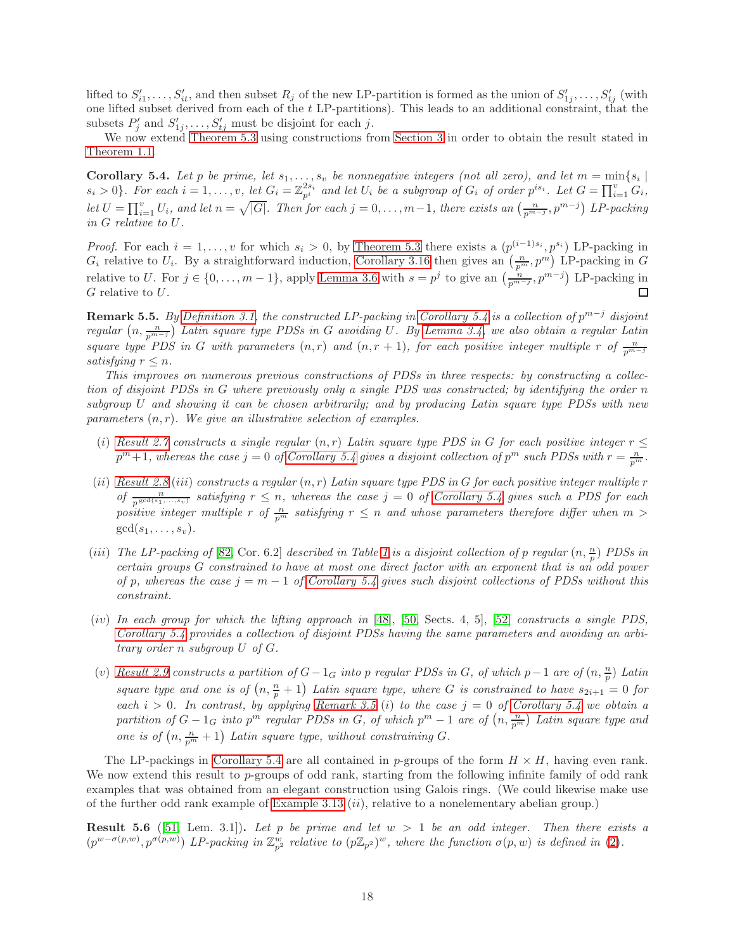lifted to  $S'_{i1},\ldots,S'_{it}$ , and then subset  $R_j$  of the new LP-partition is formed as the union of  $S'_{1j},\ldots,S'_{tj}$  (with one lifted subset derived from each of the t LP-partitions). This leads to an additional constraint, that the subsets  $P'_j$  and  $S'_{1j}, \ldots, S'_{tj}$  must be disjoint for each j.

<span id="page-17-0"></span>We now extend [Theorem 5.3](#page-16-1) using constructions from [Section 3](#page-6-0) in order to obtain the result stated in [Theorem 1.1.](#page-1-0)

**Corollary 5.4.** Let p be prime, let  $s_1, \ldots, s_v$  be nonnegative integers (not all zero), and let  $m = \min\{s_i \mid s_i > 0\}$ . For each  $i = 1, \ldots, v$ , let  $G_i = \mathbb{Z}_{p^i}^{2s_i}$  and let  $U_i$  be a subgroup of  $G_i$  of order  $p^{is_i}$ . L let  $U = \prod_{i=1}^{v} U_i$ , and let  $n = \sqrt{|G|}$ . Then for each  $j = 0, \ldots, m-1$ , there exists an  $\left(\frac{n}{p^{m-j}}, p^{m-j}\right)$  LP-packing in G relative to U.

*Proof.* For each  $i = 1, \ldots, v$  for which  $s_i > 0$ , by [Theorem 5.3](#page-16-1) there exists a  $(p^{(i-1)s_i}, p^{s_i})$  LP-packing in  $G_i$  relative to  $U_i$ . By a straightforward induction, [Corollary 3.16](#page-10-1) then gives an  $\left(\frac{n}{p^m}, p^m\right)$  LP-packing in G relative to U. For  $j \in \{0, \ldots, m-1\}$ , apply [Lemma 3.6](#page-7-4) with  $s = p^j$  to give an  $\left(\frac{n}{p^{m-j}}, p^{m-j}\right)$  LP-packing in G relative to U.

<span id="page-17-1"></span>**Remark 5.5.** By [Definition 3.1,](#page-6-1) the constructed LP-packing in [Corollary 5.4](#page-17-0) is a collection of  $p^{m-j}$  disjoint regular  $(n, \frac{n}{p^{m-j}})$  Latin square type PDSs in G avoiding U. By [Lemma 3.4,](#page-6-4) we also obtain a regular Latin square type PDS in G with parameters  $(n,r)$  and  $(n, r + 1)$ , for each positive integer multiple r of  $\frac{n}{p^{m-j}}$ satisfying  $r \leq n$ .

This improves on numerous previous constructions of PDSs in three respects: by constructing a collection of disjoint PDSs in G where previously only a single PDS was constructed; by identifying the order n subgroup U and showing it can be chosen arbitrarily; and by producing Latin square type PDSs with new parameters  $(n, r)$ . We give an illustrative selection of examples.

- (i) [Result 2.7](#page-4-0) constructs a single regular  $(n, r)$  Latin square type PDS in G for each positive integer  $r \leq$  $p^{m}+1$ , whereas the case  $j=0$  of [Corollary 5.4](#page-17-0) gives a disjoint collection of  $p^{m}$  such PDSs with  $r=\frac{n}{p^{m}}$ .
- (ii) [Result 2.8](#page-5-3) (iii) constructs a regular  $(n, r)$  Latin square type PDS in G for each positive integer multiple r of  $\frac{n}{p^{\gcd(s_1,\ldots,s_v)}}$  satisfying  $r \leq n$ , whereas the case  $j = 0$  of [Corollary 5.4](#page-17-0) gives such a PDS for each positive integer multiple r of  $\frac{n}{p^m}$  satisfying  $r \leq n$  and whose parameters therefore differ when  $m >$  $gcd(s_1, \ldots, s_v).$
- (iii) The LP-packing of [\[82,](#page-30-10) Cor. 6.2] described in Table [1](#page-2-0) is a disjoint collection of p regular  $(n, \frac{n}{p})$  PDSs in certain groups G constrained to have at most one direct factor with an exponent that is an odd power of p, whereas the case  $j = m - 1$  of [Corollary 5.4](#page-17-0) gives such disjoint collections of PDSs without this constraint.
- (iv) In each group for which the lifting approach in  $[48]$ ,  $[50$ , Sects. 4, 5],  $[52]$  constructs a single PDS, [Corollary 5.4](#page-17-0) provides a collection of disjoint PDSs having the same parameters and avoiding an arbitrary order n subgroup U of G.
- (v) [Result 2.9](#page-5-1) constructs a partition of  $G-1_G$  into p regular PDSs in G, of which p $-1$  are of  $(n, \frac{n}{p})$  Latin square type and one is of  $(n, \frac{n}{p} + 1)$  Latin square type, where G is constrained to have  $s_{2i+1} = 0$  for each  $i > 0$ . In contrast, by applying [Remark 3.5](#page-7-3) (i) to the case  $j = 0$  of [Corollary 5.4](#page-17-0) we obtain a partition of  $G-1_G$  into  $p^m$  regular PDSs in G, of which  $p^m-1$  are of  $(n, \frac{n}{p^m})$  Latin square type and one is of  $\left(n, \frac{n}{p^m} + 1\right)$  Latin square type, without constraining G.

The LP-packings in [Corollary 5.4](#page-17-0) are all contained in p-groups of the form  $H \times H$ , having even rank. We now extend this result to  $p$ -groups of odd rank, starting from the following infinite family of odd rank examples that was obtained from an elegant construction using Galois rings. (We could likewise make use of the further odd rank example of [Example 3.13](#page-9-0) (ii), relative to a nonelementary abelian group.)

<span id="page-17-3"></span><span id="page-17-2"></span>**Result 5.6** ([\[51,](#page-29-2) Lem. 3.1]). Let p be prime and let  $w > 1$  be an odd integer. Then there exists a  $(p^{w-\sigma(p,w)}, p^{\sigma(p,w)})$  LP-packing in  $\mathbb{Z}_{p^2}^w$  relative to  $(p\mathbb{Z}_{p^2})^w$ , where the function  $\sigma(p,w)$  is defined in [\(2\)](#page-5-0).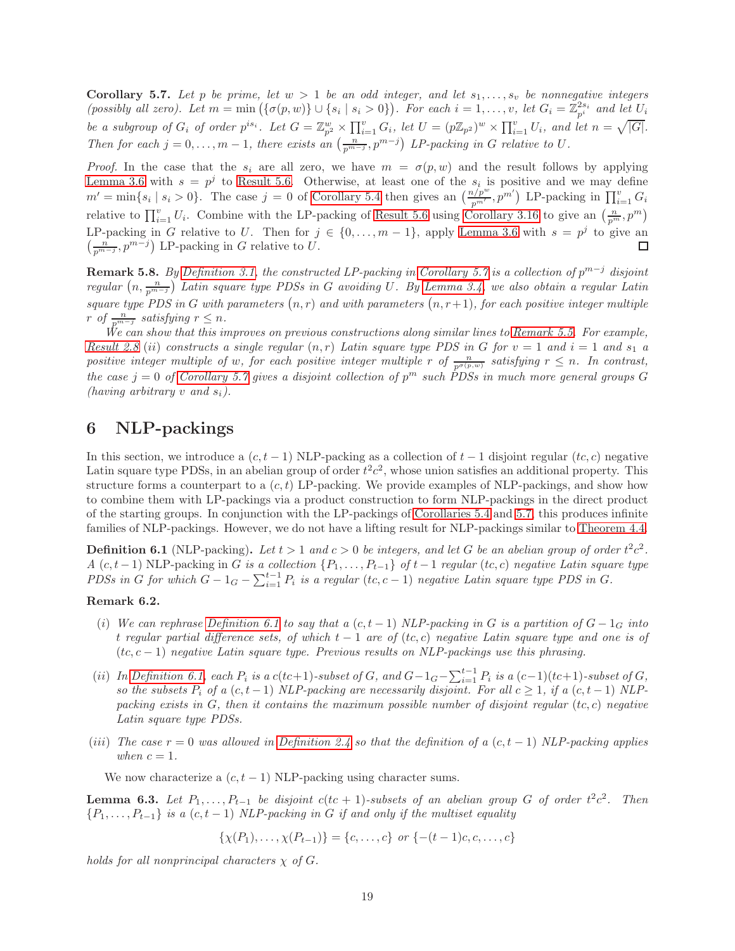Corollary 5.7. Let p be prime, let  $w > 1$  be an odd integer, and let  $s_1, \ldots, s_v$  be nonnegative integers (possibly all zero). Let  $m = \min(\{\sigma(p, w)\} \cup \{s_i \mid s_i > 0\})$ . For each  $i = 1, \ldots, v$ , let  $G_i = \mathbb{Z}_{p^i}^{2s_i}$  and let  $U_i$ be a subgroup of  $G_i$  of order  $p^{is_i}$ . Let  $G = \mathbb{Z}_{p^2}^w \times \prod_{i=1}^v G_i$ , let  $U = (p\mathbb{Z}_{p^2})^w \times \prod_{i=1}^v U_i$ , and let  $n = \sqrt{|G|}$ . Then for each  $j = 0, \ldots, m-1$ , there exists an  $\left(\frac{n}{p^{m-j}}, p^{m-j}\right)$  LP-packing in G relative to U.

*Proof.* In the case that the  $s_i$  are all zero, we have  $m = \sigma(p, w)$  and the result follows by applying [Lemma 3.6](#page-7-4) with  $s = p^j$  to [Result 5.6.](#page-17-3) Otherwise, at least one of the  $s_i$  is positive and we may define  $m' = \min\{s_i \mid s_i > 0\}$ . The case  $j = 0$  of [Corollary 5.4](#page-17-0) then gives an  $\left(\frac{n/p^w}{p^{m'}} , p^{m'}\right)$  LP-packing in  $\prod_{i=1}^v G_i$ relative to  $\prod_{i=1}^{v} U_i$ . Combine with the LP-packing of [Result 5.6](#page-17-3) using [Corollary 3.16](#page-10-1) to give an  $\left(\frac{n}{p^m}, p^m\right)$ LP-packing in G relative to U. Then for  $j \in \{0, \ldots, m-1\}$ , apply [Lemma 3.6](#page-7-4) with  $s = p^j$  to give an  $\left(\frac{n}{p^{m-j}}, p^{m-j}\right)$  LP-packing in G relative to U. П

<span id="page-18-2"></span>**Remark 5.8.** By [Definition 3.1,](#page-6-1) the constructed LP-packing in [Corollary 5.7](#page-17-2) is a collection of  $p^{m-j}$  disjoint regular  $(n, \frac{n}{p^{m-j}})$  Latin square type PDSs in G avoiding U. By [Lemma 3.4,](#page-6-4) we also obtain a regular Latin square type PDS in G with parameters  $(n, r)$  and with parameters  $(n, r+1)$ , for each positive integer multiple r of  $\frac{n}{p^{m-j}}$  satisfying  $r \leq n$ .

We can show that this improves on previous constructions along similar lines to [Remark 5.5.](#page-17-1) For example, [Result 2.8](#page-5-3) (ii) constructs a single regular  $(n,r)$  Latin square type PDS in G for  $v = 1$  and  $i = 1$  and  $s_1$  a positive integer multiple of w, for each positive integer multiple r of  $\frac{n}{p^{\sigma(p,w)}}$  satisfying  $r \leq n$ . In contrast, the case  $j = 0$  of [Corollary 5.7](#page-17-2) gives a disjoint collection of  $p<sup>m</sup>$  such PDSs in much more general groups G (having arbitrary v and  $s_i$ ).

### <span id="page-18-0"></span>6 NLP-packings

In this section, we introduce a  $(c, t - 1)$  NLP-packing as a collection of  $t - 1$  disjoint regular  $(t, c)$  negative Latin square type PDSs, in an abelian group of order  $t^2c^2$ , whose union satisfies an additional property. This structure forms a counterpart to a  $(c, t)$  LP-packing. We provide examples of NLP-packings, and show how to combine them with LP-packings via a product construction to form NLP-packings in the direct product of the starting groups. In conjunction with the LP-packings of [Corollaries 5.4](#page-17-0) and [5.7,](#page-17-2) this produces infinite families of NLP-packings. However, we do not have a lifting result for NLP-packings similar to [Theorem 4.4.](#page-11-1)

<span id="page-18-3"></span>**Definition 6.1** (NLP-packing). Let  $t > 1$  and  $c > 0$  be integers, and let G be an abelian group of order  $t^2c^2$ . A  $(c, t-1)$  NLP-packing in G is a collection  $\{P_1, \ldots, P_{t-1}\}\$  of  $t-1$  regular  $(t, c)$  negative Latin square type PDSs in G for which  $G - 1_G - \sum_{i=1}^{t-1} P_i$  is a regular  $(tc, c - 1)$  negative Latin square type PDS in G.

### <span id="page-18-1"></span>Remark 6.2.

- (i) We can rephrase [Definition 6.1](#page-18-3) to say that a  $(c, t 1)$  NLP-packing in G is a partition of  $G 1_G$  into t regular partial difference sets, of which  $t - 1$  are of (tc, c) negative Latin square type and one is of  $(t, c - 1)$  negative Latin square type. Previous results on NLP-packings use this phrasing.
- (ii) In [Definition 6.1,](#page-18-3) each  $P_i$  is a  $c(ct+1)$ -subset of G, and  $G-1_G-\sum_{i=1}^{t-1}P_i$  is a  $(c-1)(tc+1)$ -subset of G, so the subsets  $P_i$  of a  $(c, t-1)$  NLP-packing are necessarily disjoint. For all  $c \geq 1$ , if a  $(c, t-1)$  NLPpacking exists in  $G$ , then it contains the maximum possible number of disjoint regular  $(t, c)$  negative Latin square type PDSs.
- (iii) The case  $r = 0$  was allowed in [Definition 2.4](#page-3-3) so that the definition of a (c, t 1) NLP-packing applies when  $c = 1$ .

<span id="page-18-4"></span>We now characterize a  $(c, t - 1)$  NLP-packing using character sums.

**Lemma 6.3.** Let  $P_1, \ldots, P_{t-1}$  be disjoint  $c(ct + 1)$ -subsets of an abelian group G of order  $t^2c^2$ . Then  ${P_1, \ldots, P_{t-1}}$  is a  $(c, t-1)$  NLP-packing in G if and only if the multiset equality

 $\{\chi(P_1), \ldots, \chi(P_{t-1})\} = \{c, \ldots, c\}$  or  $\{-(t-1)c, c, \ldots, c\}$ 

holds for all nonprincipal characters  $\chi$  of G.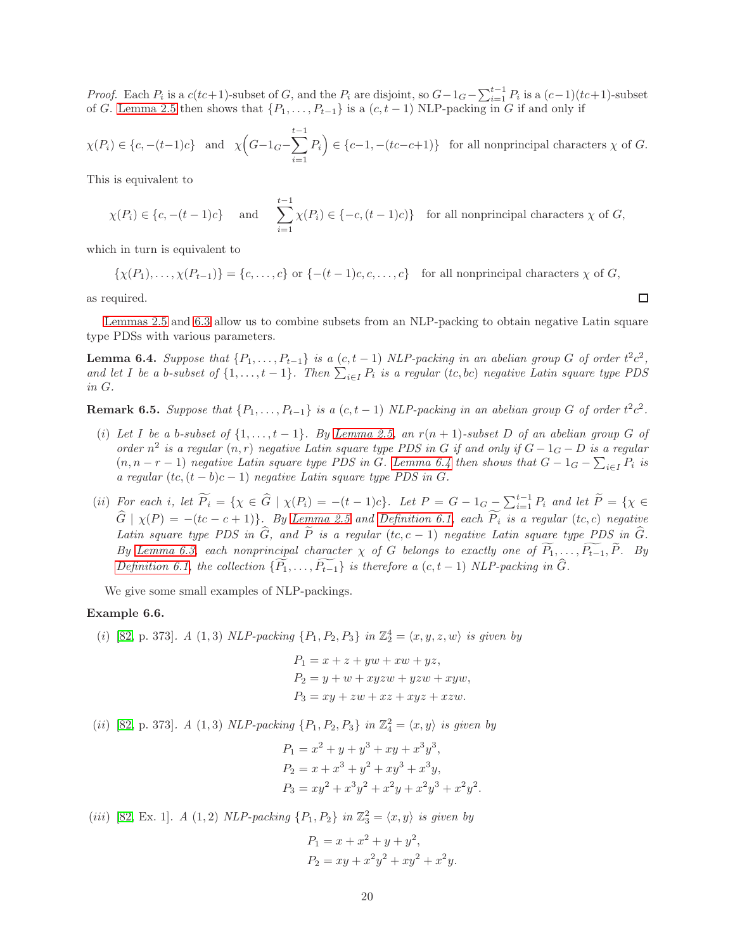*Proof.* Each  $P_i$  is a  $c(ct+1)$ -subset of G, and the  $P_i$  are disjoint, so  $G-1_G-\sum_{i=1}^{t-1}P_i$  is a  $(c-1)(tc+1)$ -subset of G. [Lemma 2.5](#page-3-5) then shows that  $\{P_1, \ldots, P_{t-1}\}$  is a  $(c, t-1)$  NLP-packing in G if and only if

$$
\chi(P_i) \in \{c, -(t-1)c\} \text{ and } \chi\Big(G - 1_G - \sum_{i=1}^{t-1} P_i\Big) \in \{c-1, -(tc-c+1)\} \text{ for all nonprincipal characters } \chi \text{ of } G.
$$

This is equivalent to

$$
\chi(P_i) \in \{c, -(t-1)c\}
$$
 and  $\sum_{i=1}^{t-1} \chi(P_i) \in \{-c, (t-1)c\}$  for all nonprincipal characters  $\chi$  of  $G$ ,

which in turn is equivalent to

 $\{\chi(P_1), \ldots, \chi(P_{t-1})\} = \{c, \ldots, c\}$  or  $\{- (t-1)c, c, \ldots, c\}$  for all nonprincipal characters  $\chi$  of G,

as required.

<span id="page-19-0"></span>[Lemmas 2.5](#page-3-5) and [6.3](#page-18-4) allow us to combine subsets from an NLP-packing to obtain negative Latin square type PDSs with various parameters.

**Lemma 6.4.** Suppose that  $\{P_1, \ldots, P_{t-1}\}$  is a  $(c, t-1)$  NLP-packing in an abelian group G of order  $t^2c^2$ , and let I be a b-subset of  $\{1,\ldots,t-1\}$ . Then  $\sum_{i\in I} P_i$  is a regular  $(tc, bc)$  negative Latin square type PDS in G.

**Remark 6.5.** Suppose that  $\{P_1, \ldots, P_{t-1}\}$  is a  $(c, t-1)$  NLP-packing in an abelian group G of order  $t^2c^2$ .

- (i) Let I be a b-subset of  $\{1, \ldots, t-1\}$ . By [Lemma 2.5,](#page-3-5) an  $r(n + 1)$ -subset D of an abelian group G of order  $n^2$  is a regular  $(n, r)$  negative Latin square type PDS in G if and only if  $G - 1_G - D$  is a regular  $(n, n-r-1)$  negative Latin square type PDS in G. [Lemma 6.4](#page-19-0) then shows that  $G-1_G-\sum_{i\in I}P_i$  is a regular  $(tc, (t - b)c - 1)$  negative Latin square type PDS in G.
- (ii) For each i, let  $\widetilde{P}_i = \{ \chi \in \widehat{G} \mid \chi(P_i) = -(t-1)c \}$ . Let  $P = G 1_G \sum_{i=1}^{t-1} P_i$  and let  $\widetilde{P} = \{ \chi \in \widehat{P} \mid \chi(P_i) = -(t-1)c \}$ .  $\hat{G} \mid \chi(P) = -(tc - c + 1)$ . By [Lemma 2.5](#page-3-5) and [Definition 6.1,](#page-18-3) each  $\widetilde{P}_i$  is a regular (tc, c) negative Latin square type PDS in  $\widehat{G}$ , and  $\widetilde{P}$  is a regular (tc, c – 1) negative Latin square type PDS in  $\widehat{G}$ . By [Lemma 6.3,](#page-18-4) each nonprincipal character  $\chi$  of G belongs to exactly one of  $\widetilde{P}_1, \ldots, \widetilde{P_{t-1}}, \widetilde{P}$ . By [Definition 6.1,](#page-18-3) the collection  $\{\widetilde{P_1}, \ldots, \widetilde{P_{t-1}}\}$  is therefore a  $(c, t-1)$  NLP-packing in  $\widehat{G}$ .

<span id="page-19-1"></span>We give some small examples of NLP-packings.

### Example 6.6.

(i) [\[82,](#page-30-10) p. 373]. A (1,3) NLP-packing  $\{P_1, P_2, P_3\}$  in  $\mathbb{Z}_2^4 = \langle x, y, z, w \rangle$  is given by

 $P_1 = x + z + yw + xw + yz,$  $P_2 = y + w + xyzw + yzw + xyw,$  $P_3 = xy + zw + xz + xyz + xzw.$ 

(*ii*) [\[82,](#page-30-10) p. 373]. A (1,3) NLP-packing  $\{P_1, P_2, P_3\}$  in  $\mathbb{Z}_4^2 = \langle x, y \rangle$  is given by

$$
P_1 = x^2 + y + y^3 + xy + x^3y^3,
$$
  
\n
$$
P_2 = x + x^3 + y^2 + xy^3 + x^3y,
$$
  
\n
$$
P_3 = xy^2 + x^3y^2 + x^2y + x^2y^3 + x^2y^2.
$$

(iii) [\[82,](#page-30-10) Ex. 1]. A (1,2) NLP-packing  $\{P_1, P_2\}$  in  $\mathbb{Z}_3^2 = \langle x, y \rangle$  is given by

$$
P_1 = x + x^2 + y + y^2,
$$
  
\n
$$
P_2 = xy + x^2y^2 + xy^2 + x^2y.
$$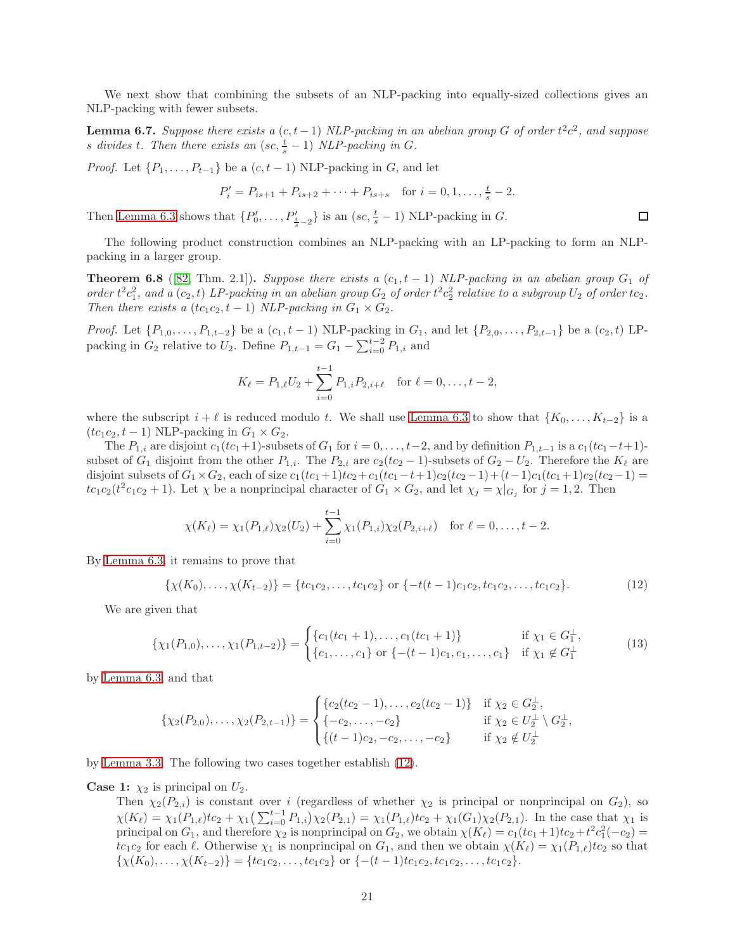<span id="page-20-3"></span>We next show that combining the subsets of an NLP-packing into equally-sized collections gives an NLP-packing with fewer subsets.

**Lemma 6.7.** Suppose there exists a  $(c, t-1)$  NLP-packing in an abelian group G of order  $t^2c^2$ , and suppose s divides t. Then there exists an  $(\textit{sc}, \frac{t}{s} - 1)$  NLP-packing in G.

*Proof.* Let  $\{P_1, \ldots, P_{t-1}\}\$  be a  $(c, t-1)$  NLP-packing in G, and let

$$
P'_{i} = P_{is+1} + P_{is+2} + \dots + P_{is+s} \quad \text{for } i = 0, 1, \dots, \frac{t}{s} - 2.
$$

Then [Lemma 6.3](#page-18-4) shows that  $\{P'_0, \ldots, P'_{\frac{t}{s}-2}\}\$ is an  $(se, \frac{t}{s}-1)$  NLP-packing in G.

<span id="page-20-2"></span>The following product construction combines an NLP-packing with an LP-packing to form an NLPpacking in a larger group.

**Theorem 6.8** ([\[82,](#page-30-10) Thm. 2.1]). Suppose there exists a  $(c_1, t-1)$  NLP-packing in an abelian group  $G_1$  of order  $t^2c_1^2$ , and a  $(c_2, t)$  LP-packing in an abelian group  $G_2$  of order  $t^2c_2^2$  relative to a subgroup  $U_2$  of order  $tc_2$ . Then there exists a  $(tc_1c_2, t-1)$  NLP-packing in  $G_1 \times G_2$ .

*Proof.* Let  $\{P_{1,0}, \ldots, P_{1,t-2}\}$  be a  $(c_1, t-1)$  NLP-packing in  $G_1$ , and let  $\{P_{2,0}, \ldots, P_{2,t-1}\}$  be a  $(c_2, t)$  LPpacking in  $G_2$  relative to  $U_2$ . Define  $P_{1,t-1} = G_1 - \sum_{i=0}^{t-2} P_{1,i}$  and

$$
K_{\ell} = P_{1,\ell}U_2 + \sum_{i=0}^{t-1} P_{1,i}P_{2,i+\ell} \quad \text{for } \ell = 0,\ldots, t-2,
$$

where the subscript  $i + \ell$  is reduced modulo t. We shall use [Lemma 6.3](#page-18-4) to show that  $\{K_0, \ldots, K_{t-2}\}\$ is a  $(tc_1c_2, t-1)$  NLP-packing in  $G_1 \times G_2$ .

The  $P_{1,i}$  are disjoint  $c_1(tc_1+1)$ -subsets of  $G_1$  for  $i = 0, \ldots, t-2$ , and by definition  $P_{1,t-1}$  is a  $c_1(tc_1-t+1)$ subset of  $G_1$  disjoint from the other  $P_{1,i}$ . The  $P_{2,i}$  are  $c_2(tc_2 - 1)$ -subsets of  $G_2 - U_2$ . Therefore the  $K_{\ell}$  are disjoint subsets of  $G_1 \times G_2$ , each of size  $c_1(tc_1+1)tc_2+c_1(tc_1-t+1)c_2(tc_2-1)+(t-1)c_1(tc_1+1)c_2(tc_2-1)$  $tc_1c_2(t^2c_1c_2+1)$ . Let  $\chi$  be a nonprincipal character of  $G_1 \times G_2$ , and let  $\chi_j = \chi|_{G_j}$  for  $j = 1, 2$ . Then

$$
\chi(K_{\ell}) = \chi_1(P_{1,\ell})\chi_2(U_2) + \sum_{i=0}^{t-1} \chi_1(P_{1,i})\chi_2(P_{2,i+\ell}) \text{ for } \ell = 0,\ldots,t-2.
$$

By [Lemma 6.3,](#page-18-4) it remains to prove that

<span id="page-20-0"></span>
$$
\{\chi(K_0),\ldots,\chi(K_{t-2})\} = \{tc_1c_2,\ldots,tc_1c_2\} \text{ or } \{-t(t-1)c_1c_2,tc_1c_2,\ldots,tc_1c_2\}. \tag{12}
$$

We are given that

<span id="page-20-1"></span>
$$
\{\chi_1(P_{1,0}),\ldots,\chi_1(P_{1,t-2})\} = \begin{cases} \{c_1(tc_1+1),\ldots,c_1(tc_1+1)\} & \text{if } \chi_1 \in G_1^{\perp}, \\ \{c_1,\ldots,c_1\} & \text{or } \{-(t-1)c_1,c_1,\ldots,c_1\} & \text{if } \chi_1 \notin G_1^{\perp} \end{cases}
$$
(13)

by [Lemma 6.3,](#page-18-4) and that

$$
\{\chi_2(P_{2,0}),\ldots,\chi_2(P_{2,t-1})\} = \begin{cases} \{c_2(tc_2-1),\ldots,c_2(tc_2-1)\} & \text{if } \chi_2 \in G_2^{\perp}, \\ \{-c_2,\ldots,-c_2\} & \text{if } \chi_2 \in U_2^{\perp} \setminus G_2^{\perp}, \\ \{(t-1)c_2,-c_2,\ldots,-c_2\} & \text{if } \chi_2 \notin U_2^{\perp} \end{cases}
$$

by [Lemma 3.3.](#page-6-3) The following two cases together establish [\(12\)](#page-20-0).

**Case 1:**  $\chi_2$  is principal on  $U_2$ .

Then  $\chi_2(P_{2,i})$  is constant over i (regardless of whether  $\chi_2$  is principal or nonprincipal on  $G_2$ ), so  $\chi(K_{\ell}) = \chi_1(P_{1,\ell})t c_2 + \chi_1(\sum_{i=0}^{t-1} P_{1,i})\chi_2(P_{2,1}) = \chi_1(P_{1,\ell})t c_2 + \chi_1(G_1)\chi_2(P_{2,1})$ . In the case that  $\chi_1$  is principal on  $G_1$ , and therefore  $\chi_2$  is nonprincipal on  $G_2$ , we obtain  $\chi(K_\ell) = c_1(tc_1+1)tc_2+t^2c_1^2(-c_2)$  $tc_1c_2$  for each  $\ell$ . Otherwise  $\chi_1$  is nonprincipal on  $G_1$ , and then we obtain  $\chi(K_{\ell}) = \chi_1(P_{1,\ell})tc_2$  so that  $\{\chi(K_0), \ldots, \chi(K_{t-2})\} = \{tc_1c_2, \ldots, tc_1c_2\}$  or  $\{-(t-1)tc_1c_2, tc_1c_2, \ldots, tc_1c_2\}.$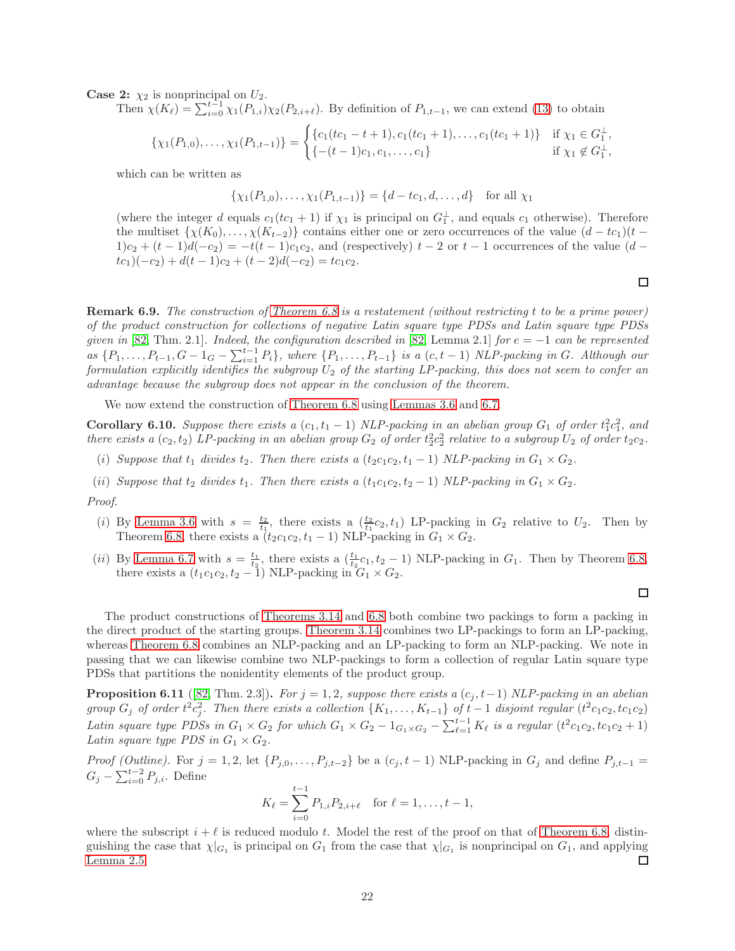**Case 2:**  $\chi_2$  is nonprincipal on  $U_2$ .

Then  $\chi(K_{\ell}) = \sum_{i=0}^{t-1} \chi_1(P_{1,i}) \chi_2(P_{2,i+\ell})$ . By definition of  $P_{1,t-1}$ , we can extend [\(13\)](#page-20-1) to obtain

$$
\{\chi_1(P_{1,0}),\ldots,\chi_1(P_{1,t-1})\} = \begin{cases} \{c_1(tc_1-t+1),c_1(tc_1+1),\ldots,c_1(tc_1+1)\} & \text{if } \chi_1 \in G_1^{\perp}, \\ \{-(t-1)c_1,c_1,\ldots,c_1\} & \text{if } \chi_1 \notin G_1^{\perp}, \end{cases}
$$

which can be written as

$$
\{\chi_1(P_{1,0}),\ldots,\chi_1(P_{1,t-1})\} = \{d - tc_1, d, \ldots, d\} \text{ for all } \chi_1
$$

(where the integer d equals  $c_1(tc_1 + 1)$  if  $\chi_1$  is principal on  $G_1^{\perp}$ , and equals  $c_1$  otherwise). Therefore the multiset  $\{\chi(K_0), \ldots, \chi(K_{t-2})\}$  contains either one or zero occurrences of the value  $(d - tc_1)(t - c_2)$  $1)c_2 + (t-1)d(-c_2) = -t(t-1)c_1c_2$ , and (respectively)  $t-2$  or  $t-1$  occurrences of the value  $(d-1)c_2$  $tc_1)(-c_2) + d(t-1)c_2 + (t-2)d(-c_2) = tc_1c_2.$ 

Remark 6.9. The construction of [Theorem 6.8](#page-20-2) is a restatement (without restricting t to be a prime power) of the product construction for collections of negative Latin square type PDSs and Latin square type PDSs given in [\[82,](#page-30-10) Thm. 2.1]. Indeed, the configuration described in [82, Lemma 2.1] for  $e = -1$  can be represented as  $\{P_1,\ldots,P_{t-1},G-1_G-\sum_{i=1}^{t-1}P_i\}$ , where  $\{P_1,\ldots,P_{t-1}\}$  is a  $(c,t-1)$  NLP-packing in G. Although our formulation explicitly identifies the subgroup  $U_2$  of the starting LP-packing, this does not seem to confer an advantage because the subgroup does not appear in the conclusion of the theorem.

We now extend the construction of [Theorem 6.8](#page-20-2) using [Lemmas 3.6](#page-7-4) and [6.7.](#page-20-3)

**Corollary 6.10.** Suppose there exists a  $(c_1, t_1 - 1)$  NLP-packing in an abelian group  $G_1$  of order  $t_1^2 c_1^2$ , and there exists a  $(c_2, t_2)$  LP-packing in an abelian group  $G_2$  of order  $t_2^2c_2^2$  relative to a subgroup  $U_2$  of order  $t_2c_2$ .

- (i) Suppose that  $t_1$  divides  $t_2$ . Then there exists a  $(t_2c_1c_2, t_1 1)$  NLP-packing in  $G_1 \times G_2$ .
- (ii) Suppose that  $t_2$  divides  $t_1$ . Then there exists a  $(t_1c_1c_2, t_2 1)$  NLP-packing in  $G_1 \times G_2$ .

#### Proof.

- (i) By [Lemma 3.6](#page-7-4) with  $s = \frac{t_2}{t_1}$ , there exists a  $(\frac{t_2}{t_1}c_2, t_1)$  LP-packing in  $G_2$  relative to  $U_2$ . Then by Theorem [6.8,](#page-20-2) there exists a  $(t_2c_1c_2, t_1 - 1)$  NLP-packing in  $G_1 \times G_2$ .
- (*ii*) By [Lemma 6.7](#page-20-3) with  $s = \frac{t_1}{t_2}$ , there exists a  $(\frac{t_1}{t_2}c_1, t_2 1)$  NLP-packing in  $G_1$ . Then by Theorem [6.8,](#page-20-2) there exists a  $(t_1c_1c_2, t_2 - 1)$  NLP-packing in  $G_1 \times G_2$ .

The product constructions of [Theorems 3.14](#page-9-2) and [6.8](#page-20-2) both combine two packings to form a packing in the direct product of the starting groups. [Theorem 3.14](#page-9-2) combines two LP-packings to form an LP-packing, whereas [Theorem 6.8](#page-20-2) combines an NLP-packing and an LP-packing to form an NLP-packing. We note in passing that we can likewise combine two NLP-packings to form a collection of regular Latin square type PDSs that partitions the nonidentity elements of the product group.

<span id="page-21-0"></span>**Proposition 6.11** ([\[82,](#page-30-10) Thm. 2.3]). For  $j = 1, 2$ , suppose there exists a  $(c_j, t-1)$  NLP-packing in an abelian group  $G_j$  of order  $t^2c_j^2$ . Then there exists a collection  $\{K_1,\ldots,K_{t-1}\}$  of  $t-1$  disjoint regular  $(t^2c_1c_2,tc_1c_2)$ Latin square type PDSs in  $G_1 \times G_2$  for which  $G_1 \times G_2 - 1_{G_1 \times G_2} - \sum_{\ell=1}^{t-1} K_{\ell}$  is a regular  $(t^2 c_1 c_2, t c_1 c_2 + 1)$ Latin square type PDS in  $G_1 \times G_2$ .

Proof (Outline). For  $j = 1, 2$ , let  $\{P_{j,0}, \ldots, P_{j,t-2}\}$  be a  $(c_j, t-1)$  NLP-packing in  $G_j$  and define  $P_{j,t-1} =$  $G_j - \sum_{i=0}^{t-2} P_{j,i}$ . Define

$$
K_{\ell} = \sum_{i=0}^{t-1} P_{1,i} P_{2,i+\ell} \quad \text{for } \ell = 1, \dots, t-1,
$$

where the subscript  $i + \ell$  is reduced modulo t. Model the rest of the proof on that of [Theorem 6.8,](#page-20-2) distinguishing the case that  $\chi|_{G_1}$  is principal on  $G_1$  from the case that  $\chi|_{G_1}$  is nonprincipal on  $G_1$ , and applying [Lemma 2.5.](#page-3-5) □

$$
\Box
$$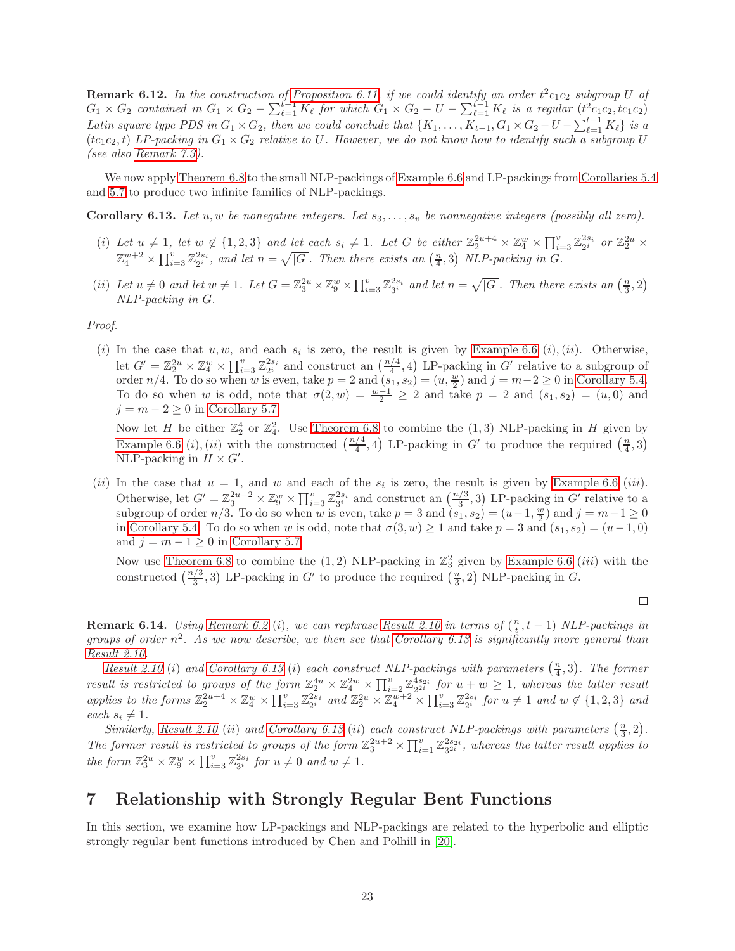**Remark 6.12.** In the construction of [Proposition 6.11,](#page-21-0) if we could identify an order  $t^2c_1c_2$  subgroup U of  $G_1 \times G_2$  contained in  $G_1 \times G_2 - \sum_{\ell=1}^{t-1} K_{\ell}$  for which  $G_1 \times G_2 - U - \sum_{\ell=1}^{t-1} K_{\ell}$  is a regular  $(t^2 c_1 c_2, t c_1 c_2)$ Latin square type PDS in  $G_1 \times G_2$ , then we could conclude that  $\{K_1, \ldots, K_{t-1}, G_1 \times G_2 - U - \sum_{\ell=1}^{t-1} K_{\ell}\}\)$  is a  $(tc_1c_2, t)$  LP-packing in  $G_1 \times G_2$  relative to U. However, we do not know how to identify such a subgroup U (see also [Remark 7.3\)](#page-23-0).

<span id="page-22-1"></span>We now apply [Theorem 6.8](#page-20-2) to the small NLP-packings of [Example 6.6](#page-19-1) and LP-packings from [Corollaries 5.4](#page-17-0) and [5.7](#page-17-2) to produce two infinite families of NLP-packings.

Corollary 6.13. Let u, w be nonegative integers. Let  $s_3, \ldots, s_v$  be nonnegative integers (possibly all zero).

- (i) Let  $u \neq 1$ , let  $w \notin \{1,2,3\}$  and let each  $s_i \neq 1$ . Let G be either  $\mathbb{Z}_2^{2u+4} \times \mathbb{Z}_4^w \times \prod_{i=3}^v \mathbb{Z}_2^{2s_i}$  or  $\mathbb{Z}_2^{2u} \times$  $\mathbb{Z}_4^{w+2}\times \prod_{i=3}^v \mathbb{Z}_{2^i}^{2s_i}$ , and let  $n=\sqrt{|G|}$ . Then there exists an  $(\frac{n}{4},3)$  NLP-packing in G.
- (ii) Let  $u \neq 0$  and let  $w \neq 1$ . Let  $G = \mathbb{Z}_3^{2u} \times \mathbb{Z}_9^w \times \prod_{i=3}^v \mathbb{Z}_{3^i}^{2s_i}$  and let  $n = \sqrt{|G|}$ . Then there exists an  $(\frac{n}{3}, 2)$ NLP-packing in G.

Proof.

(i) In the case that  $u, w$ , and each  $s_i$  is zero, the result is given by [Example 6.6](#page-19-1) (i), (ii). Otherwise, let  $G' = \mathbb{Z}_2^{2u} \times \mathbb{Z}_4^w \times \prod_{i=3}^v \mathbb{Z}_{2^i}^{2s_i}$  and construct an  $\left(\frac{n/4}{4}, 4\right)$  LP-packing in  $G'$  relative to a subgroup of order  $n/4$ . To do so when w is even, take  $p = 2$  and  $(s_1, s_2) = (u, \frac{w}{2})$  and  $j = m-2 \ge 0$  in [Corollary 5.4.](#page-17-0) To do so when w is odd, note that  $\sigma(2, w) = \frac{w-1}{2} \geq 2$  and take  $p = 2$  and  $(s_1, s_2) = (u, 0)$  and  $j = m - 2 \geq 0$  in [Corollary 5.7.](#page-17-2)

Now let H be either  $\mathbb{Z}_2^4$  or  $\mathbb{Z}_4^2$ . Use [Theorem 6.8](#page-20-2) to combine the  $(1,3)$  NLP-packing in H given by [Example 6.6](#page-19-1) (*i*), (*ii*) with the constructed  $\left(\frac{n/4}{4}, 4\right)$  LP-packing in G' to produce the required  $\left(\frac{n}{4}, 3\right)$ NLP-packing in  $H \times G'$ .

(*ii*) In the case that  $u = 1$ , and w and each of the  $s_i$  is zero, the result is given by [Example 6.6](#page-19-1) (*iii*). Otherwise, let  $G' = \mathbb{Z}_3^{2u-2} \times \mathbb{Z}_9^w \times \prod_{i=3}^v \mathbb{Z}_{3^i}^{2s_i}$  and construct an  $\left(\frac{n/3}{3},3\right)$  LP-packing in  $G'$  relative to a subgroup of order  $n/3$ . To do so when w is even, take  $p = 3$  and  $(s_1, s_2) = (u-1, \frac{w}{2})$  and  $j = m-1 \ge 0$ in [Corollary 5.4.](#page-17-0) To do so when w is odd, note that  $\sigma(3, w) \ge 1$  and take  $p = 3$  and  $(s_1, s_2) = (u-1, 0)$ and  $j = m - 1 \geq 0$  in [Corollary 5.7.](#page-17-2)

Now use [Theorem 6.8](#page-20-2) to combine the  $(1,2)$  NLP-packing in  $\mathbb{Z}_3^2$  given by [Example 6.6](#page-19-1) *(iii)* with the constructed  $\left(\frac{n/3}{3},3\right)$  LP-packing in G' to produce the required  $\left(\frac{n}{3},2\right)$  NLP-packing in G.

 $\Box$ 

<span id="page-22-2"></span>**Remark 6.14.** Using [Remark 6.2](#page-18-1) (i), we can rephrase [Result 2.10](#page-5-2) in terms of  $(\frac{n}{t}, t - 1)$  NLP-packings in groups of order  $n^2$ . As we now describe, we then see that [Corollary 6.13](#page-22-1) is significantly more general than [Result 2.10.](#page-5-2)

[Result 2.10](#page-5-2) (i) and [Corollary 6.13](#page-22-1) (i) each construct NLP-packings with parameters  $(\frac{n}{4},3)$ . The former result is restricted to groups of the form  $\mathbb{Z}_2^{4u} \times \mathbb{Z}_4^{2w} \times \prod_{i=2}^v \mathbb{Z}_2^{4s_{2i}}$  for  $u + w \geq 1$ , whereas the latter result applies to the forms  $\mathbb{Z}_2^{2u+4} \times \mathbb{Z}_4^w \times \prod_{i=3}^v \mathbb{Z}_{2^i}^{2s_i}$  and  $\mathbb{Z}_2^{2u} \times \mathbb{Z}_4^{w+2} \times \prod_{i=3}^v \mathbb{Z}_{2^i}^{2s_i}$  for  $u \neq 1$  and  $w \notin \{1,2,3\}$  and each  $s_i \neq 1$ .

Similarly, [Result 2.10](#page-5-2) (ii) and [Corollary 6.13](#page-22-1) (ii) each construct NLP-packings with parameters  $(\frac{n}{3}, 2)$ . The former result is restricted to groups of the form  $\mathbb{Z}_3^{2u+2} \times \prod_{i=1}^v \mathbb{Z}_{3^{2i}}^{2s_{2i}}$ , whereas the latter result applies to the form  $\mathbb{Z}_3^{2u} \times \mathbb{Z}_9^w \times \prod_{i=3}^v \mathbb{Z}_{3^i}^{2s_i}$  for  $u \neq 0$  and  $w \neq 1$ .

# <span id="page-22-0"></span>7 Relationship with Strongly Regular Bent Functions

In this section, we examine how LP-packings and NLP-packings are related to the hyperbolic and elliptic strongly regular bent functions introduced by Chen and Polhill in [\[20\]](#page-27-10).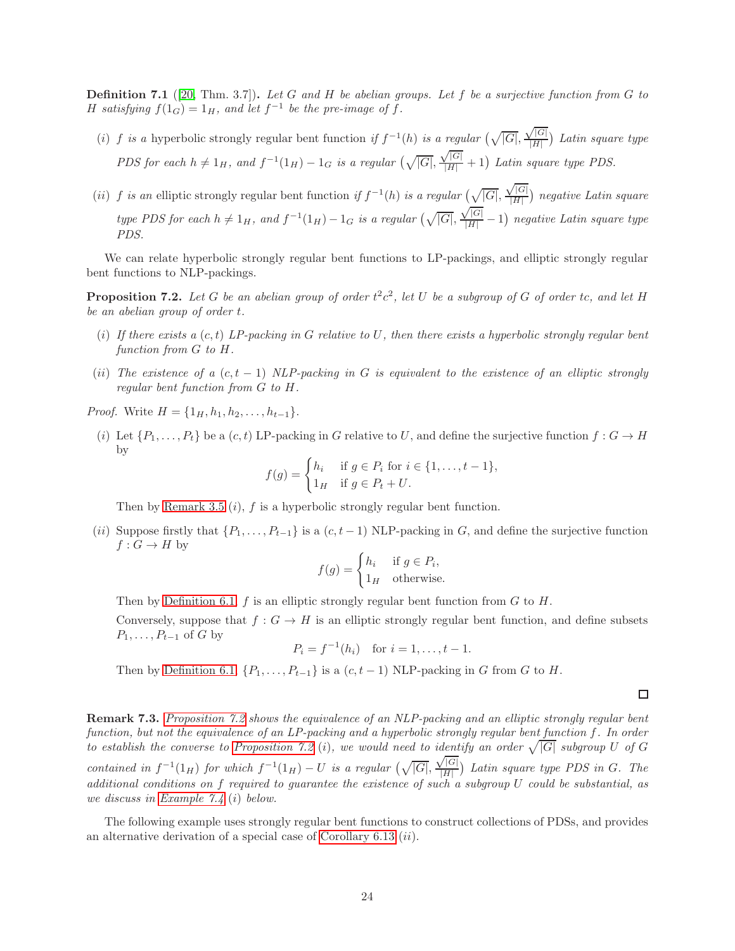**Definition 7.1** ([\[20,](#page-27-10) Thm. 3.7]). Let G and H be abelian groups. Let f be a surjective function from G to H satisfying  $f(1_G) = 1_H$ , and let  $f^{-1}$  be the pre-image of f.

- (i) f is a hyperbolic strongly regular bent function if  $f^{-1}(h)$  is a regular  $(\sqrt{|G|},$  $\sqrt{|G|}$  $\frac{f|G|}{|H|}$ ) Latin square type PDS for each  $h \neq 1_H$ , and  $f^{-1}(1_H) - 1_G$  is a regular  $(\sqrt{|G|},$  $\frac{\sqrt{|G|}}{|H|}+1$ ) Latin square type PDS.
- (ii) f is an elliptic strongly regular bent function if  $f^{-1}(h)$  is a regular  $(\sqrt{|G|},$  $\sqrt{|G|}$  $\frac{f|G|}{|H|}$ ) negative Latin square type PDS for each  $h \neq 1_H$ , and  $f^{-1}(1_H) - 1_G$  is a regular  $(\sqrt{|G|},$  $\sqrt{|G| \over |H|} - 1$ ) negative Latin square type PDS.

<span id="page-23-1"></span>We can relate hyperbolic strongly regular bent functions to LP-packings, and elliptic strongly regular bent functions to NLP-packings.

**Proposition 7.2.** Let G be an abelian group of order  $t^2c^2$ , let U be a subgroup of G of order tc, and let H be an abelian group of order t.

- (i) If there exists a  $(c, t)$  LP-packing in G relative to U, then there exists a hyperbolic strongly regular bent function from G to H.
- (ii) The existence of a  $(c, t 1)$  NLP-packing in G is equivalent to the existence of an elliptic strongly regular bent function from G to H.

*Proof.* Write  $H = \{1_H, h_1, h_2, \ldots, h_{t-1}\}.$ 

(i) Let  $\{P_1,\ldots,P_t\}$  be a  $(c, t)$  LP-packing in G relative to U, and define the surjective function  $f: G \to H$ by

$$
f(g) = \begin{cases} h_i & \text{if } g \in P_i \text{ for } i \in \{1, \dots, t-1\}, \\ 1_H & \text{if } g \in P_t + U. \end{cases}
$$

Then by [Remark 3.5](#page-7-3)  $(i)$ , f is a hyperbolic strongly regular bent function.

(ii) Suppose firstly that  $\{P_1, \ldots, P_{t-1}\}$  is a  $(c, t-1)$  NLP-packing in G, and define the surjective function  $f: G \to H$  by

$$
f(g) = \begin{cases} h_i & \text{if } g \in P_i, \\ 1_H & \text{otherwise.} \end{cases}
$$

Then by [Definition 6.1,](#page-18-3)  $f$  is an elliptic strongly regular bent function from  $G$  to  $H$ .

Conversely, suppose that  $f : G \to H$  is an elliptic strongly regular bent function, and define subsets  $P_1, \ldots, P_{t-1}$  of G by

$$
P_i = f^{-1}(h_i)
$$
 for  $i = 1, ..., t - 1$ .

Then by [Definition 6.1,](#page-18-3)  $\{P_1, \ldots, P_{t-1}\}$  is a  $(c, t-1)$  NLP-packing in G from G to H.

 $\Box$ 

<span id="page-23-0"></span>Remark 7.3. [Proposition 7.2](#page-23-1) shows the equivalence of an NLP-packing and an elliptic strongly regular bent function, but not the equivalence of an LP-packing and a hyperbolic strongly regular bent function f. In order to establish the converse to [Proposition 7.2](#page-23-1) (i), we would need to identify an order  $\sqrt{|G|}$  subgroup U of G contained in  $f^{-1}(1_H)$  for which  $f^{-1}(1_H) - U$  is a regular  $(\sqrt{|G|},$  $\sqrt{|G|}$  $\frac{(|G|}{|H|})$  Latin square type PDS in G. The additional conditions on f required to guarantee the existence of such a subgroup  $U$  could be substantial, as we discuss in [Example 7.4](#page-23-2) (i) below.

<span id="page-23-2"></span>The following example uses strongly regular bent functions to construct collections of PDSs, and provides an alternative derivation of a special case of [Corollary 6.13](#page-22-1) (ii).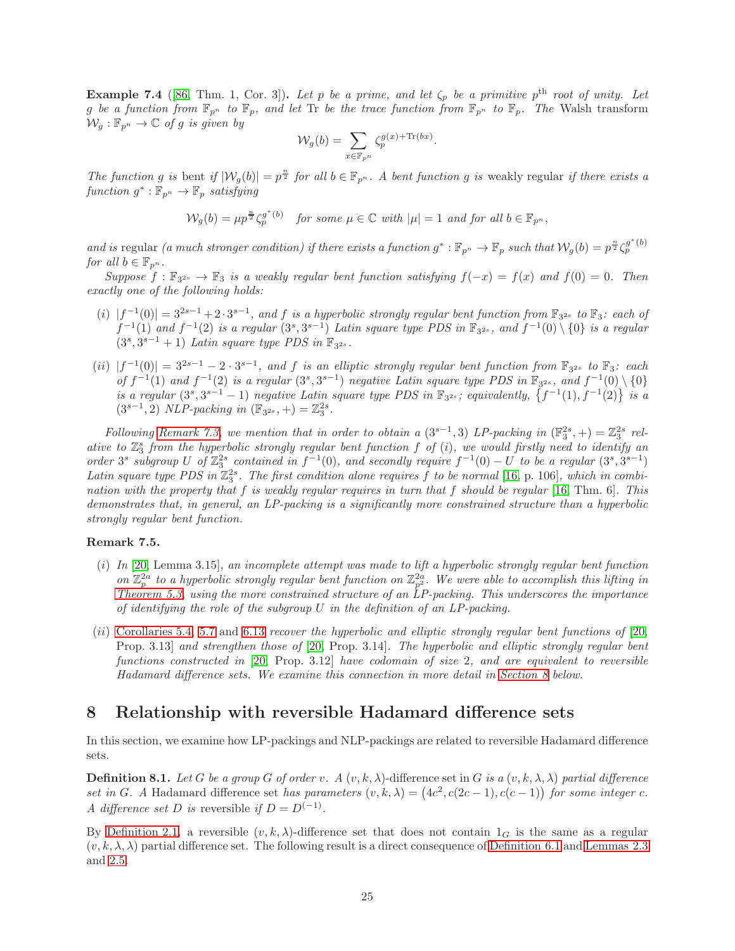**Example 7.4** ([\[86,](#page-30-13) Thm. 1, Cor. 3]). Let p be a prime, and let  $\zeta_p$  be a primitive p<sup>th</sup> root of unity. Let g be a function from  $\mathbb{F}_{p^n}$  to  $\mathbb{F}_p$ , and let Tr be the trace function from  $\mathbb{F}_{p^n}$  to  $\mathbb{F}_p$ . The Walsh transform  $\mathcal{W}_q : \mathbb{F}_{p^n} \to \mathbb{C}$  of g is given by

$$
\mathcal{W}_g(b) = \sum_{x \in \mathbb{F}_{p^n}} \zeta_p^{g(x) + \text{Tr}(bx)}.
$$

The function g is bent if  $|W_g(b)| = p^{\frac{n}{2}}$  for all  $b \in \mathbb{F}_{p^n}$ . A bent function g is weakly regular if there exists a  $function\ g^{\ast}:\mathbb{F}_{p^n}\rightarrow\mathbb{F}_p\ satisfying$ 

$$
\mathcal{W}_g(b) = \mu p^{\frac{n}{2}} \zeta_p^{g^*(b)} \quad \text{for some } \mu \in \mathbb{C} \text{ with } |\mu| = 1 \text{ and for all } b \in \mathbb{F}_{p^n},
$$

and is regular (a much stronger condition) if there exists a function  $g^*: \mathbb{F}_{p^n} \to \mathbb{F}_p$  such that  $\mathcal{W}_g(b) = p^{\frac{n}{2}} \zeta_p^{g^*(b)}$ for all  $b \in \mathbb{F}_{p^n}$ .

Suppose  $f: \mathbb{F}_{3^{2s}} \to \mathbb{F}_3$  is a weakly regular bent function satisfying  $f(-x) = f(x)$  and  $f(0) = 0$ . Then exactly one of the following holds:

- (i)  $|f^{-1}(0)| = 3^{2s-1} + 2 \cdot 3^{s-1}$ , and f is a hyperbolic strongly regular bent function from  $\mathbb{F}_{3^{2s}}$  to  $\mathbb{F}_{3}$ : each of  $f^{-1}(1)$  and  $f^{-1}(2)$  is a regular  $(3^s,3^{s-1})$  Latin square type PDS in  $\mathbb{F}_{3^{2s}}$ , and  $f^{-1}(0) \setminus \{0\}$  is a regular  $(3^s, 3^{s-1} + 1)$  Latin square type PDS in  $\mathbb{F}_{3^{2s}}$ .
- $(iii)$   $|f^{-1}(0)| = 3^{2s-1} 2 \cdot 3^{s-1}$ , and f is an elliptic strongly regular bent function from  $\mathbb{F}_{3^{2s}}$  to  $\mathbb{F}_{3}$ : each of  $f^{-1}(1)$  and  $f^{-1}(2)$  is a regular  $(3^s, 3^{s-1})$  negative Latin square type PDS in  $\mathbb{F}_{3^{2s}}$ , and  $f^{-1}(0) \setminus \{0\}$ is a regular  $(3^s, 3^{s-1} - 1)$  negative Latin square type PDS in  $\mathbb{F}_{3^{2s}}$ ; equivalently,  $\{f^{-1}(1), f^{-1}(2)\}$  is a  $(3^{s-1}, 2)$  NLP-packing in  $(\mathbb{F}_{3^{2s}}, +) = \mathbb{Z}_{3}^{2s}$ .

Following [Remark 7.3,](#page-23-0) we mention that in order to obtain a  $(3^{s-1},3)$  LP-packing in  $(\mathbb{F}_3^{2s},+) = \mathbb{Z}_3^{2s}$  relative to  $\mathbb{Z}_3^s$  from the hyperbolic strongly regular bent function f of (i), we would firstly need to identify an order  $3^s$  subgroup U of  $\mathbb{Z}_3^{2s}$  contained in  $f^{-1}(0)$ , and secondly require  $f^{-1}(0) - U$  to be a regular  $(3^s, 3^{s-1})$ Latin square type PDS in  $\mathbb{Z}_3^{2s}$ . The first condition alone requires f to be normal [\[16,](#page-27-20) p. 106], which in combination with the property that f is weakly regular requires in turn that f should be regular [\[16,](#page-27-20) Thm. 6]. This demonstrates that, in general, an LP-packing is a significantly more constrained structure than a hyperbolic strongly regular bent function.

### Remark 7.5.

- (i) In [\[20,](#page-27-10) Lemma 3.15], an incomplete attempt was made to lift a hyperbolic strongly regular bent function on  $\mathbb{Z}_p^{2a}$  to a hyperbolic strongly regular bent function on  $\mathbb{Z}_{p^2}^{2a}$ . We were able to accomplish this lifting in [Theorem 5.3,](#page-16-1) using the more constrained structure of an  $\tilde{L}P$ -packing. This underscores the importance of identifying the role of the subgroup  $U$  in the definition of an  $LP$ -packing.
- (ii) [Corollaries 5.4,](#page-17-0) [5.7](#page-17-2) and [6.13](#page-22-1) recover the hyperbolic and elliptic strongly regular bent functions of [\[20,](#page-27-10) Prop. 3.13] and strengthen those of [\[20,](#page-27-10) Prop. 3.14]. The hyperbolic and elliptic strongly regular bent functions constructed in [\[20,](#page-27-10) Prop. 3.12] have codomain of size 2, and are equivalent to reversible Hadamard difference sets. We examine this connection in more detail in [Section 8](#page-24-0) below.

### <span id="page-24-0"></span>8 Relationship with reversible Hadamard difference sets

In this section, we examine how LP-packings and NLP-packings are related to reversible Hadamard difference sets.

**Definition 8.1.** Let G be a group G of order v.  $A(v, k, \lambda)$ -difference set in G is a  $(v, k, \lambda, \lambda)$  partial difference set in G. A Hadamard difference set has parameters  $(v, k, \lambda) = (4c^2, c(2c - 1), c(c - 1))$  for some integer c. A difference set D is reversible if  $D = D^{(-1)}$ .

<span id="page-24-1"></span>By [Definition 2.1,](#page-2-2) a reversible  $(v, k, \lambda)$ -difference set that does not contain  $1_G$  is the same as a regular  $(v, k, \lambda, \lambda)$  partial difference set. The following result is a direct consequence of [Definition 6.1](#page-18-3) and [Lemmas 2.3](#page-3-4) and [2.5.](#page-3-5)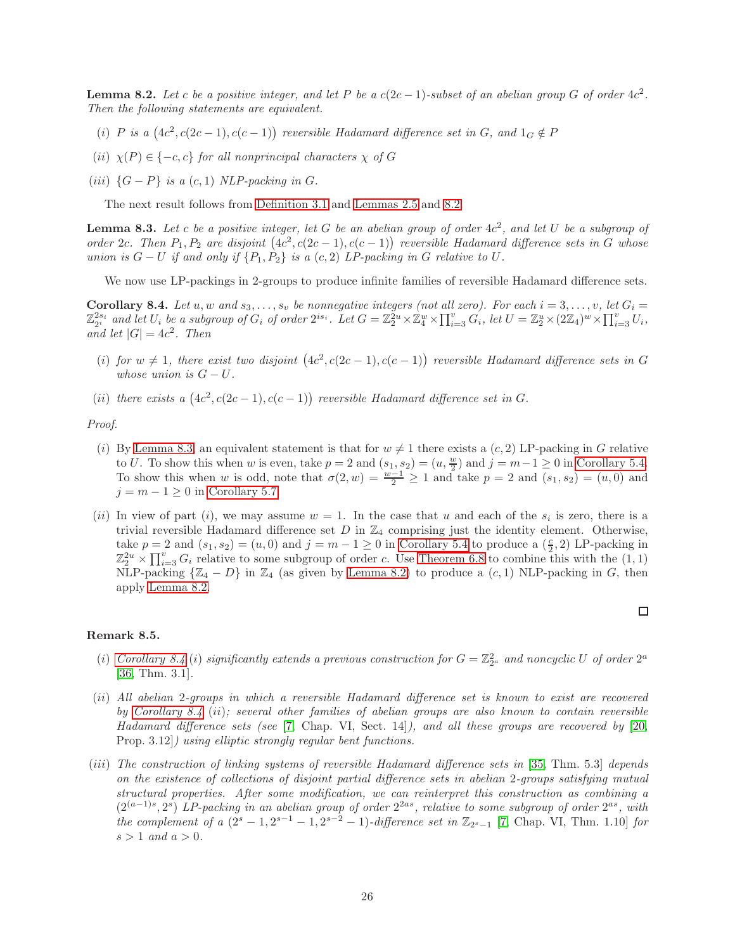**Lemma 8.2.** Let c be a positive integer, and let P be a  $c(2c-1)$ -subset of an abelian group G of order  $4c^2$ . Then the following statements are equivalent.

- (i) P is a  $(4c^2, c(2c-1), c(c-1))$  reversible Hadamard difference set in G, and  $1_G \notin P$
- (ii)  $\chi(P) \in \{-c, c\}$  for all nonprincipal characters  $\chi$  of G
- (iii)  $\{G P\}$  is a  $(c, 1)$  NLP-packing in G.

<span id="page-25-0"></span>The next result follows from [Definition 3.1](#page-6-1) and [Lemmas 2.5](#page-3-5) and [8.2.](#page-24-1)

**Lemma 8.3.** Let c be a positive integer, let G be an abelian group of order  $4c^2$ , and let U be a subgroup of order 2c. Then  $P_1, P_2$  are disjoint  $(4c^2, c(2c - 1), c(c - 1))$  reversible Hadamard difference sets in G whose union is  $G - U$  if and only if  $\{P_1, P_2\}$  is a  $(c, 2)$  LP-packing in G relative to U.

<span id="page-25-1"></span>We now use LP-packings in 2-groups to produce infinite families of reversible Hadamard difference sets.

Corollary 8.4. Let u, w and  $s_3, \ldots, s_v$  be nonnegative integers (not all zero). For each  $i = 3, \ldots, v$ , let  $G_i =$  $\mathbb{Z}_{2^i}^{2s_i}$  and let  $U_i$  be a subgroup of  $G_i$  of order  $2^{is_i}$ . Let  $G=\mathbb{Z}_2^{2u}\times\mathbb{Z}_4^w\times\prod_{i=3}^v G_i$ , let  $U=\mathbb{Z}_2^u\times(2\mathbb{Z}_4)^w\times\prod_{i=3}^v U_i$ , and let  $|G| = 4c^2$ . Then

- (i) for  $w \neq 1$ , there exist two disjoint  $(4c^2, c(2c-1), c(c-1))$  reversible Hadamard difference sets in G whose union is  $G-U$ .
- (ii) there exists a  $(4c^2, c(2c-1), c(c-1))$  reversible Hadamard difference set in G.

Proof.

- (i) By [Lemma 8.3,](#page-25-0) an equivalent statement is that for  $w \neq 1$  there exists a  $(c, 2)$  LP-packing in G relative to U. To show this when w is even, take  $p = 2$  and  $(s_1, s_2) = (u, \frac{w}{2})$  and  $j = m-1 \ge 0$  in [Corollary 5.4.](#page-17-0) To show this when w is odd, note that  $\sigma(2, w) = \frac{w-1}{2} \ge 1$  and take  $p = 2$  and  $(s_1, s_2) = (u, 0)$  and  $j = m - 1 \geq 0$  in [Corollary 5.7.](#page-17-2)
- (*ii*) In view of part (*i*), we may assume  $w = 1$ . In the case that u and each of the  $s_i$  is zero, there is a trivial reversible Hadamard difference set  $D$  in  $\mathbb{Z}_4$  comprising just the identity element. Otherwise, take  $p = 2$  and  $(s_1, s_2) = (u, 0)$  and  $j = m - 1 \ge 0$  in [Corollary 5.4](#page-17-0) to produce a  $(\frac{c}{2}, 2)$  LP-packing in  $\mathbb{Z}_2^{2u} \times \prod_{i=3}^v G_i$  relative to some subgroup of order c. Use [Theorem 6.8](#page-20-2) to combine this with the  $(1, 1)$ NLP-packing  $\{\mathbb{Z}_4 - D\}$  in  $\mathbb{Z}_4$  (as given by [Lemma 8.2\)](#page-24-1) to produce a  $(c, 1)$  NLP-packing in G, then apply [Lemma 8.2.](#page-24-1)

#### Remark 8.5.

- (i) [Corollary 8.4](#page-25-1) (i) significantly extends a previous construction for  $G = \mathbb{Z}_{2^a}^2$  and noncyclic U of order  $2^a$ [\[36,](#page-28-15) Thm. 3.1].
- (ii) All abelian 2-groups in which a reversible Hadamard difference set is known to exist are recovered by [Corollary 8.4](#page-25-1) (ii); several other families of abelian groups are also known to contain reversible Hadamard difference sets (see [\[7,](#page-26-7) Chap. VI, Sect. 14]), and all these groups are recovered by [\[20,](#page-27-10) Prop. 3.12]) using elliptic strongly regular bent functions.
- (iii) The construction of linking systems of reversible Hadamard difference sets in [\[35,](#page-28-20) Thm. 5.3] depends on the existence of collections of disjoint partial difference sets in abelian 2-groups satisfying mutual structural properties. After some modification, we can reinterpret this construction as combining a  $(2^{(a-1)s}, 2^s)$  LP-packing in an abelian group of order  $2^{2as}$ , relative to some subgroup of order  $2^{as}$ , with the complement of a  $(2<sup>s</sup> - 1, 2<sup>s-1</sup> - 1, 2<sup>s-2</sup> - 1)$ -difference set in  $\mathbb{Z}_{2<sup>s-1</sup>}$  [\[7,](#page-26-7) Chap. VI, Thm. 1.10] for  $s > 1$  and  $a > 0$ .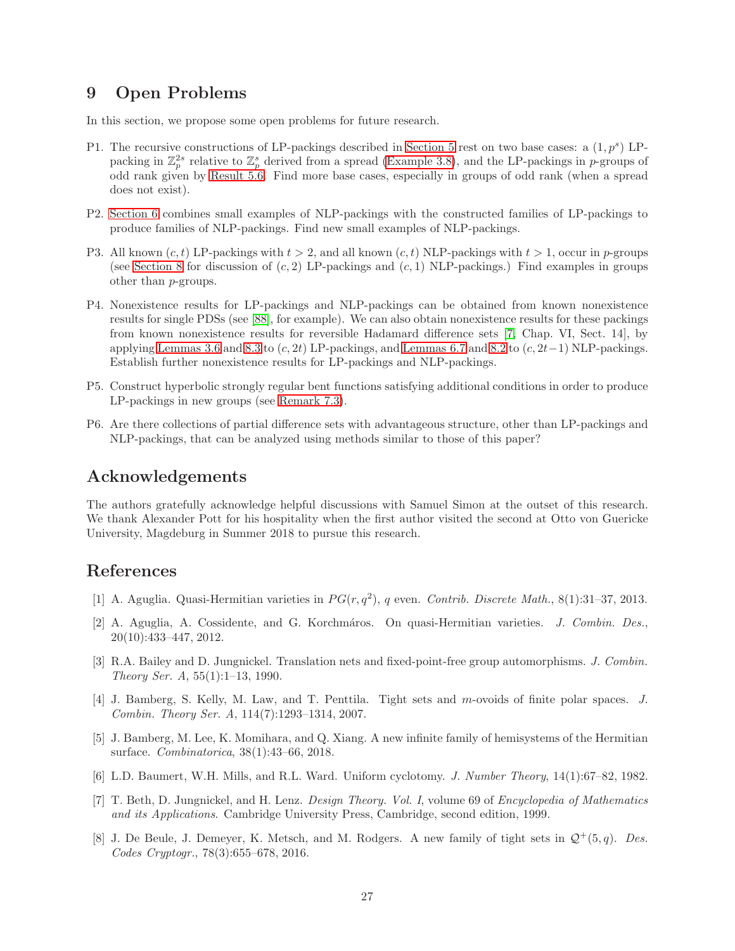## <span id="page-26-6"></span>9 Open Problems

In this section, we propose some open problems for future research.

- P1. The recursive constructions of LP-packings described in [Section 5](#page-15-0) rest on two base cases: a  $(1, p<sup>s</sup>)$  LPpacking in  $\mathbb{Z}_p^{2s}$  relative to  $\mathbb{Z}_p^s$  derived from a spread [\(Example 3.8\)](#page-7-1), and the LP-packings in p-groups of odd rank given by [Result 5.6.](#page-17-3) Find more base cases, especially in groups of odd rank (when a spread does not exist).
- P2. [Section 6](#page-18-0) combines small examples of NLP-packings with the constructed families of LP-packings to produce families of NLP-packings. Find new small examples of NLP-packings.
- P3. All known  $(c, t)$  LP-packings with  $t > 2$ , and all known  $(c, t)$  NLP-packings with  $t > 1$ , occur in p-groups (see [Section 8](#page-24-0) for discussion of  $(c, 2)$  LP-packings and  $(c, 1)$  NLP-packings.) Find examples in groups other than p-groups.
- P4. Nonexistence results for LP-packings and NLP-packings can be obtained from known nonexistence results for single PDSs (see [\[88\]](#page-30-19), for example). We can also obtain nonexistence results for these packings from known nonexistence results for reversible Hadamard difference sets [\[7,](#page-26-7) Chap. VI, Sect. 14], by applying [Lemmas 3.6](#page-7-4) and [8.3](#page-25-0) to  $(c, 2t)$  LP-packings, and [Lemmas 6.7](#page-20-3) and [8.2](#page-24-1) to  $(c, 2t-1)$  NLP-packings. Establish further nonexistence results for LP-packings and NLP-packings.
- P5. Construct hyperbolic strongly regular bent functions satisfying additional conditions in order to produce LP-packings in new groups (see [Remark 7.3\)](#page-23-0).
- P6. Are there collections of partial difference sets with advantageous structure, other than LP-packings and NLP-packings, that can be analyzed using methods similar to those of this paper?

### Acknowledgements

The authors gratefully acknowledge helpful discussions with Samuel Simon at the outset of this research. We thank Alexander Pott for his hospitality when the first author visited the second at Otto von Guericke University, Magdeburg in Summer 2018 to pursue this research.

### <span id="page-26-1"></span>References

- <span id="page-26-2"></span>[1] A. Aguglia. Quasi-Hermitian varieties in  $PG(r, q^2)$ , q even. Contrib. Discrete Math., 8(1):31-37, 2013.
- [2] A. Aguglia, A. Cossidente, and G. Korchmáros. On quasi-Hermitian varieties. J. Combin. Des., 20(10):433–447, 2012.
- <span id="page-26-8"></span>[3] R.A. Bailey and D. Jungnickel. Translation nets and fixed-point-free group automorphisms. J. Combin. Theory Ser. A, 55(1):1–13, 1990.
- <span id="page-26-3"></span>[4] J. Bamberg, S. Kelly, M. Law, and T. Penttila. Tight sets and m-ovoids of finite polar spaces. J. Combin. Theory Ser. A, 114(7):1293–1314, 2007.
- <span id="page-26-4"></span>[5] J. Bamberg, M. Lee, K. Momihara, and Q. Xiang. A new infinite family of hemisystems of the Hermitian surface. Combinatorica, 38(1):43–66, 2018.
- <span id="page-26-7"></span><span id="page-26-0"></span>[6] L.D. Baumert, W.H. Mills, and R.L. Ward. Uniform cyclotomy. J. Number Theory, 14(1):67–82, 1982.
- [7] T. Beth, D. Jungnickel, and H. Lenz. Design Theory. Vol. I, volume 69 of Encyclopedia of Mathematics and its Applications. Cambridge University Press, Cambridge, second edition, 1999.
- <span id="page-26-5"></span>[8] J. De Beule, J. Demeyer, K. Metsch, and M. Rodgers. A new family of tight sets in  $\mathcal{Q}^+(5,q)$ . Des. Codes Cryptogr., 78(3):655–678, 2016.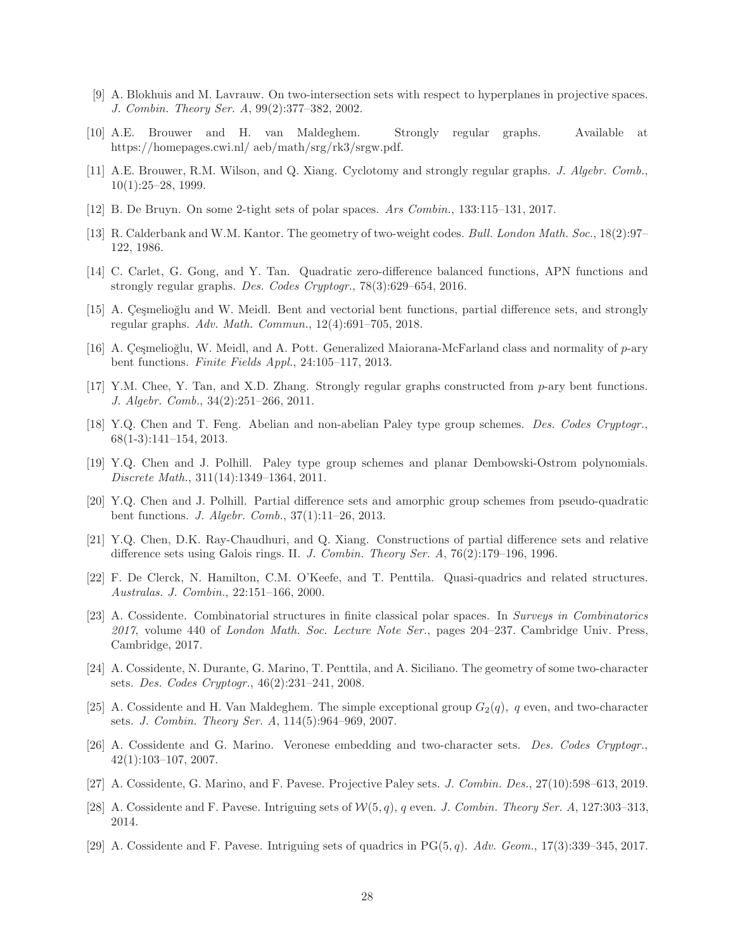- <span id="page-27-2"></span>[9] A. Blokhuis and M. Lavrauw. On two-intersection sets with respect to hyperplanes in projective spaces. J. Combin. Theory Ser. A, 99(2):377–382, 2002.
- <span id="page-27-3"></span><span id="page-27-1"></span>[10] A.E. Brouwer and H. van Maldeghem. Strongly regular graphs. Available at https://homepages.cwi.nl/ aeb/math/srg/rk3/srgw.pdf.
- [11] A.E. Brouwer, R.M. Wilson, and Q. Xiang. Cyclotomy and strongly regular graphs. J. Algebr. Comb., 10(1):25–28, 1999.
- <span id="page-27-4"></span><span id="page-27-0"></span>[12] B. De Bruyn. On some 2-tight sets of polar spaces. Ars Combin., 133:115–131, 2017.
- <span id="page-27-5"></span>[13] R. Calderbank and W.M. Kantor. The geometry of two-weight codes. Bull. London Math. Soc., 18(2):97– 122, 1986.
- <span id="page-27-6"></span>[14] C. Carlet, G. Gong, and Y. Tan. Quadratic zero-difference balanced functions, APN functions and strongly regular graphs. Des. Codes Cryptogr., 78(3):629–654, 2016.
- [15] A. Cesmelioğlu and W. Meidl. Bent and vectorial bent functions, partial difference sets, and strongly regular graphs. Adv. Math. Commun., 12(4):691–705, 2018.
- <span id="page-27-20"></span><span id="page-27-7"></span>[16] A. Cesmelioğlu, W. Meidl, and A. Pott. Generalized Maiorana-McFarland class and normality of p-ary bent functions. Finite Fields Appl., 24:105–117, 2013.
- <span id="page-27-8"></span>[17] Y.M. Chee, Y. Tan, and X.D. Zhang. Strongly regular graphs constructed from p-ary bent functions. J. Algebr. Comb., 34(2):251–266, 2011.
- [18] Y.Q. Chen and T. Feng. Abelian and non-abelian Paley type group schemes. Des. Codes Cryptogr., 68(1-3):141–154, 2013.
- <span id="page-27-9"></span>[19] Y.Q. Chen and J. Polhill. Paley type group schemes and planar Dembowski-Ostrom polynomials. Discrete Math., 311(14):1349–1364, 2011.
- <span id="page-27-10"></span>[20] Y.Q. Chen and J. Polhill. Partial difference sets and amorphic group schemes from pseudo-quadratic bent functions. J. Algebr. Comb., 37(1):11–26, 2013.
- <span id="page-27-11"></span>[21] Y.Q. Chen, D.K. Ray-Chaudhuri, and Q. Xiang. Constructions of partial difference sets and relative difference sets using Galois rings. II. J. Combin. Theory Ser. A, 76(2):179–196, 1996.
- <span id="page-27-12"></span>[22] F. De Clerck, N. Hamilton, C.M. O'Keefe, and T. Penttila. Quasi-quadrics and related structures. Australas. J. Combin., 22:151–166, 2000.
- <span id="page-27-19"></span>[23] A. Cossidente. Combinatorial structures in finite classical polar spaces. In Surveys in Combinatorics  $2017$ , volume 440 of London Math. Soc. Lecture Note Ser., pages  $204-237$ . Cambridge Univ. Press, Cambridge, 2017.
- <span id="page-27-13"></span>[24] A. Cossidente, N. Durante, G. Marino, T. Penttila, and A. Siciliano. The geometry of some two-character sets. Des. Codes Cryptogr., 46(2):231–241, 2008.
- <span id="page-27-14"></span>[25] A. Cossidente and H. Van Maldeghem. The simple exceptional group  $G_2(q)$ , q even, and two-character sets. J. Combin. Theory Ser. A, 114(5):964–969, 2007.
- <span id="page-27-15"></span>[26] A. Cossidente and G. Marino. Veronese embedding and two-character sets. Des. Codes Cryptogr., 42(1):103–107, 2007.
- <span id="page-27-17"></span><span id="page-27-16"></span>[27] A. Cossidente, G. Marino, and F. Pavese. Projective Paley sets. J. Combin. Des., 27(10):598–613, 2019.
- <span id="page-27-18"></span>[28] A. Cossidente and F. Pavese. Intriguing sets of  $W(5, q)$ , q even. J. Combin. Theory Ser. A, 127:303-313, 2014.
- [29] A. Cossidente and F. Pavese. Intriguing sets of quadrics in  $PG(5, q)$ . Adv. Geom., 17(3):339–345, 2017.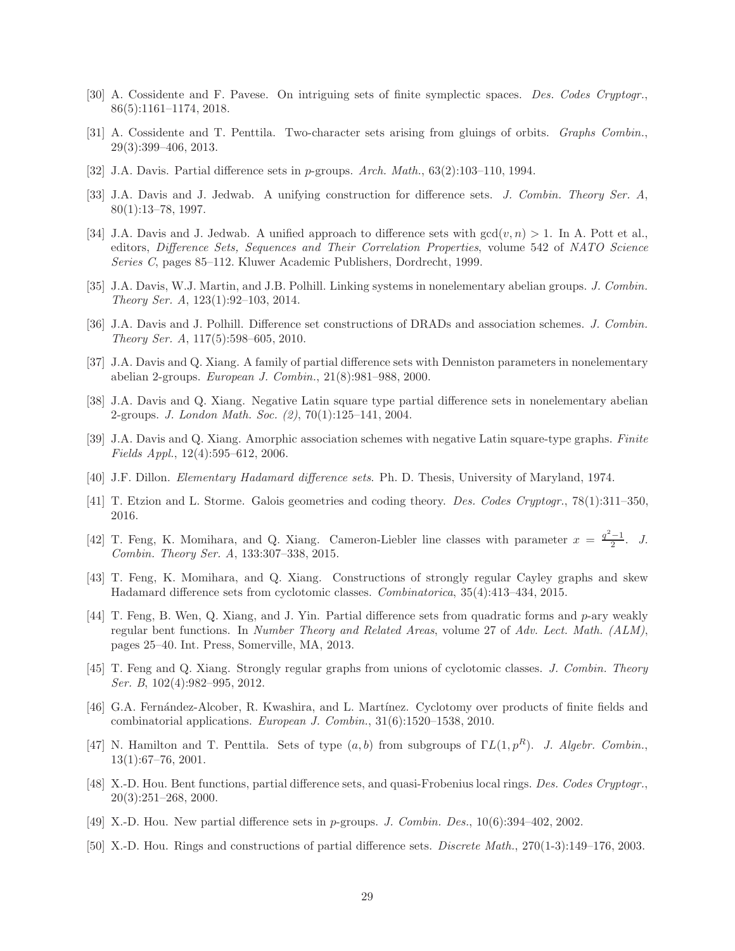- <span id="page-28-1"></span><span id="page-28-0"></span>[30] A. Cossidente and F. Pavese. On intriguing sets of finite symplectic spaces. Des. Codes Cryptogr., 86(5):1161–1174, 2018.
- <span id="page-28-2"></span>[31] A. Cossidente and T. Penttila. Two-character sets arising from gluings of orbits. Graphs Combin., 29(3):399–406, 2013.
- <span id="page-28-14"></span>[32] J.A. Davis. Partial difference sets in p-groups. Arch. Math., 63(2):103–110, 1994.
- <span id="page-28-19"></span>[33] J.A. Davis and J. Jedwab. A unifying construction for difference sets. J. Combin. Theory Ser. A, 80(1):13–78, 1997.
- [34] J.A. Davis and J. Jedwab. A unified approach to difference sets with  $gcd(v, n) > 1$ . In A. Pott et al., editors, Difference Sets, Sequences and Their Correlation Properties, volume 542 of NATO Science Series C, pages 85–112. Kluwer Academic Publishers, Dordrecht, 1999.
- <span id="page-28-20"></span>[35] J.A. Davis, W.J. Martin, and J.B. Polhill. Linking systems in nonelementary abelian groups. J. Combin. Theory Ser. A, 123(1):92–103, 2014.
- <span id="page-28-15"></span>[36] J.A. Davis and J. Polhill. Difference set constructions of DRADs and association schemes. J. Combin. Theory Ser. A, 117(5):598–605, 2010.
- <span id="page-28-4"></span><span id="page-28-3"></span>[37] J.A. Davis and Q. Xiang. A family of partial difference sets with Denniston parameters in nonelementary abelian 2-groups. European J. Combin., 21(8):981–988, 2000.
- [38] J.A. Davis and Q. Xiang. Negative Latin square type partial difference sets in nonelementary abelian 2-groups. J. London Math. Soc. (2), 70(1):125–141, 2004.
- <span id="page-28-16"></span>[39] J.A. Davis and Q. Xiang. Amorphic association schemes with negative Latin square-type graphs. Finite Fields Appl., 12(4):595–612, 2006.
- <span id="page-28-18"></span><span id="page-28-17"></span>[40] J.F. Dillon. Elementary Hadamard difference sets. Ph. D. Thesis, University of Maryland, 1974.
- [41] T. Etzion and L. Storme. Galois geometries and coding theory. Des. Codes Cryptogr., 78(1):311–350, 2016.
- <span id="page-28-5"></span>[42] T. Feng, K. Momihara, and Q. Xiang. Cameron-Liebler line classes with parameter  $x = \frac{q^2-1}{2}$ . J. Combin. Theory Ser. A, 133:307–338, 2015.
- <span id="page-28-6"></span>[43] T. Feng, K. Momihara, and Q. Xiang. Constructions of strongly regular Cayley graphs and skew Hadamard difference sets from cyclotomic classes. Combinatorica, 35(4):413–434, 2015.
- <span id="page-28-7"></span>[44] T. Feng, B. Wen, Q. Xiang, and J. Yin. Partial difference sets from quadratic forms and p-ary weakly regular bent functions. In Number Theory and Related Areas, volume 27 of Adv. Lect. Math. (ALM), pages 25–40. Int. Press, Somerville, MA, 2013.
- <span id="page-28-8"></span>[45] T. Feng and Q. Xiang. Strongly regular graphs from unions of cyclotomic classes. J. Combin. Theory Ser. B, 102(4):982–995, 2012.
- <span id="page-28-9"></span>[46] G.A. Fernández-Alcober, R. Kwashira, and L. Martínez. Cyclotomy over products of finite fields and combinatorial applications. European J. Combin., 31(6):1520–1538, 2010.
- <span id="page-28-10"></span>[47] N. Hamilton and T. Penttila. Sets of type  $(a, b)$  from subgroups of  $\Gamma L(1, p^R)$ . J. Algebr. Combin., 13(1):67–76, 2001.
- <span id="page-28-11"></span>[48] X.-D. Hou. Bent functions, partial difference sets, and quasi-Frobenius local rings. Des. Codes Cryptogr., 20(3):251–268, 2000.
- <span id="page-28-13"></span><span id="page-28-12"></span>[49] X.-D. Hou. New partial difference sets in p-groups. J. Combin. Des., 10(6):394–402, 2002.
- [50] X.-D. Hou. Rings and constructions of partial difference sets. Discrete Math., 270(1-3):149–176, 2003.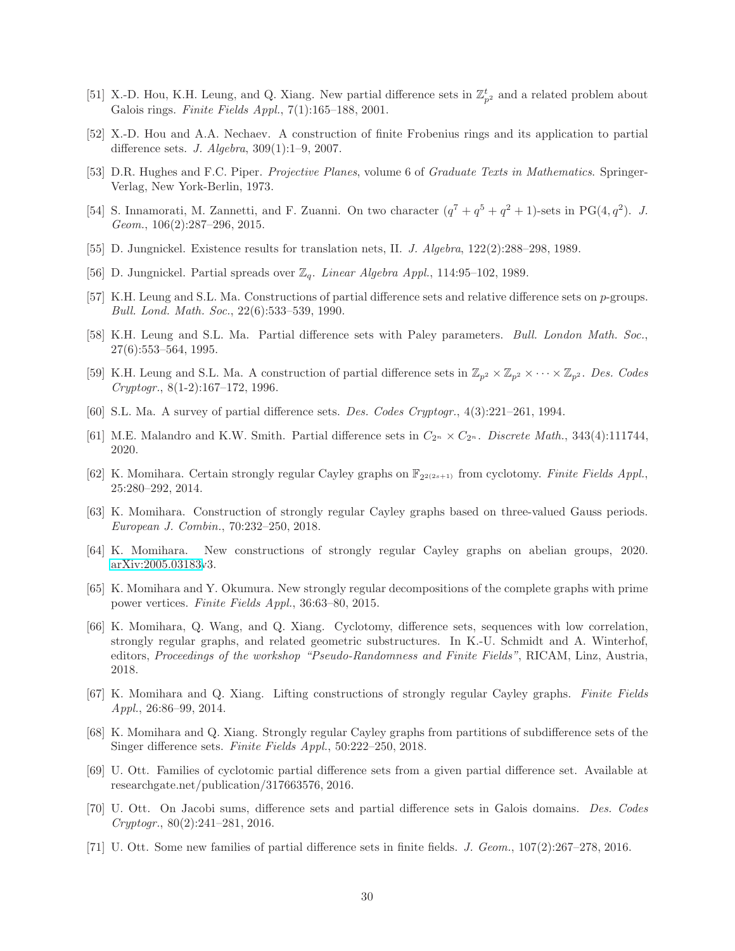- <span id="page-29-2"></span>[51] X.-D. Hou, K.H. Leung, and Q. Xiang. New partial difference sets in  $\mathbb{Z}_{p^2}^t$  and a related problem about Galois rings. Finite Fields Appl., 7(1):165–188, 2001.
- <span id="page-29-3"></span>[52] X.-D. Hou and A.A. Nechaev. A construction of finite Frobenius rings and its application to partial difference sets. J. Algebra, 309(1):1–9, 2007.
- <span id="page-29-20"></span><span id="page-29-4"></span>[53] D.R. Hughes and F.C. Piper. Projective Planes, volume 6 of Graduate Texts in Mathematics. Springer-Verlag, New York-Berlin, 1973.
- [54] S. Innamorati, M. Zannetti, and F. Zuanni. On two character  $(q^7 + q^5 + q^2 + 1)$ -sets in PG(4,  $q^2$ ). J. Geom., 106(2):287–296, 2015.
- <span id="page-29-19"></span><span id="page-29-18"></span>[55] D. Jungnickel. Existence results for translation nets, II. J. Algebra, 122(2):288–298, 1989.
- <span id="page-29-17"></span>[56] D. Jungnickel. Partial spreads over  $\mathbb{Z}_q$ . Linear Algebra Appl., 114:95-102, 1989.
- [57] K.H. Leung and S.L. Ma. Constructions of partial difference sets and relative difference sets on p-groups. Bull. Lond. Math. Soc., 22(6):533–539, 1990.
- <span id="page-29-5"></span>[58] K.H. Leung and S.L. Ma. Partial difference sets with Paley parameters. Bull. London Math. Soc., 27(6):553–564, 1995.
- <span id="page-29-6"></span><span id="page-29-1"></span>[59] K.H. Leung and S.L. Ma. A construction of partial difference sets in  $\mathbb{Z}_{p^2} \times \mathbb{Z}_{p^2} \times \cdots \times \mathbb{Z}_{p^2}$ . Des. Codes Cryptogr., 8(1-2):167–172, 1996.
- <span id="page-29-7"></span>[60] S.L. Ma. A survey of partial difference sets. Des. Codes Cryptogr., 4(3):221–261, 1994.
- <span id="page-29-8"></span>[61] M.E. Malandro and K.W. Smith. Partial difference sets in  $C_{2^n} \times C_{2^n}$ . Discrete Math., 343(4):111744, 2020.
- [62] K. Momihara. Certain strongly regular Cayley graphs on  $\mathbb{F}_{2^{2(2s+1)}}$  from cyclotomy. Finite Fields Appl., 25:280–292, 2014.
- <span id="page-29-10"></span><span id="page-29-9"></span>[63] K. Momihara. Construction of strongly regular Cayley graphs based on three-valued Gauss periods. European J. Combin., 70:232–250, 2018.
- <span id="page-29-11"></span>[64] K. Momihara. New constructions of strongly regular Cayley graphs on abelian groups, 2020. [arXiv:2005.03183v](http://arxiv.org/abs/2005.03183)3.
- [65] K. Momihara and Y. Okumura. New strongly regular decompositions of the complete graphs with prime power vertices. Finite Fields Appl., 36:63–80, 2015.
- <span id="page-29-0"></span>[66] K. Momihara, Q. Wang, and Q. Xiang. Cyclotomy, difference sets, sequences with low correlation, strongly regular graphs, and related geometric substructures. In K.-U. Schmidt and A. Winterhof, editors, Proceedings of the workshop "Pseudo-Randomness and Finite Fields", RICAM, Linz, Austria, 2018.
- <span id="page-29-12"></span>[67] K. Momihara and Q. Xiang. Lifting constructions of strongly regular Cayley graphs. Finite Fields Appl., 26:86–99, 2014.
- <span id="page-29-13"></span>[68] K. Momihara and Q. Xiang. Strongly regular Cayley graphs from partitions of subdifference sets of the Singer difference sets. Finite Fields Appl., 50:222–250, 2018.
- <span id="page-29-14"></span>[69] U. Ott. Families of cyclotomic partial difference sets from a given partial difference set. Available at researchgate.net/publication/317663576, 2016.
- <span id="page-29-15"></span>[70] U. Ott. On Jacobi sums, difference sets and partial difference sets in Galois domains. Des. Codes Cryptogr., 80(2):241–281, 2016.
- <span id="page-29-16"></span>[71] U. Ott. Some new families of partial difference sets in finite fields. J. Geom., 107(2):267–278, 2016.